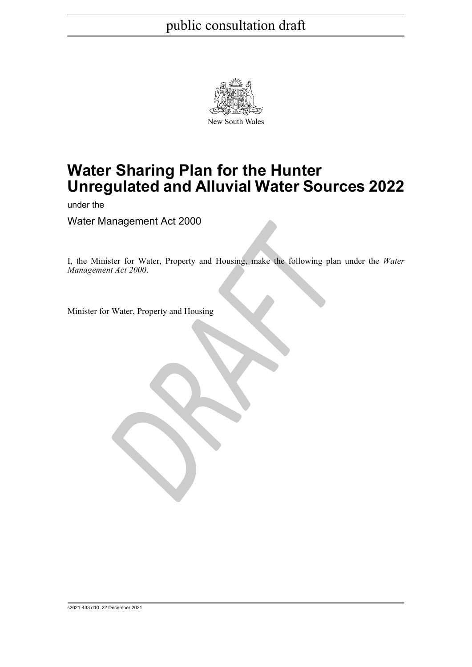

# **Water Sharing Plan for the Hunter Unregulated and Alluvial Water Sources 2022**

under the

Water Management Act 2000

France Content Act 2000<br>
DRAFT<br>
DRAFT<br>
DRAFT<br>
DRAFT<br>
DRAFT<br>
DRAFT<br>
DRAFT<br>
DRAFT<br>
DRAFT<br>
DRAFT<br>
DRAFT<br>
DRAFT<br>
DRAFT<br>
DRAFT<br>
DRAFT<br>
DRAFT<br>
DRAFT<br>
DRAFT<br>
DRAFT<br>
DRAFT<br>
DRAFT<br>
DRAFT<br>
DRAFT<br>
DRAFT<br>
DRAFT<br>
DRAFT<br>
DRAFT<br>
DRAFT<br>
D I, the Minister for Water, Property and Housing, make the following plan under the *Water Management Act 2000*.

Minister for Water, Property and Housing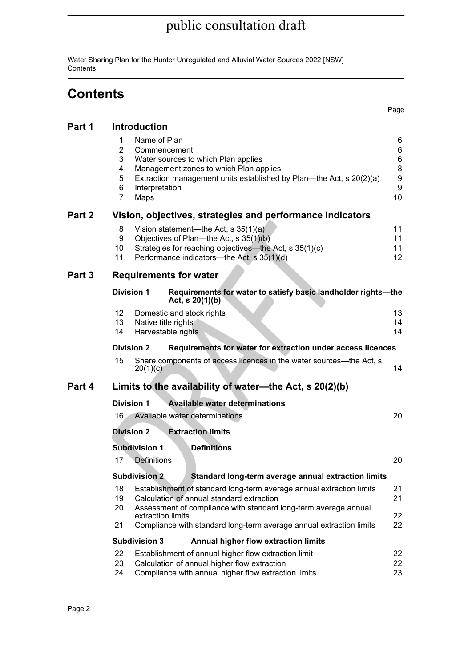Water Sharing Plan for the Hunter Unregulated and Alluvial Water Sources 2022 [NSW] **Contents** 

# **Contents**

Page

| Part 1 | <b>Introduction</b>                                                                                                                                                                                                                               |                                   |  |  |  |  |  |
|--------|---------------------------------------------------------------------------------------------------------------------------------------------------------------------------------------------------------------------------------------------------|-----------------------------------|--|--|--|--|--|
|        | Name of Plan<br>1<br>2<br>Commencement<br>3<br>Water sources to which Plan applies<br>Management zones to which Plan applies<br>4<br>5<br>Extraction management units established by Plan—the Act, s 20(2)(a)<br>6<br>Interpretation<br>7<br>Maps |                                   |  |  |  |  |  |
| Part 2 | Vision, objectives, strategies and performance indicators                                                                                                                                                                                         |                                   |  |  |  |  |  |
|        | 8<br>Vision statement—the Act, s 35(1)(a)<br>Objectives of Plan-the Act, s 35(1)(b)<br>9<br>Strategies for reaching objectives—the Act, s 35(1)(c)<br>10<br>Performance indicators-the Act, s 35(1)(d)<br>11                                      | 11<br>11<br>11<br>12 <sup>°</sup> |  |  |  |  |  |
| Part 3 | <b>Requirements for water</b>                                                                                                                                                                                                                     |                                   |  |  |  |  |  |
|        | <b>Division 1</b><br>Requirements for water to satisfy basic landholder rights-the<br>Act, $s \ 20(1)(b)$                                                                                                                                         |                                   |  |  |  |  |  |
|        | 12<br>Domestic and stock rights<br>13<br>Native title rights<br>14<br>Harvestable rights                                                                                                                                                          | 13<br>14<br>14                    |  |  |  |  |  |
|        | <b>Division 2</b><br>Requirements for water for extraction under access licences                                                                                                                                                                  |                                   |  |  |  |  |  |
|        | 15<br>Share components of access licences in the water sources—the Act, s<br>20(1)(c)                                                                                                                                                             | 14                                |  |  |  |  |  |
| Part 4 | Limits to the availability of water—the Act, s 20(2)(b)                                                                                                                                                                                           |                                   |  |  |  |  |  |
|        | <b>Division 1</b><br><b>Available water determinations</b>                                                                                                                                                                                        |                                   |  |  |  |  |  |
|        | Available water determinations<br>20<br>16                                                                                                                                                                                                        |                                   |  |  |  |  |  |
|        | <b>Extraction limits</b><br><b>Division 2</b>                                                                                                                                                                                                     |                                   |  |  |  |  |  |
|        | <b>Subdivision 1</b><br><b>Definitions</b>                                                                                                                                                                                                        |                                   |  |  |  |  |  |
|        | 17<br><b>Definitions</b>                                                                                                                                                                                                                          | 20                                |  |  |  |  |  |
|        | <b>Subdivision 2</b><br>Standard long-term average annual extraction limits                                                                                                                                                                       |                                   |  |  |  |  |  |
|        | 18<br>Establishment of standard long-term average annual extraction limits<br>19<br>Calculation of annual standard extraction<br>Assessment of compliance with standard long-term average annual<br>20                                            | 21<br>21                          |  |  |  |  |  |
|        | extraction limits<br>21<br>Compliance with standard long-term average annual extraction limits                                                                                                                                                    | 22<br>22                          |  |  |  |  |  |
|        | <b>Subdivision 3</b><br><b>Annual higher flow extraction limits</b>                                                                                                                                                                               |                                   |  |  |  |  |  |
|        | 22<br>Establishment of annual higher flow extraction limit<br>Calculation of annual higher flow extraction<br>23<br>Compliance with annual higher flow extraction limits<br>24                                                                    | 22<br>22<br>23                    |  |  |  |  |  |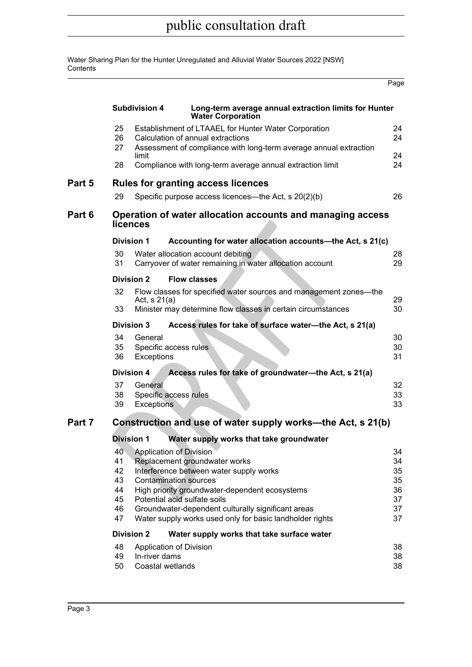Water Sharing Plan for the Hunter Unregulated and Alluvial Water Sources 2022 [NSW] **Contents** 

|        |                                                             |                                                              |                                                                                                                                                                                                                                                                                                              | Page                                         |  |  |  |  |
|--------|-------------------------------------------------------------|--------------------------------------------------------------|--------------------------------------------------------------------------------------------------------------------------------------------------------------------------------------------------------------------------------------------------------------------------------------------------------------|----------------------------------------------|--|--|--|--|
|        |                                                             | <b>Subdivision 4</b>                                         | Long-term average annual extraction limits for Hunter<br><b>Water Corporation</b>                                                                                                                                                                                                                            |                                              |  |  |  |  |
|        | 25<br>26<br>27                                              |                                                              | Establishment of LTAAEL for Hunter Water Corporation<br>Calculation of annual extractions                                                                                                                                                                                                                    | 24<br>24                                     |  |  |  |  |
|        | 28                                                          | limit                                                        | Assessment of compliance with long-term average annual extraction<br>Compliance with long-term average annual extraction limit                                                                                                                                                                               | 24<br>24                                     |  |  |  |  |
|        |                                                             |                                                              |                                                                                                                                                                                                                                                                                                              |                                              |  |  |  |  |
| Part 5 |                                                             |                                                              | <b>Rules for granting access licences</b>                                                                                                                                                                                                                                                                    |                                              |  |  |  |  |
|        | 29                                                          |                                                              | Specific purpose access licences—the Act, s 20(2)(b)                                                                                                                                                                                                                                                         | 26                                           |  |  |  |  |
| Part 6 |                                                             | licences                                                     | Operation of water allocation accounts and managing access                                                                                                                                                                                                                                                   |                                              |  |  |  |  |
|        |                                                             | <b>Division 1</b>                                            | Accounting for water allocation accounts-the Act, s 21(c)                                                                                                                                                                                                                                                    |                                              |  |  |  |  |
|        | 30<br>31                                                    |                                                              | Water allocation account debiting<br>Carryover of water remaining in water allocation account                                                                                                                                                                                                                | 28<br>29                                     |  |  |  |  |
|        |                                                             | <b>Division 2</b>                                            | <b>Flow classes</b>                                                                                                                                                                                                                                                                                          |                                              |  |  |  |  |
|        | 32                                                          | Act, $s 21(a)$                                               | Flow classes for specified water sources and management zones-the                                                                                                                                                                                                                                            | 29                                           |  |  |  |  |
|        | 33                                                          |                                                              | Minister may determine flow classes in certain circumstances                                                                                                                                                                                                                                                 | 30                                           |  |  |  |  |
|        |                                                             | <b>Division 3</b>                                            | Access rules for take of surface water-the Act, s 21(a)                                                                                                                                                                                                                                                      |                                              |  |  |  |  |
|        | 34<br>35<br>36                                              | General<br>Specific access rules<br>Exceptions               |                                                                                                                                                                                                                                                                                                              | 30<br>30<br>31                               |  |  |  |  |
|        |                                                             | <b>Division 4</b>                                            | Access rules for take of groundwater-the Act, s 21(a)                                                                                                                                                                                                                                                        |                                              |  |  |  |  |
|        | 37<br>38<br>39                                              | General<br>Specific access rules<br>Exceptions               |                                                                                                                                                                                                                                                                                                              | 32<br>33<br>33                               |  |  |  |  |
| Part 7 | Construction and use of water supply works—the Act, s 21(b) |                                                              |                                                                                                                                                                                                                                                                                                              |                                              |  |  |  |  |
|        |                                                             | <b>Division 1</b>                                            | Water supply works that take groundwater                                                                                                                                                                                                                                                                     |                                              |  |  |  |  |
|        | 40 <sup>°</sup><br>41<br>42<br>43<br>44<br>45<br>46<br>47   | Application of Division                                      | Replacement groundwater works<br>Interference between water supply works<br><b>Contamination sources</b><br>High priority groundwater-dependent ecosystems<br>Potential acid sulfate soils<br>Groundwater-dependent culturally significant areas<br>Water supply works used only for basic landholder rights | 34<br>34<br>35<br>35<br>36<br>37<br>37<br>37 |  |  |  |  |
|        |                                                             | <b>Division 2</b>                                            | Water supply works that take surface water                                                                                                                                                                                                                                                                   |                                              |  |  |  |  |
|        | 48<br>49<br>50                                              | Application of Division<br>In-river dams<br>Coastal wetlands |                                                                                                                                                                                                                                                                                                              | 38<br>38<br>38                               |  |  |  |  |

÷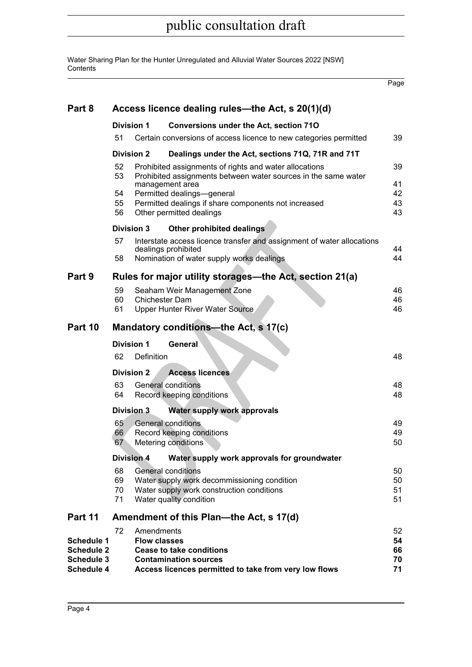Water Sharing Plan for the Hunter Unregulated and Alluvial Water Sources 2022 [NSW] **Contents** 

Page

| Part 8                          | Access licence dealing rules—the Act, s 20(1)(d)                                                                                                    |                                                 |                                                                                                                          |          |  |  |  |  |
|---------------------------------|-----------------------------------------------------------------------------------------------------------------------------------------------------|-------------------------------------------------|--------------------------------------------------------------------------------------------------------------------------|----------|--|--|--|--|
|                                 | <b>Division 1</b>                                                                                                                                   |                                                 | <b>Conversions under the Act, section 710</b>                                                                            |          |  |  |  |  |
|                                 | 51                                                                                                                                                  |                                                 | Certain conversions of access licence to new categories permitted                                                        | 39       |  |  |  |  |
|                                 | <b>Division 2</b>                                                                                                                                   |                                                 | Dealings under the Act, sections 71Q, 71R and 71T                                                                        |          |  |  |  |  |
|                                 | 52<br>53                                                                                                                                            |                                                 | Prohibited assignments of rights and water allocations<br>Prohibited assignments between water sources in the same water |          |  |  |  |  |
|                                 | management area<br>Permitted dealings-general<br>54<br>Permitted dealings if share components not increased<br>55<br>Other permitted dealings<br>56 |                                                 |                                                                                                                          |          |  |  |  |  |
|                                 | <b>Division 3</b>                                                                                                                                   |                                                 | Other prohibited dealings                                                                                                |          |  |  |  |  |
|                                 | 57                                                                                                                                                  |                                                 | Interstate access licence transfer and assignment of water allocations<br>dealings prohibited                            | 44       |  |  |  |  |
|                                 | 58                                                                                                                                                  |                                                 | Nomination of water supply works dealings                                                                                | 44       |  |  |  |  |
| Part 9                          | Rules for major utility storages—the Act, section 21(a)                                                                                             |                                                 |                                                                                                                          |          |  |  |  |  |
|                                 | 59                                                                                                                                                  |                                                 | Seaham Weir Management Zone                                                                                              | 46       |  |  |  |  |
|                                 | 60                                                                                                                                                  | Chichester Dam                                  |                                                                                                                          | 46<br>46 |  |  |  |  |
|                                 | 61                                                                                                                                                  |                                                 | <b>Upper Hunter River Water Source</b>                                                                                   |          |  |  |  |  |
| Part 10                         | Mandatory conditions—the Act, s 17(c)                                                                                                               |                                                 |                                                                                                                          |          |  |  |  |  |
|                                 | <b>Division 1</b>                                                                                                                                   |                                                 | General                                                                                                                  |          |  |  |  |  |
|                                 | 62                                                                                                                                                  | Definition                                      |                                                                                                                          | 48       |  |  |  |  |
|                                 | <b>Division 2</b><br><b>Access licences</b>                                                                                                         |                                                 |                                                                                                                          |          |  |  |  |  |
|                                 | 63<br>64                                                                                                                                            | General conditions<br>Record keeping conditions |                                                                                                                          |          |  |  |  |  |
|                                 | Division 3                                                                                                                                          |                                                 | Water supply work approvals                                                                                              |          |  |  |  |  |
|                                 | 65                                                                                                                                                  |                                                 | General conditions                                                                                                       | 49<br>49 |  |  |  |  |
|                                 | Record keeping conditions<br>66<br>Metering conditions<br>67                                                                                        |                                                 |                                                                                                                          |          |  |  |  |  |
|                                 |                                                                                                                                                     |                                                 | Division 4 Water supply work approvals for groundwater                                                                   | 50       |  |  |  |  |
|                                 | 68                                                                                                                                                  |                                                 | General conditions                                                                                                       | 50       |  |  |  |  |
|                                 | 69<br>Water supply work decommissioning condition                                                                                                   |                                                 |                                                                                                                          |          |  |  |  |  |
|                                 | 70<br>Water supply work construction conditions<br>Water quality condition<br>71                                                                    |                                                 |                                                                                                                          |          |  |  |  |  |
|                                 | 51                                                                                                                                                  |                                                 |                                                                                                                          |          |  |  |  |  |
| Part 11                         | Amendment of this Plan—the Act, s 17(d)                                                                                                             |                                                 |                                                                                                                          |          |  |  |  |  |
| <b>Schedule 1</b>               | 72                                                                                                                                                  | Amendments<br><b>Flow classes</b>               |                                                                                                                          | 52<br>54 |  |  |  |  |
| <b>Schedule 2</b>               |                                                                                                                                                     |                                                 | <b>Cease to take conditions</b>                                                                                          | 66       |  |  |  |  |
| <b>Schedule 3</b><br>Schedule 4 |                                                                                                                                                     |                                                 | <b>Contamination sources</b><br>Access licences permitted to take from very low flows                                    | 70<br>71 |  |  |  |  |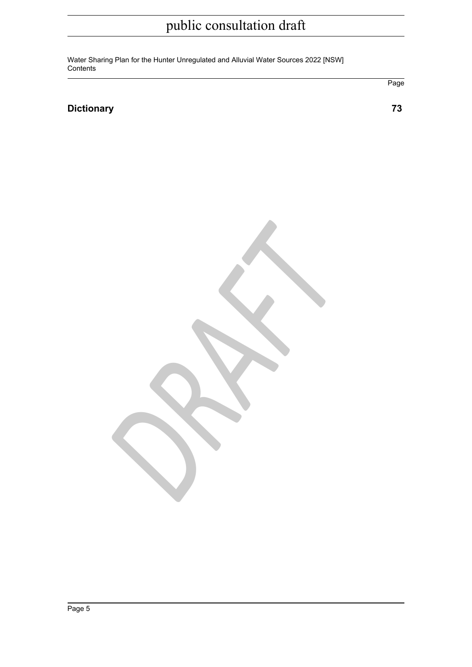Water Sharing Plan for the Hunter Unregulated and Alluvial Water Sources 2022 [NSW] **Contents** 

## **[Dictionary 73](#page-72-0)**

*DRAFT*

Page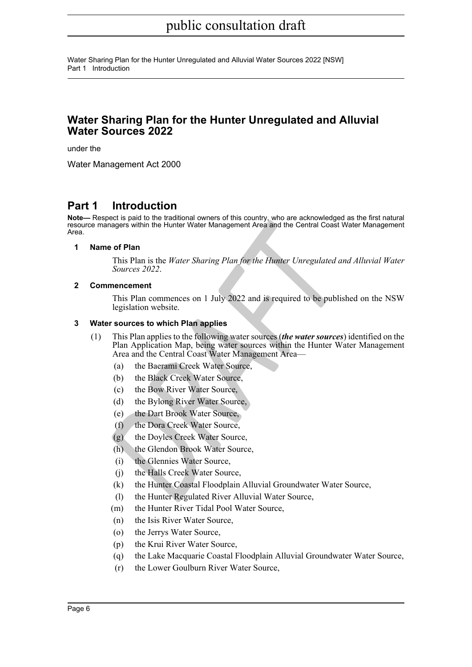Water Sharing Plan for the Hunter Unregulated and Alluvial Water Sources 2022 [NSW] Part 1 Introduction

# **Water Sharing Plan for the Hunter Unregulated and Alluvial Water Sources 2022**

under the

Water Management Act 2000

# <span id="page-5-0"></span>**Part 1 Introduction**

**Note—** Respect is paid to the traditional owners of this country, who are acknowledged as the first natural resource managers within the Hunter Water Management Area and the Central Coast Water Management Area.

#### <span id="page-5-1"></span>**1 Name of Plan**

This Plan is the *Water Sharing Plan for the Hunter Unregulated and Alluvial Water Sources 2022* .

#### <span id="page-5-2"></span>**2 Commencement**

This Plan commences on 1 July 2022 and is required to be published on the NSW legislation website.

#### <span id="page-5-3"></span>**3 Water sources to which Plan applies**

- *Providence South the Bunder Water Management Area and the Central Coast W*<br> **PRODUCE 10**<br> **DRAFT** This Plan is the *Water Sharing Plan for the Hunter Unregulated an*<br> *Sources 2022.*<br> **DRAFTER PRODUCE 10**<br> **DRAFTER TO THE** (1) This Plan applies to the following water sources (*the water sources*) identified on the Plan Application Map, being water sources within the Hunter Water Management Area and the Central Coast Water Management Area—
	- (a) the Baerami Creek Water Source,
	- (b) the Black Creek Water Source,
	- (c) the Bow River Water Source,
	- (d) the Bylong River Water Source,
	- (e) the Dart Brook Water Source,
	- (f) the Dora Creek Water Source,
	- (g) the Doyles Creek Water Source,
	- (h) the Glendon Brook Water Source,
	- (i) the Glennies Water Source,
	- (j) the Halls Creek Water Source,
	- (k) the Hunter Coastal Floodplain Alluvial Groundwater Water Source,
	- (l) the Hunter Regulated River Alluvial Water Source,
	- (m) the Hunter River Tidal Pool Water Source,
	- (n) the Isis River Water Source,
	- (o) the Jerrys Water Source,
	- (p) the Krui River Water Source,
	- (q) the Lake Macquarie Coastal Floodplain Alluvial Groundwater Water Source,
	- (r) the Lower Goulburn River Water Source,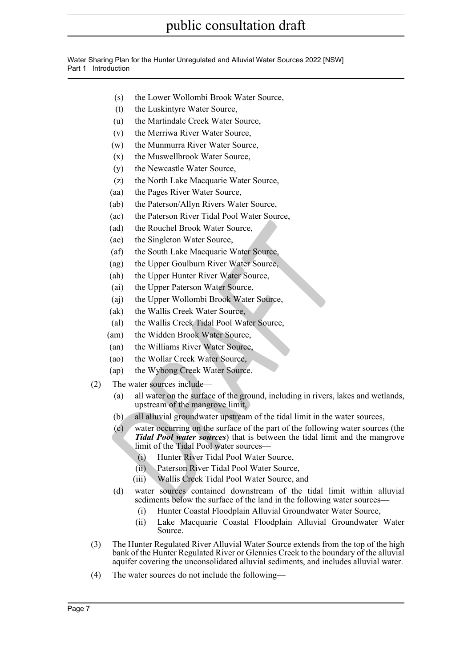Water Sharing Plan for the Hunter Unregulated and Alluvial Water Sources 2022 [NSW] Part 1 Introduction

- (s) the Lower Wollombi Brook Water Source,
- (t) the Luskintyre Water Source,
- (u) the Martindale Creek Water Source,
- (v) the Merriwa River Water Source,
- (w) the Munmurra River Water Source,
- (x) the Muswellbrook Water Source,
- (y) the Newcastle Water Source,
- (z) the North Lake Macquarie Water Source,
- (aa) the Pages River Water Source,
- (ab) the Paterson/Allyn Rivers Water Source,
- (ac) the Paterson River Tidal Pool Water Source,
- (ad) the Rouchel Brook Water Source,
- (ae) the Singleton Water Source,
- (af) the South Lake Macquarie Water Source,
- (ag) the Upper Goulburn River Water Source,
- (ah) the Upper Hunter River Water Source,
- (ai) the Upper Paterson Water Source,
- (aj) the Upper Wollombi Brook Water Source,
- (ak) the Wallis Creek Water Source,
- (al) the Wallis Creek Tidal Pool Water Source,
- (am) the Widden Brook Water Source,
- (an) the Williams River Water Source,
- (ao) the Wollar Creek Water Source,
- (ap) the Wybong Creek Water Source.
- (2) The water sources include—
	- (a) all water on the surface of the ground, including in rivers, lakes and wetlands, upstream of the mangrove limit,
	- (b) all alluvial groundwater upstream of the tidal limit in the water sources,
- (ad) the Rouchel Brook Water Source,<br>
(ac) the Singleton Water Source,<br>
(af) the South Lake Macquaric Water Source,<br>
(ag) the Upper Goulburn River Water Source,<br>
(ah) the Upper Hunter River Water Source,<br>
(ai) the Upper Hu (c) water occurring on the surface of the part of the following water sources (the *Tidal Pool water sources*) that is between the tidal limit and the mangrove limit of the Tidal Pool water sources—
	- (i) Hunter River Tidal Pool Water Source,
	- (ii) Paterson River Tidal Pool Water Source,
	- (iii) Wallis Creek Tidal Pool Water Source, and
	- (d) water sources contained downstream of the tidal limit within alluvial sediments below the surface of the land in the following water sources—
		- (i) Hunter Coastal Floodplain Alluvial Groundwater Water Source,
		- (ii) Lake Macquarie Coastal Floodplain Alluvial Groundwater Water Source.
- (3) The Hunter Regulated River Alluvial Water Source extends from the top of the high bank of the Hunter Regulated River or Glennies Creek to the boundary of the alluvial aquifer covering the unconsolidated alluvial sediments, and includes alluvial water.
- (4) The water sources do not include the following—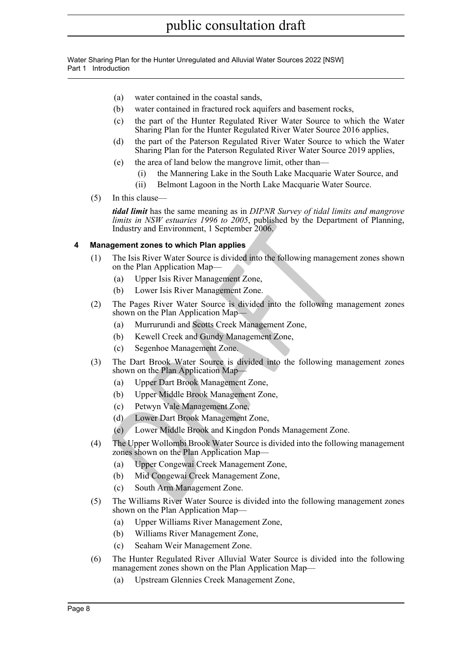Water Sharing Plan for the Hunter Unregulated and Alluvial Water Sources 2022 [NSW] Part 1 Introduction

- (a) water contained in the coastal sands,
- (b) water contained in fractured rock aquifers and basement rocks,
- (c) the part of the Hunter Regulated River Water Source to which the Water Sharing Plan for the Hunter Regulated River Water Source 2016 applies,
- (d) the part of the Paterson Regulated River Water Source to which the Water Sharing Plan for the Paterson Regulated River Water Source 2019 applies,
- (e) the area of land below the mangrove limit, other than—
	- (i) the Mannering Lake in the South Lake Macquarie Water Source, and
	- (ii) Belmont Lagoon in the North Lake Macquarie Water Source.
- (5) In this clause—

*tidal limit* has the same meaning as in *DIPNR Survey of tidal limits and mangrove limits in NSW estuaries 1996 to 2005*, published by the Department of Planning, Industry and Environment, 1 September 2006.

#### <span id="page-7-0"></span>**4 Management zones to which Plan applies**

- *Immits in NSW estidares 1996 to 2005*, published by the Departm<br>
Industry and Environment, 1 September 2006,<br> **Alastry and Environment, 1** September 2006.<br> **DRAFT CONTEX CONTEM AND ADVENT CONTEX CONTEX CONTEX CONTENT (a)** (1) The Isis River Water Source is divided into the following management zones shown on the Plan Application Map—
	- (a) Upper Isis River Management Zone,
	- (b) Lower Isis River Management Zone.
- (2) The Pages River Water Source is divided into the following management zones shown on the Plan Application Map—
	- (a) Murrurundi and Scotts Creek Management Zone,
	- (b) Kewell Creek and Gundy Management Zone,
	- (c) Segenhoe Management Zone.
- (3) The Dart Brook Water Source is divided into the following management zones shown on the Plan Application Map—
	- (a) Upper Dart Brook Management Zone,
	- (b) Upper Middle Brook Management Zone,
	- (c) Petwyn Vale Management Zone,
	- (d) Lower Dart Brook Management Zone,
	- (e) Lower Middle Brook and Kingdon Ponds Management Zone.
- (4) The Upper Wollombi Brook Water Source is divided into the following management zones shown on the Plan Application Map—
	- (a) Upper Congewai Creek Management Zone,
	- (b) Mid Congewai Creek Management Zone,
	- (c) South Arm Management Zone.
- (5) The Williams River Water Source is divided into the following management zones shown on the Plan Application Map—
	- (a) Upper Williams River Management Zone,
	- (b) Williams River Management Zone,
	- (c) Seaham Weir Management Zone.
- (6) The Hunter Regulated River Alluvial Water Source is divided into the following management zones shown on the Plan Application Map—
	- (a) Upstream Glennies Creek Management Zone,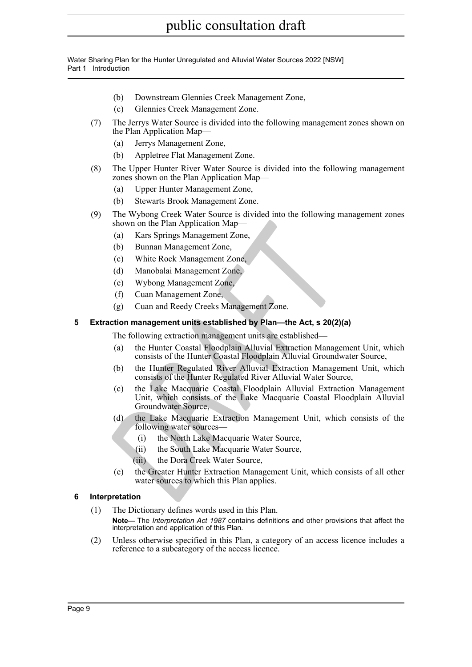Water Sharing Plan for the Hunter Unregulated and Alluvial Water Sources 2022 [NSW] Part 1 Introduction

- (b) Downstream Glennies Creek Management Zone,
- (c) Glennies Creek Management Zone.
- (7) The Jerrys Water Source is divided into the following management zones shown on the Plan Application Map-
	- (a) Jerrys Management Zone,
	- (b) Appletree Flat Management Zone.
- (8) The Upper Hunter River Water Source is divided into the following management zones shown on the Plan Application Map—
	- (a) Upper Hunter Management Zone,
	- (b) Stewarts Brook Management Zone.
- (9) The Wybong Creek Water Source is divided into the following management zones shown on the Plan Application Map—
	- (a) Kars Springs Management Zone,
	- (b) Bunnan Management Zone,
	- (c) White Rock Management Zone,
	- (d) Manobalai Management Zone,
	- (e) Wybong Management Zone,
	- (f) Cuan Management Zone,
	- (g) Cuan and Reedy Creeks Management Zone.

#### <span id="page-8-0"></span>**5 Extraction management units established by Plan—the Act, s 20(2)(a)**

The following extraction management units are established—

- (a) the Hunter Coastal Floodplain Alluvial Extraction Management Unit, which consists of the Hunter Coastal Floodplain Alluvial Groundwater Source,
- (b) the Hunter Regulated River Alluvial Extraction Management Unit, which consists of the Hunter Regulated River Alluvial Water Source,
- shown on the Plan Application Map—<br>
(a) Kars Springs Management Zone,<br>
(b) Bunnan Management Zone,<br>
(c) White Rock Management Zone,<br>
(d) Manobalai Management Zone,<br>
(e) Wybong Management Zone,<br>
(g) Cuan and Reedy Creeks Ma (c) the Lake Macquarie Coastal Floodplain Alluvial Extraction Management Unit, which consists of the Lake Macquarie Coastal Floodplain Alluvial Groundwater Source,
	- (d) the Lake Macquarie Extraction Management Unit, which consists of the following water sources—
		- (i) the North Lake Macquarie Water Source,
		- (ii) the South Lake Macquarie Water Source,
		- (iii) the Dora Creek Water Source,
	- (e) the Greater Hunter Extraction Management Unit, which consists of all other water sources to which this Plan applies.

#### <span id="page-8-1"></span>**6 Interpretation**

- (1) The Dictionary defines words used in this Plan. **Note—** The *Interpretation Act 1987* contains definitions and other provisions that affect the interpretation and application of this Plan.
- (2) Unless otherwise specified in this Plan, a category of an access licence includes a reference to a subcategory of the access licence.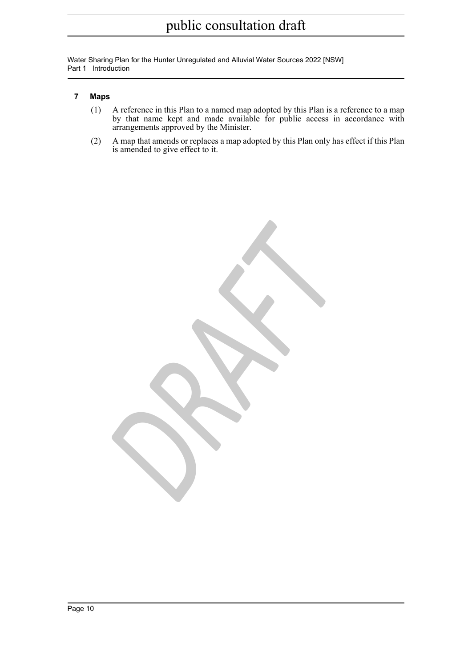Water Sharing Plan for the Hunter Unregulated and Alluvial Water Sources 2022 [NSW] Part 1 Introduction

#### <span id="page-9-0"></span>**7 Maps**

- (1) A reference in this Plan to a named map adopted by this Plan is a reference to a map by that name kept and made available for public access in accordance with arrangements approved by the Minister.
- (2) A map that amends or replaces a map adopted by this Plan only has effect if this Plan is amended to give effect to it.

*DRAFT*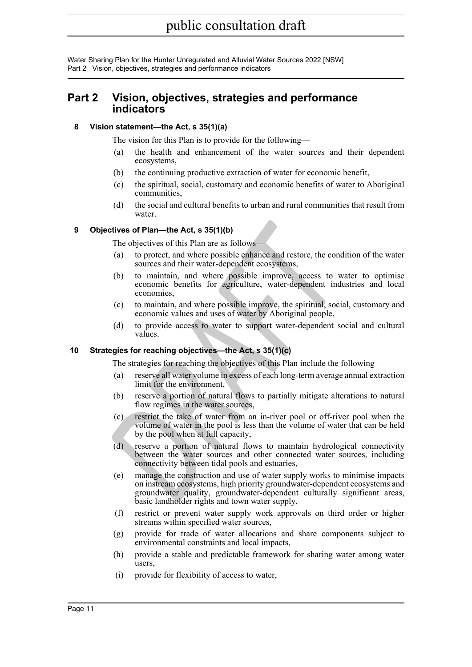Water Sharing Plan for the Hunter Unregulated and Alluvial Water Sources 2022 [NSW] Part 2 Vision, objectives, strategies and performance indicators

## <span id="page-10-0"></span>**Part 2 Vision, objectives, strategies and performance indicators**

#### <span id="page-10-1"></span>**8 Vision statement—the Act, s 35(1)(a)**

The vision for this Plan is to provide for the following—

- (a) the health and enhancement of the water sources and their dependent ecosystems,
- (b) the continuing productive extraction of water for economic benefit,
- (c) the spiritual, social, customary and economic benefits of water to Aboriginal communities,
- (d) the social and cultural benefits to urban and rural communities that result from water.

#### <span id="page-10-2"></span>**9 Objectives of Plan—the Act, s 35(1)(b)**

The objectives of this Plan are as follows-

- (a) to protect, and where possible enhance and restore, the condition of the water sources and their water-dependent ecosystems,
- (b) to maintain, and where possible improve, access to water to optimise economic benefits for agriculture, water-dependent industries and local economies,
- (c) to maintain, and where possible improve, the spiritual, social, customary and economic values and uses of water by Aboriginal people,
- (d) to provide access to water to support water-dependent social and cultural values.

#### <span id="page-10-3"></span>**10 Strategies for reaching objectives—the Act, s 35(1)(c)**

The strategies for reaching the objectives of this Plan include the following—

- (a) reserve all water volume in excess of each long-term average annual extraction limit for the environment,
- (b) reserve a portion of natural flows to partially mitigate alterations to natural flow regimes in the water sources,
- (c) restrict the take of water from an in-river pool or off-river pool when the volume of water in the pool is less than the volume of water that can be held by the pool when at full capacity,
- (d) reserve a portion of natural flows to maintain hydrological connectivity between the water sources and other connected water sources, including connectivity between tidal pools and estuaries,
- **Example 10** and where possible enhance and restore, the conditionary and their matter dependent cosystems,<br>
(b) to protect, and where possible enhance and restore, the condition sources and their water-dependent ecosystem (e) manage the construction and use of water supply works to minimise impacts on instream ecosystems, high priority groundwater-dependent ecosystems and groundwater quality, groundwater-dependent culturally significant areas, basic landholder rights and town water supply,
	- (f) restrict or prevent water supply work approvals on third order or higher streams within specified water sources,
	- (g) provide for trade of water allocations and share components subject to environmental constraints and local impacts,
	- (h) provide a stable and predictable framework for sharing water among water users,
	- (i) provide for flexibility of access to water,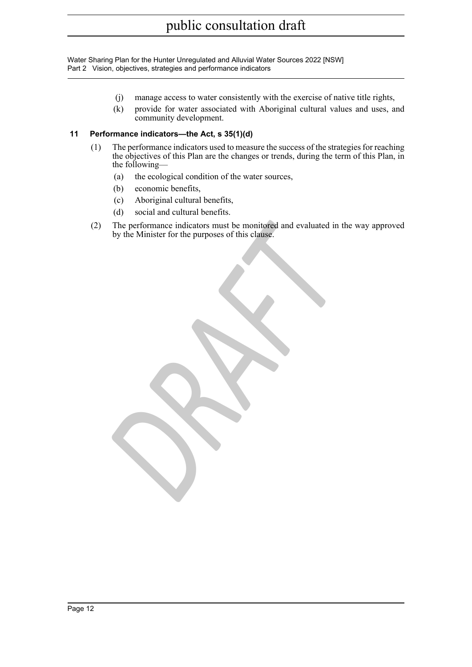Water Sharing Plan for the Hunter Unregulated and Alluvial Water Sources 2022 [NSW] Part 2 Vision, objectives, strategies and performance indicators

- (j) manage access to water consistently with the exercise of native title rights,
- (k) provide for water associated with Aboriginal cultural values and uses, and community development.

#### <span id="page-11-0"></span>**11 Performance indicators—the Act, s 35(1)(d)**

- (1) The performance indicators used to measure the success of the strategies for reaching the objectives of this Plan are the changes or trends, during the term of this Plan, in the following—
	- (a) the ecological condition of the water sources,
	- (b) economic benefits,
	- (c) Aboriginal cultural benefits,
	- (d) social and cultural benefits.
- The performance indicators must be monitored and evaluated in the by the Minister for the purposes of this clause. (2) The performance indicators must be monitored and evaluated in the way approved by the Minister for the purposes of this clause.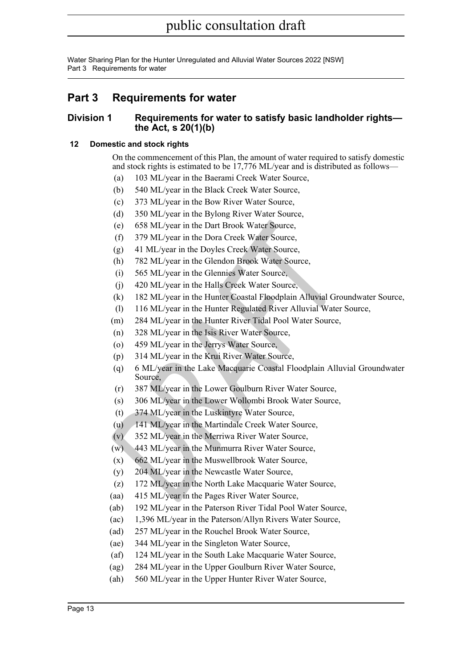# <span id="page-12-0"></span>**Part 3 Requirements for water**

### <span id="page-12-1"></span>**Division 1 Requirements for water to satisfy basic landholder rights the Act, s 20(1)(b)**

### <span id="page-12-2"></span>**12 Domestic and stock rights**

On the commencement of this Plan, the amount of water required to satisfy domestic and stock rights is estimated to be 17,776 ML/year and is distributed as follows—

- (a) 103 ML/year in the Baerami Creek Water Source,
- (b) 540 ML/year in the Black Creek Water Source,
- (c) 373 ML/year in the Bow River Water Source,
- (d) 350 ML/year in the Bylong River Water Source,
- (e) 658 ML/year in the Dart Brook Water Source,
- (f) 379 ML/year in the Dora Creek Water Source,
- (g) 41 ML/year in the Doyles Creek Water Source,
- (h) 782 ML/year in the Glendon Brook Water Source,
- (i) 565 ML/year in the Glennies Water Source,
- (j) 420 ML/year in the Halls Creek Water Source,
- (k) 182 ML/year in the Hunter Coastal Floodplain Alluvial Groundwater Source,
- (l) 116 ML/year in the Hunter Regulated River Alluvial Water Source,
- (m) 284 ML/year in the Hunter River Tidal Pool Water Source,
- (n) 328 ML/year in the Isis River Water Source,
- (o) 459 ML/year in the Jerrys Water Source,
- (p) 314 ML/year in the Krui River Water Source,
- (e) 658 ML/year in the Dart Brook Water Source,<br>
(f) 379 ML/year in the Dora Creek Water Source,<br>
(g) 41 ML/year in the Glendon Brook Water Source,<br>
(h) 782 ML/year in the Glendon Brook Water Source,<br>
(i) 656 ML/year in th (q) 6 ML/year in the Lake Macquarie Coastal Floodplain Alluvial Groundwater Source,
	- (r) 387 ML/year in the Lower Goulburn River Water Source,
	- (s) 306 ML/year in the Lower Wollombi Brook Water Source,
	- (t) 374 ML/year in the Luskintyre Water Source,
	- (u) 141 ML/year in the Martindale Creek Water Source,
	- (v) 352 ML/year in the Merriwa River Water Source,
	- (w) 443 ML/year in the Munmurra River Water Source,
	- (x) 662 ML/year in the Muswellbrook Water Source,
	- (y) 204 ML/year in the Newcastle Water Source,
	- (z) 172 ML/year in the North Lake Macquarie Water Source,
	- (aa) 415 ML/year in the Pages River Water Source,
	- (ab) 192 ML/year in the Paterson River Tidal Pool Water Source,
	- (ac) 1,396 ML/year in the Paterson/Allyn Rivers Water Source,
	- (ad) 257 ML/year in the Rouchel Brook Water Source,
	- (ae) 344 ML/year in the Singleton Water Source,
	- (af) 124 ML/year in the South Lake Macquarie Water Source,
	- (ag) 284 ML/year in the Upper Goulburn River Water Source,
	- (ah) 560 ML/year in the Upper Hunter River Water Source,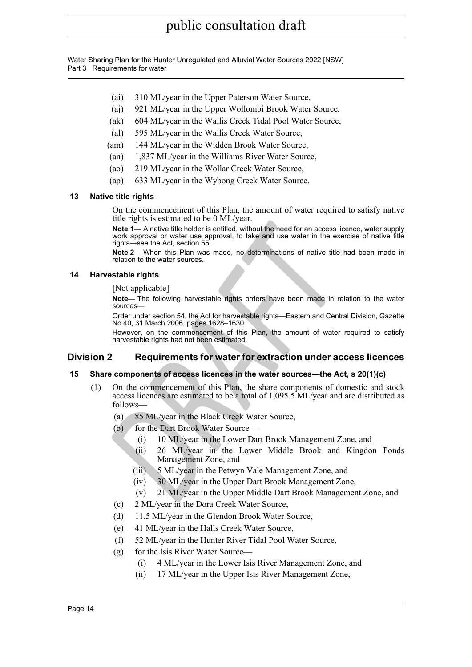- (ai) 310 ML/year in the Upper Paterson Water Source,
- (aj) 921 ML/year in the Upper Wollombi Brook Water Source,
- (ak) 604 ML/year in the Wallis Creek Tidal Pool Water Source,
- (al) 595 ML/year in the Wallis Creek Water Source,
- (am) 144 ML/year in the Widden Brook Water Source,
- (an) 1,837 ML/year in the Williams River Water Source,
- (ao) 219 ML/year in the Wollar Creek Water Source,
- (ap) 633 ML/year in the Wybong Creek Water Source.

#### <span id="page-13-0"></span>**13 Native title rights**

On the commencement of this Plan, the amount of water required to satisfy native title rights is estimated to be 0 ML/year.

Note 1- A native title holder is entitled, without the need for an access licence, water supply work approval or water use approval, to take and use water in the exercise of native title rights—see the Act, section 55.

**Note 2—** When this Plan was made, no determinations of native title had been made in relation to the water sources.

#### <span id="page-13-1"></span>**14 Harvestable rights**

[Not applicable]

**Note—** The following harvestable rights orders have been made in relation to the water sources—

Order under section 54, the Act for harvestable rights—Eastern and Central Division, Gazette No 40, 31 March 2006, pages 1628–1630.

However, on the commencement of this Plan, the amount of water required to satisfy harvestable rights had not been estimated.

### <span id="page-13-2"></span>**Division 2 Requirements for water for extraction under access licences**

#### <span id="page-13-3"></span>**15 Share components of access licences in the water sources—the Act, s 20(1)(c)**

- Internative Transis and matricular of the Unity Jean.<br> **Note 1—A** native title holder is entitled, without the need for an access lice work approval or water use approval, to take and use water in the exercity of the water (1) On the commencement of this Plan, the share components of domestic and stock access licences are estimated to be a total of 1,095.5 ML/year and are distributed as follows—
	- (a) 85 ML/year in the Black Creek Water Source,
	- (b) for the Dart Brook Water Source—
		- (i) 10 ML/year in the Lower Dart Brook Management Zone, and
		- (ii) 26 ML/year in the Lower Middle Brook and Kingdon Ponds Management Zone, and
		- (iii) 5 ML/year in the Petwyn Vale Management Zone, and
		- (iv) 30 ML/year in the Upper Dart Brook Management Zone,
		- (v) 21 ML/year in the Upper Middle Dart Brook Management Zone, and
	- (c) 2 ML/year in the Dora Creek Water Source,
	- (d) 11.5 ML/year in the Glendon Brook Water Source,
	- (e) 41 ML/year in the Halls Creek Water Source,
	- (f) 52 ML/year in the Hunter River Tidal Pool Water Source,
	- (g) for the Isis River Water Source—
		- (i) 4 ML/year in the Lower Isis River Management Zone, and
		- (ii) 17 ML/year in the Upper Isis River Management Zone,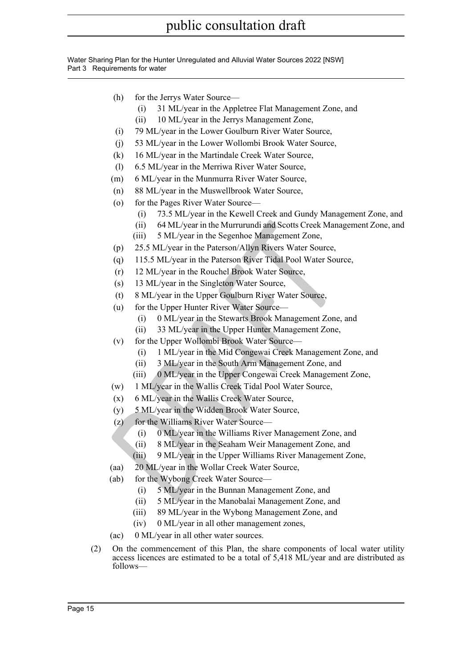- (h) for the Jerrys Water Source—
	- (i) 31 ML/year in the Appletree Flat Management Zone, and
	- (ii) 10 ML/year in the Jerrys Management Zone,
- (i) 79 ML/year in the Lower Goulburn River Water Source,
- (j) 53 ML/year in the Lower Wollombi Brook Water Source,
- (k) 16 ML/year in the Martindale Creek Water Source,
- (l) 6.5 ML/year in the Merriwa River Water Source,
- (m) 6 ML/year in the Munmurra River Water Source,
- (n) 88 ML/year in the Muswellbrook Water Source,
- (o) for the Pages River Water Source—
	- (i) 73.5 ML/year in the Kewell Creek and Gundy Management Zone, and
	- (ii) 64 ML/year in the Murrurundi and Scotts Creek Management Zone, and
	- (iii) 5 ML/year in the Segenhoe Management Zone,
- (p) 25.5 ML/year in the Paterson/Allyn Rivers Water Source,
- (ii) 64 ML/year in the Murrurundi and Scotts Creek Manag<br>
(iii) 5 ML/year in the Paterson/Allyn Rivers Water Source,<br>
(p) 25.5 ML/year in the Paterson River Tidal Pool Water Source,<br>
(q) 115.5 ML/year in the Paterson River (q) 115.5 ML/year in the Paterson River Tidal Pool Water Source,
	- (r) 12 ML/year in the Rouchel Brook Water Source,
	- (s) 13 ML/year in the Singleton Water Source,
	- (t) 8 ML/year in the Upper Goulburn River Water Source,
	- (u) for the Upper Hunter River Water Source—
		- (i) 0 ML/year in the Stewarts Brook Management Zone, and
		- (ii) 33 ML/year in the Upper Hunter Management Zone,
	- (v) for the Upper Wollombi Brook Water Source—
		- (i) 1 ML/year in the Mid Congewai Creek Management Zone, and
		- (ii) 3 ML/year in the South Arm Management Zone, and
		- (iii) 0 ML/year in the Upper Congewai Creek Management Zone,
	- (w) 1 ML/year in the Wallis Creek Tidal Pool Water Source,
	- (x) 6 ML/year in the Wallis Creek Water Source,
	- (y) 5 ML/year in the Widden Brook Water Source,
	- (z) for the Williams River Water Source—
		- (i) 0 ML/year in the Williams River Management Zone, and
		- (ii) 8 ML/year in the Seaham Weir Management Zone, and
		- (iii) 9 ML/year in the Upper Williams River Management Zone,
	- (aa) 20 ML/year in the Wollar Creek Water Source,
	- (ab) for the Wybong Creek Water Source—
		- (i) 5 ML/year in the Bunnan Management Zone, and
		- (ii) 5 ML/year in the Manobalai Management Zone, and
		- (iii) 89 ML/year in the Wybong Management Zone, and
		- (iv) 0 ML/year in all other management zones,
	- (ac) 0 ML/year in all other water sources.
- (2) On the commencement of this Plan, the share components of local water utility access licences are estimated to be a total of 5,418 ML/year and are distributed as follows—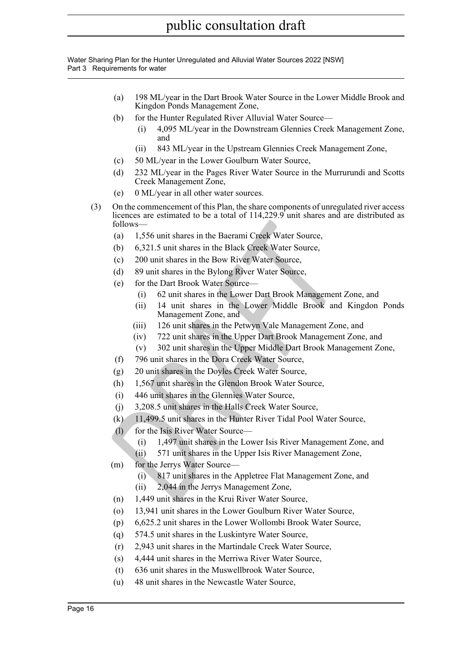- (a) 198 ML/year in the Dart Brook Water Source in the Lower Middle Brook and Kingdon Ponds Management Zone,
- (b) for the Hunter Regulated River Alluvial Water Source—
	- (i) 4,095 ML/year in the Downstream Glennies Creek Management Zone, and
	- (ii) 843 ML/year in the Upstream Glennies Creek Management Zone,
- (c) 50 ML/year in the Lower Goulburn Water Source,
- (d) 232 ML/year in the Pages River Water Source in the Murrurundi and Scotts Creek Management Zone,
- (e) 0 ML/year in all other water sources.
- (3) On the commencement of this Plan, the share components of unregulated river access licences are estimated to be a total of 114,229.9 unit shares and are distributed as follows—
	- (a) 1,556 unit shares in the Baerami Creek Water Source,
	- (b) 6,321.5 unit shares in the Black Creek Water Source,
	- (c) 200 unit shares in the Bow River Water Source,
	- (d) 89 unit shares in the Bylong River Water Source,
	- (e) for the Dart Brook Water Source—
		- (i) 62 unit shares in the Lower Dart Brook Management Zone, and
	- follows—<br>
	(a) 1,556 unit shares in the Bareami Creek Water Source,<br>
	(b) 6,321.5 unit shares in the Black Creek Water Source,<br>
	(c) 200 unit shares in the Bylong River Water Source,<br>
	(d) 89 unit shares in the Bylong River Wa (ii) 14 unit shares in the Lower Middle Brook and Kingdon Ponds Management Zone, and
		- (iii) 126 unit shares in the Petwyn Vale Management Zone, and
		- (iv) 722 unit shares in the Upper Dart Brook Management Zone, and
		- (v) 302 unit shares in the Upper Middle Dart Brook Management Zone,
		- (f) 796 unit shares in the Dora Creek Water Source,
		- (g) 20 unit shares in the Doyles Creek Water Source,
		- (h) 1,567 unit shares in the Glendon Brook Water Source,
		- (i) 446 unit shares in the Glennies Water Source,
		- (j) 3,208.5 unit shares in the Halls Creek Water Source,
		- (k) 11,499.5 unit shares in the Hunter River Tidal Pool Water Source,
		- (l) for the Isis River Water Source—
			- (i) 1,497 unit shares in the Lower Isis River Management Zone, and
			- (ii) 571 unit shares in the Upper Isis River Management Zone,
	- (m) for the Jerrys Water Source—
		- (i) 817 unit shares in the Appletree Flat Management Zone, and
		- (ii) 2,044 in the Jerrys Management Zone,
	- (n) 1,449 unit shares in the Krui River Water Source,
	- (o) 13,941 unit shares in the Lower Goulburn River Water Source,
	- (p) 6,625.2 unit shares in the Lower Wollombi Brook Water Source,
	- (q) 574.5 unit shares in the Luskintyre Water Source,
	- (r) 2,943 unit shares in the Martindale Creek Water Source,
	- (s) 4,444 unit shares in the Merriwa River Water Source,
	- (t) 636 unit shares in the Muswellbrook Water Source,
	- (u) 48 unit shares in the Newcastle Water Source,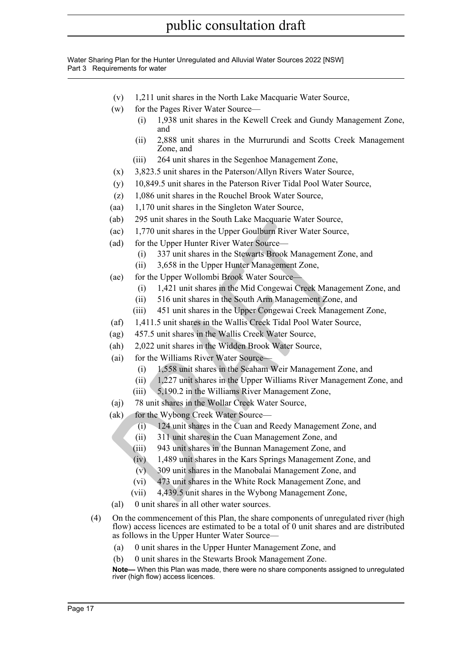Water Sharing Plan for the Hunter Unregulated and Alluvial Water Sources 2022 [NSW] Part 3 Requirements for water

- (v) 1,211 unit shares in the North Lake Macquarie Water Source,
- (w) for the Pages River Water Source—
	- (i) 1,938 unit shares in the Kewell Creek and Gundy Management Zone, and
		- (ii) 2,888 unit shares in the Murrurundi and Scotts Creek Management Zone, and
	- (iii) 264 unit shares in the Segenhoe Management Zone,
- (x) 3,823.5 unit shares in the Paterson/Allyn Rivers Water Source,
- (y) 10,849.5 unit shares in the Paterson River Tidal Pool Water Source,
- (z) 1,086 unit shares in the Rouchel Brook Water Source,
- (aa) 1,170 unit shares in the Singleton Water Source,
- (ab) 295 unit shares in the South Lake Macquarie Water Source,
- (ao) 259 unit shares in the Solut Later Water Touries.<br>
(as) 1,770 unit shares in the Upper Goulburn River Water Source,<br>
(ad) for the Upper Hunter River Water Source—<br>
(i) 3,658 in the Upper Hunter Management Zone,<br>
(ii) (ac) 1,770 unit shares in the Upper Goulburn River Water Source,
	- (ad) for the Upper Hunter River Water Source—
		- (i) 337 unit shares in the Stewarts Brook Management Zone, and
		- (ii) 3,658 in the Upper Hunter Management Zone,
	- (ae) for the Upper Wollombi Brook Water Source—
		- (i) 1,421 unit shares in the Mid Congewai Creek Management Zone, and
		- (ii) 516 unit shares in the South Arm Management Zone, and
		- (iii) 451 unit shares in the Upper Congewai Creek Management Zone,
	- (af) 1,411.5 unit shares in the Wallis Creek Tidal Pool Water Source,
	- (ag) 457.5 unit shares in the Wallis Creek Water Source,
	- (ah) 2,022 unit shares in the Widden Brook Water Source,
	- (ai) for the Williams River Water Source—
		- (i) 1,558 unit shares in the Seaham Weir Management Zone, and
		- (ii) 1,227 unit shares in the Upper Williams River Management Zone, and
		- (iii) 5,190.2 in the Williams River Management Zone,
	- (aj) 78 unit shares in the Wollar Creek Water Source,
	- (ak) for the Wybong Creek Water Source—
		- (i) 124 unit shares in the Cuan and Reedy Management Zone, and
		- (ii) 311 unit shares in the Cuan Management Zone, and
		- (iii) 943 unit shares in the Bunnan Management Zone, and
		- (iv) 1,489 unit shares in the Kars Springs Management Zone, and
		- (v) 309 unit shares in the Manobalai Management Zone, and
		- (vi) 473 unit shares in the White Rock Management Zone, and
		- (vii) 4,439.5 unit shares in the Wybong Management Zone,
	- (al) 0 unit shares in all other water sources.
- (4) On the commencement of this Plan, the share components of unregulated river (high flow) access licences are estimated to be a total of 0 unit shares and are distributed as follows in the Upper Hunter Water Source—
	- (a) 0 unit shares in the Upper Hunter Management Zone, and
	- (b) 0 unit shares in the Stewarts Brook Management Zone.

**Note—** When this Plan was made, there were no share components assigned to unregulated river (high flow) access licences.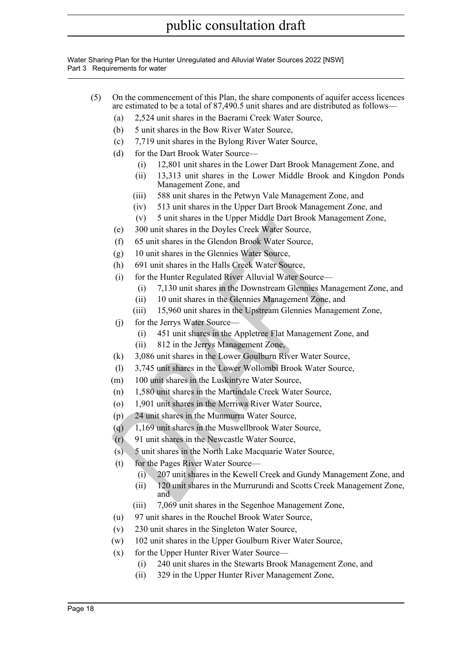Water Sharing Plan for the Hunter Unregulated and Alluvial Water Sources 2022 [NSW] Part 3 Requirements for water

- (5) On the commencement of this Plan, the share components of aquifer access licences are estimated to be a total of 87,490.5 unit shares and are distributed as follows—
	- (a) 2,524 unit shares in the Baerami Creek Water Source,
	- (b) 5 unit shares in the Bow River Water Source,
	- (c) 7,719 unit shares in the Bylong River Water Source,
	- (d) for the Dart Brook Water Source—
		- (i) 12,801 unit shares in the Lower Dart Brook Management Zone, and
		- (ii) 13,313 unit shares in the Lower Middle Brook and Kingdon Ponds Management Zone, and
		- (iii) 588 unit shares in the Petwyn Vale Management Zone, and
		- (iv) 513 unit shares in the Upper Dart Brook Management Zone, and
		- (v) 5 unit shares in the Upper Middle Dart Brook Management Zone,
	- (e) 300 unit shares in the Doyles Creek Water Source,
	- (f) 65 unit shares in the Glendon Brook Water Source,
	- (g) 10 unit shares in the Glennies Water Source,
	- (h) 691 unit shares in the Halls Creek Water Source,
	- (i) for the Hunter Regulated River Alluvial Water Source—
		- (i) 7,130 unit shares in the Downstream Glennies Management Zone, and
		- (ii) 10 unit shares in the Glennies Management Zone, and
		- (iii) 15,960 unit shares in the Upstream Glennies Management Zone,
	- (j) for the Jerrys Water Source—
		- (i) 451 unit shares in the Appletree Flat Management Zone, and
		- (ii) 812 in the Jerrys Management Zone,
	- (k) 3,086 unit shares in the Lower Goulburn River Water Source,
	- (l) 3,745 unit shares in the Lower Wollombi Brook Water Source,
	- (m) 100 unit shares in the Luskintyre Water Source,
	- (n) 1,580 unit shares in the Martindale Creek Water Source,
	- (o) 1,901 unit shares in the Merriwa River Water Source,
	- (p) 24 unit shares in the Munmurra Water Source,
	- (q)  $1,169$  unit shares in the Muswellbrook Water Source,
	- (r) 91 unit shares in the Newcastle Water Source,
	- (s) 5 unit shares in the North Lake Macquarie Water Source,
	- (t) for the Pages River Water Source—
		- (i) 207 unit shares in the Kewell Creek and Gundy Management Zone, and
	- (c) 300 unit shares in the Orleans Patrician Energy Amazon and Space Data Line (f) 300 unit shares in the Glendon Brook Water Source,<br>
	(f) 65 unit shares in the Glennies Water Source,<br>
	(h) 691 unit shares in the Glennies W (ii) 120 unit shares in the Murrurundi and Scotts Creek Management Zone, and
		- (iii) 7,069 unit shares in the Segenhoe Management Zone,
		- (u) 97 unit shares in the Rouchel Brook Water Source,
		- (v) 230 unit shares in the Singleton Water Source,
		- (w) 102 unit shares in the Upper Goulburn River Water Source,
		- (x) for the Upper Hunter River Water Source—
			- (i) 240 unit shares in the Stewarts Brook Management Zone, and
			- (ii) 329 in the Upper Hunter River Management Zone,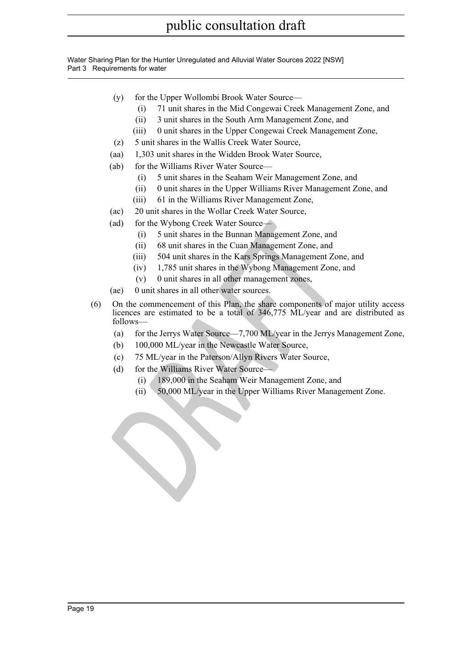Water Sharing Plan for the Hunter Unregulated and Alluvial Water Sources 2022 [NSW] Part 3 Requirements for water

- (y) for the Upper Wollombi Brook Water Source—
	- (i) 71 unit shares in the Mid Congewai Creek Management Zone, and
	- (ii) 3 unit shares in the South Arm Management Zone, and
	- (iii) 0 unit shares in the Upper Congewai Creek Management Zone,
- (z) 5 unit shares in the Wallis Creek Water Source,
- (aa) 1,303 unit shares in the Widden Brook Water Source,
- (ab) for the Williams River Water Source—
	- (i) 5 unit shares in the Seaham Weir Management Zone, and
	- (ii) 0 unit shares in the Upper Williams River Management Zone, and
	- (iii) 61 in the Williams River Management Zone,
- (ac) 20 unit shares in the Wollar Creek Water Source,
- (ad) for the Wybong Creek Water Source—
	- (i) 5 unit shares in the Bunnan Management Zone, and
	- (ii) 68 unit shares in the Cuan Management Zone, and
	- (iii) 504 unit shares in the Kars Springs Management Zone, and
	- (iv) 1,785 unit shares in the Wybong Management Zone, and
	- (v) 0 unit shares in all other management zones,
- (ae) 0 unit shares in all other water sources.
- (ad) for the Wybong Creek Water Source—<br>
(i) 5 unit shares in the Bunnan Management Zone, and<br>
(ii) 5 unit shares in the Cuan Management Zone, and<br>
(iii) 504 unit shares in the Cuan Management Zone, and<br>
(iv) 1,785 unit sh (6) On the commencement of this Plan, the share components of major utility access licences are estimated to be a total of 346,775 ML/year and are distributed as follows—
	- (a) for the Jerrys Water Source—7,700 ML/year in the Jerrys Management Zone,
	- (b) 100,000 ML/year in the Newcastle Water Source,
	- (c) 75 ML/year in the Paterson/Allyn Rivers Water Source,
	- (d) for the Williams River Water Source—
		- (i) 189,000 in the Seaham Weir Management Zone, and
		- (ii) 50,000 ML/year in the Upper Williams River Management Zone.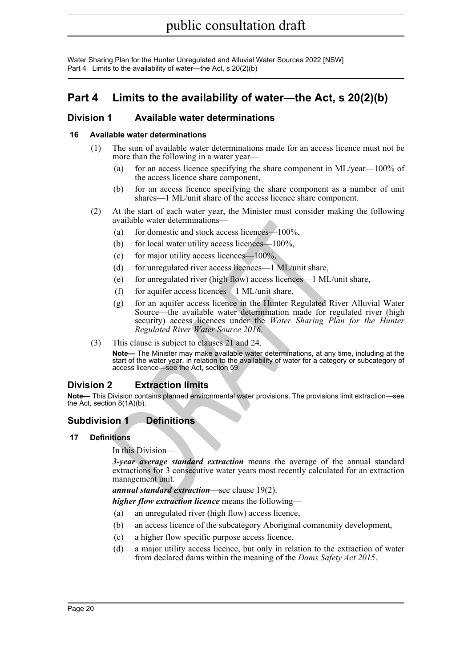Water Sharing Plan for the Hunter Unregulated and Alluvial Water Sources 2022 [NSW] Part 4 Limits to the availability of water—the Act, s 20(2)(b)

# <span id="page-19-0"></span>**Part 4 Limits to the availability of water—the Act, s 20(2)(b)**

### <span id="page-19-1"></span>**Division 1 Available water determinations**

#### <span id="page-19-2"></span>**16 Available water determinations**

- (1) The sum of available water determinations made for an access licence must not be more than the following in a water year—
	- (a) for an access licence specifying the share component in ML/year—100% of the access licence share component,
	- (b) for an access licence specifying the share component as a number of unit shares—1 ML/unit share of the access licence share component.
- (2) At the start of each water year, the Minister must consider making the following available water determinations—
	- (a) for domestic and stock access licences—100%,
	- (b) for local water utility access licences—100%,
	- (c) for major utility access licences— $100\%$ ,
	- (d) for unregulated river access licences—1 ML/unit share,
	- (e) for unregulated river (high flow) access licences—1 ML/unit share,
	- (f) for aquifer access licences—1 ML/unit share,
	- available water determinations—<br>
	(a) for domestic and stock access licences—100%,<br>
	(b) for local water utility access licences—100%,<br>
	(c) for major utility access licences—100%,<br>
	(d) for unregulated river access licences— (g) for an aquifer access licence in the Hunter Regulated River Alluvial Water Source—the available water determination made for regulated river (high security) access licences under the *Water Sharing Plan for the Hunter Regulated River Water Source 2016*.
- (3) This clause is subject to clauses 21 and 24.

**Note—** The Minister may make available water determinations, at any time, including at the start of the water year, in relation to the availability of water for a category or subcategory of access licence—see the Act, section 59.

## <span id="page-19-3"></span>**Division 2 Extraction limits**

**Note—** This Division contains planned environmental water provisions. The provisions limit extraction—see the Act, section 8(1A)(b).

### <span id="page-19-4"></span>**Subdivision 1 Definitions**

#### <span id="page-19-5"></span>**17 Definitions**

In this Division—

*3-year average standard extraction* means the average of the annual standard extractions for 3 consecutive water years most recently calculated for an extraction management unit.

*annual standard extraction*—see clause 19(2).

*higher flow extraction licence* means the following—

- (a) an unregulated river (high flow) access licence,
- (b) an access licence of the subcategory Aboriginal community development,
- (c) a higher flow specific purpose access licence,
- (d) a major utility access licence, but only in relation to the extraction of water from declared dams within the meaning of the *Dams Safety Act 2015* .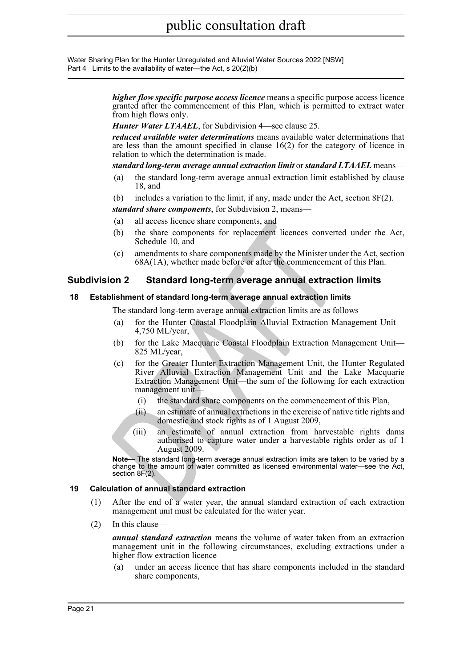Water Sharing Plan for the Hunter Unregulated and Alluvial Water Sources 2022 [NSW] Part 4 Limits to the availability of water—the Act, s 20(2)(b)

> *higher flow specific purpose access licence* means a specific purpose access licence granted after the commencement of this Plan, which is permitted to extract water from high flows only.

*Hunter Water LTAAEL*, for Subdivision 4—see clause 25.

*reduced available water determinations* means available water determinations that are less than the amount specified in clause 16(2) for the category of licence in relation to which the determination is made.

*standard long-term average annual extraction limit* or *standard LTAAEL* means—

- (a) the standard long-term average annual extraction limit established by clause 18, and
- (b) includes a variation to the limit, if any, made under the Act, section 8F(2).

*standard share components*, for Subdivision 2, means—

- (a) all access licence share components, and
- (b) the share components for replacement licences converted under the Act, Schedule 10, and
- (c) amendments to share components made by the Minister under the Act, section 68A(1A), whether made before or after the commencement of this Plan.

### <span id="page-20-0"></span>**Subdivision 2 Standard long-term average annual extraction limits**

#### <span id="page-20-1"></span>**18 Establishment of standard long-term average annual extraction limits**

The standard long-term average annual extraction limits are as follows—

- (a) for the Hunter Coastal Floodplain Alluvial Extraction Management Unit— 4,750 ML/year,
- (b) for the Lake Macquarie Coastal Floodplain Extraction Management Unit— 825 ML/year,
- (a) all access licence share components, and<br>
(b) the share components for replacement licences converted<br>
Schedule 10, and<br>
(c) amendments to share components made by the Minister unde<br>
68A(1A), whether made before or aft (c) for the Greater Hunter Extraction Management Unit, the Hunter Regulated River Alluvial Extraction Management Unit and the Lake Macquarie Extraction Management Unit—the sum of the following for each extraction management unit—
	- (i) the standard share components on the commencement of this Plan,
	- (ii) an estimate of annual extractions in the exercise of native title rights and domestic and stock rights as of 1 August 2009,
	- (iii) an estimate of annual extraction from harvestable rights dams authorised to capture water under a harvestable rights order as of 1 August 2009.

**Note—** The standard long-term average annual extraction limits are taken to be varied by a change to the amount of water committed as licensed environmental water—see the Act, section 8F(2).

#### <span id="page-20-2"></span>**19 Calculation of annual standard extraction**

- (1) After the end of a water year, the annual standard extraction of each extraction management unit must be calculated for the water year.
- (2) In this clause—

*annual standard extraction* means the volume of water taken from an extraction management unit in the following circumstances, excluding extractions under a higher flow extraction licence—

(a) under an access licence that has share components included in the standard share components,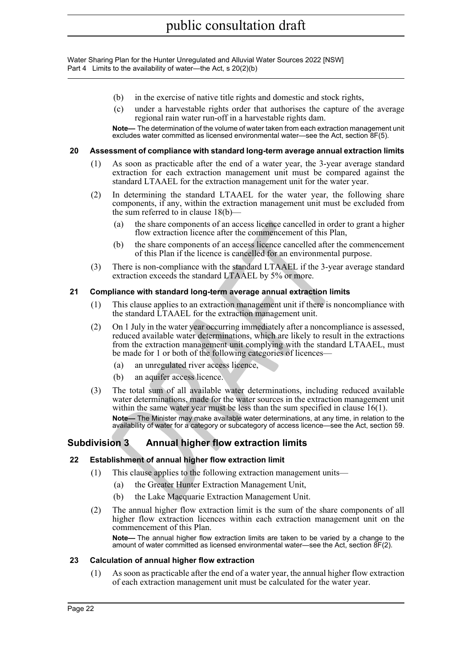Water Sharing Plan for the Hunter Unregulated and Alluvial Water Sources 2022 [NSW] Part 4 Limits to the availability of water—the Act, s 20(2)(b)

- (b) in the exercise of native title rights and domestic and stock rights,
- (c) under a harvestable rights order that authorises the capture of the average regional rain water run-off in a harvestable rights dam.

**Note—** The determination of the volume of water taken from each extraction management unit excludes water committed as licensed environmental water—see the Act, section 8F(5).

#### <span id="page-21-0"></span>**20 Assessment of compliance with standard long-term average annual extraction limits**

- (1) As soon as practicable after the end of a water year, the 3-year average standard extraction for each extraction management unit must be compared against the standard LTAAEL for the extraction management unit for the water year.
- (2) In determining the standard LTAAEL for the water year, the following share components, if any, within the extraction management unit must be excluded from the sum referred to in clause 18(b)—
	- (a) the share components of an access licence cancelled in order to grant a higher flow extraction licence after the commencement of this Plan,
	- (b) the share components of an access licence cancelled after the commencement of this Plan if the licence is cancelled for an environmental purpose.
- (3) There is non-compliance with the standard LTAAEL if the 3-year average standard extraction exceeds the standard LTAAEL by 5% or more.

#### <span id="page-21-1"></span>**21 Compliance with standard long-term average annual extraction limits**

- (1) This clause applies to an extraction management unit if there is noncompliance with the standard LTAAEL for the extraction management unit.
- (2) On 1 July in the water year occurring immediately after a noncompliance is assessed, reduced available water determinations, which are likely to result in the extractions from the extraction management unit complying with the standard LTAAEL, must be made for 1 or both of the following categories of licences-
	- (a) an unregulated river access licence,
	- (b) an aquifer access licence.
- (a) the share components of an access licence cancelled in order<br>
flow extraction licence after the commencement of this Plan.<br>
(b) the share components of an access licence cancelled after the<br>
of this Plan if the licence (3) The total sum of all available water determinations, including reduced available water determinations, made for the water sources in the extraction management unit within the same water year must be less than the sum specified in clause 16(1). **Note—** The Minister may make available water determinations, at any time, in relation to the availability of water for a category or subcategory of access licence—see the Act, section 59.

## <span id="page-21-2"></span>**Subdivision 3 Annual higher flow extraction limits**

#### <span id="page-21-3"></span>**22 Establishment of annual higher flow extraction limit**

- (1) This clause applies to the following extraction management units—
	- (a) the Greater Hunter Extraction Management Unit,
	- (b) the Lake Macquarie Extraction Management Unit.
- (2) The annual higher flow extraction limit is the sum of the share components of all higher flow extraction licences within each extraction management unit on the commencement of this Plan.

**Note—** The annual higher flow extraction limits are taken to be varied by a change to the amount of water committed as licensed environmental water—see the Act, section 8F(2).

#### <span id="page-21-4"></span>**23 Calculation of annual higher flow extraction**

(1) As soon as practicable after the end of a water year, the annual higher flow extraction of each extraction management unit must be calculated for the water year.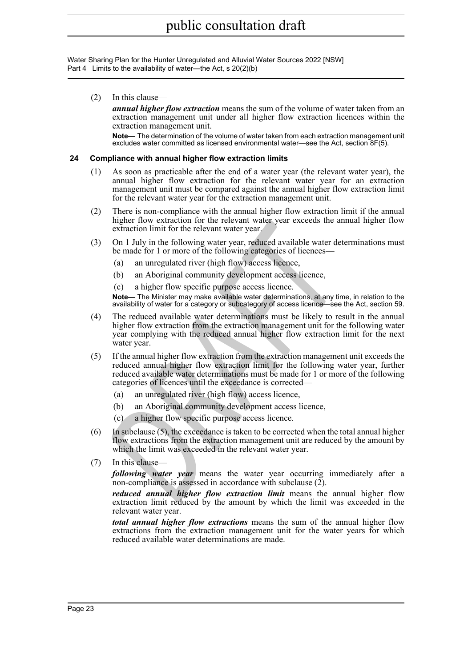Water Sharing Plan for the Hunter Unregulated and Alluvial Water Sources 2022 [NSW] Part 4 Limits to the availability of water—the Act, s 20(2)(b)

(2) In this clause—

*annual higher flow extraction* means the sum of the volume of water taken from an extraction management unit under all higher flow extraction licences within the extraction management unit.

**Note—** The determination of the volume of water taken from each extraction management unit excludes water committed as licensed environmental water—see the Act, section 8F(5).

#### <span id="page-22-0"></span>**24 Compliance with annual higher flow extraction limits**

- (1) As soon as practicable after the end of a water year (the relevant water year), the annual higher flow extraction for the relevant water year for an extraction management unit must be compared against the annual higher flow extraction limit for the relevant water year for the extraction management unit.
- (2) There is non-compliance with the annual higher flow extraction limit if the annual higher flow extraction for the relevant water year exceeds the annual higher flow extraction limit for the relevant water year.
- (3) On 1 July in the following water year, reduced available water determinations must be made for 1 or more of the following categories of licences–
	- (a) an unregulated river (high flow) access licence,
	- (b) an Aboriginal community development access licence,
	- (c) a higher flow specific purpose access licence.

**Note—** The Minister may make available water determinations, at any time, in relation to the availability of water for a category or subcategory of access licence—see the Act, section 59.

- (4) The reduced available water determinations must be likely to result in the annual higher flow extraction from the extraction management unit for the following water year complying with the reduced annual higher flow extraction limit for the next water year.
- migner how extraction for the relevant water year exceeds the annual higher how extraction limit for the relevant water year, reduced available water det<br>be made for 1 or more of the following categories of licences—<br>(a) a (5) If the annual higher flow extraction from the extraction management unit exceeds the reduced annual higher flow extraction limit for the following water year, further reduced available water determinations must be made for 1 or more of the following categories of licences until the exceedance is corrected—
	- (a) an unregulated river (high flow) access licence,
	- (b) an Aboriginal community development access licence,
	- (c) a higher flow specific purpose access licence.
- (6) In subclause (5), the exceedance is taken to be corrected when the total annual higher flow extractions from the extraction management unit are reduced by the amount by which the limit was exceeded in the relevant water year.
- (7) In this clause—

*following water year* means the water year occurring immediately after a non-compliance is assessed in accordance with subclause (2).

*reduced annual higher flow extraction limit* means the annual higher flow extraction limit reduced by the amount by which the limit was exceeded in the relevant water year.

*total annual higher flow extractions* means the sum of the annual higher flow extractions from the extraction management unit for the water years for which reduced available water determinations are made.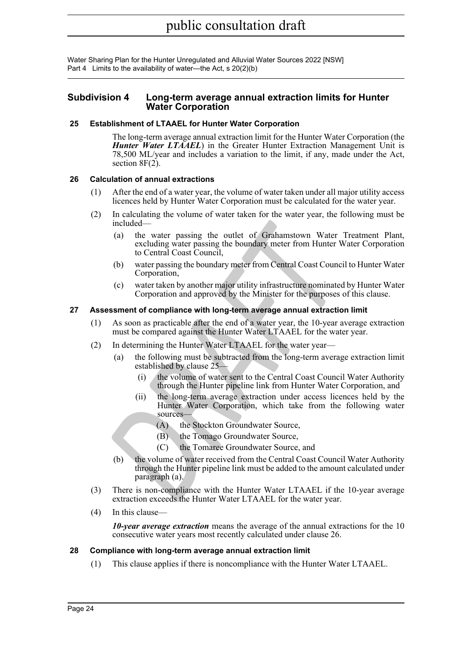Water Sharing Plan for the Hunter Unregulated and Alluvial Water Sources 2022 [NSW] Part 4 Limits to the availability of water—the Act, s 20(2)(b)

#### <span id="page-23-0"></span>**Subdivision 4 Long-term average annual extraction limits for Hunter Water Corporation**

#### <span id="page-23-1"></span>**25 Establishment of LTAAEL for Hunter Water Corporation**

The long-term average annual extraction limit for the Hunter Water Corporation (the *Hunter Water LTAAEL*) in the Greater Hunter Extraction Management Unit is 78,500 ML/year and includes a variation to the limit, if any, made under the Act, section  $8F(2)$ .

#### <span id="page-23-2"></span>**26 Calculation of annual extractions**

- (1) After the end of a water year, the volume of water taken under all major utility access licences held by Hunter Water Corporation must be calculated for the water year.
- (2) In calculating the volume of water taken for the water year, the following must be included—
	- (a) the water passing the outlet of Grahamstown Water Treatment Plant, excluding water passing the boundary meter from Hunter Water Corporation to Central Coast Council,
	- (b) water passing the boundary meter from Central Coast Council to Hunter Water Corporation,
	- (c) water taken by another major utility infrastructure nominated by Hunter Water Corporation and approved by the Minister for the purposes of this clause.

#### <span id="page-23-3"></span>**27 Assessment of compliance with long-term average annual extraction limit**

- (1) As soon as practicable after the end of a water year, the 10-year average extraction must be compared against the Hunter Water LTAAEL for the water year.
- (2) In determining the Hunter Water LTAAEL for the water year—
	- (a) the following must be subtracted from the long-term average extraction limit established by clause 25—
		- (i) the volume of water sent to the Central Coast Council Water Authority through the Hunter pipeline link from Hunter Water Corporation, and
		- (ii) the long-term average extraction under access licences held by the Hunter Water Corporation, which take from the following water sources—
			- (A) the Stockton Groundwater Source,
			- (B) the Tomago Groundwater Source,
			- (C) the Tomaree Groundwater Source, and
- included—<br>
(a) the water passing the outlet of Grahamstown Water 1<br>
celuding water passing the boundary meter from Hunter W<br>
to Central Coast Council,<br>
(b) water rassing the boundary meter from Central Coast Council<br>
(c) c (b) the volume of water received from the Central Coast Council Water Authority through the Hunter pipeline link must be added to the amount calculated under paragraph (a).
- (3) There is non-compliance with the Hunter Water LTAAEL if the 10-year average extraction exceeds the Hunter Water LTAAEL for the water year.
- (4) In this clause—

*10-year average extraction* means the average of the annual extractions for the 10 consecutive water years most recently calculated under clause 26.

#### <span id="page-23-4"></span>**28 Compliance with long-term average annual extraction limit**

(1) This clause applies if there is noncompliance with the Hunter Water LTAAEL.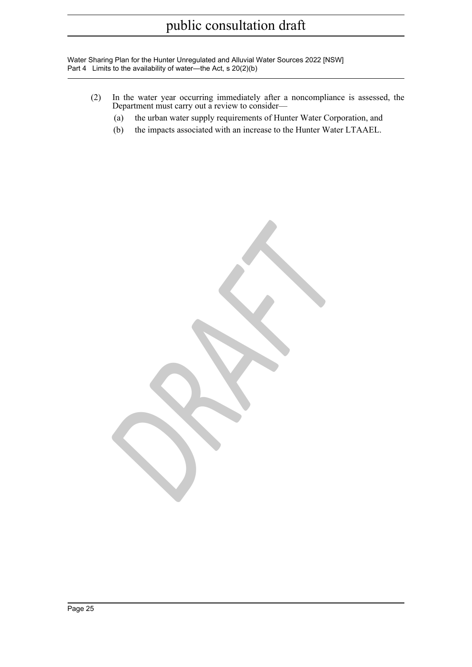Water Sharing Plan for the Hunter Unregulated and Alluvial Water Sources 2022 [NSW] Part 4 Limits to the availability of water—the Act, s 20(2)(b)

- (2) In the water year occurring immediately after a noncompliance is assessed, the Department must carry out a review to consider—
	- (a) the urban water supply requirements of Hunter Water Corporation, and
	- (b) the impacts associated with an increase to the Hunter Water LTAAEL.

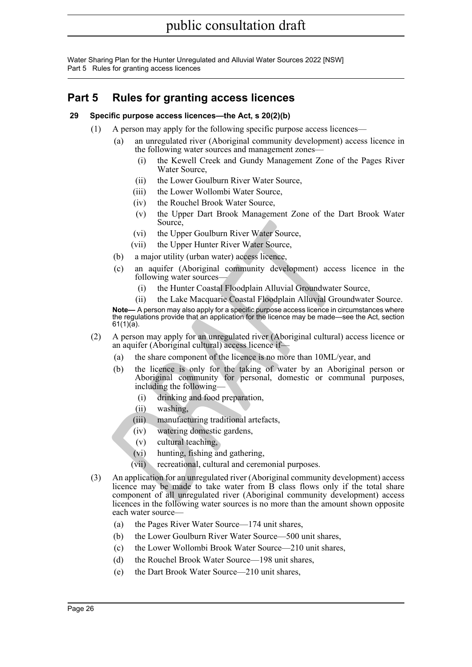Water Sharing Plan for the Hunter Unregulated and Alluvial Water Sources 2022 [NSW] Part 5 Rules for granting access licences

# <span id="page-25-0"></span>**Part 5 Rules for granting access licences**

#### <span id="page-25-1"></span>**29 Specific purpose access licences—the Act, s 20(2)(b)**

- (1) A person may apply for the following specific purpose access licences—
	- (a) an unregulated river (Aboriginal community development) access licence in the following water sources and management zones-
		- (i) the Kewell Creek and Gundy Management Zone of the Pages River Water Source,
		- (ii) the Lower Goulburn River Water Source,
		- (iii) the Lower Wollombi Water Source,
		- (iv) the Rouchel Brook Water Source,
		- (v) the Upper Dart Brook Management Zone of the Dart Brook Water Source,
		- (vi) the Upper Goulburn River Water Source,
		- (vii) the Upper Hunter River Water Source,
	- (b) a major utility (urban water) access licence,
	- (c) an aquifer (Aboriginal community development) access licence in the following water sources—
		- (i) the Hunter Coastal Floodplain Alluvial Groundwater Source,
		- (ii) the Lake Macquarie Coastal Floodplain Alluvial Groundwater Source.

**Note—** A person may also apply for a specific purpose access licence in circumstances where the regulations provide that an application for the licence may be made—see the Act, section 61(1)(a).

- (2) A person may apply for an unregulated river (Aboriginal cultural) access licence or an aquifer (Aboriginal cultural) access licence if—
	- (a) the share component of the licence is no more than 10ML/year, and
	- (b) the licence is only for the taking of water by an Aboriginal person or Aboriginal community for personal, domestic or communal purposes, including the following-
		- (i) drinking and food preparation,
		- (ii) washing,
		- (iii) manufacturing traditional artefacts,
		- (iv) watering domestic gardens,
		- (v) cultural teaching,
		- (vi) hunting, fishing and gathering,
		- (vii) recreational, cultural and ceremonial purposes.
- Source,<br>
(vi) the Upper Goulburn River Water Source,<br>
(vi) the Upper Hunter River Water Source,<br>
(b) a major utility (urban water) access licence.<br>
(c) an aquifer (Aboriginal community development) access<br>
following water (3) An application for an unregulated river (Aboriginal community development) access licence may be made to take water from B class flows only if the total share component of all unregulated river (Aboriginal community development) access licences in the following water sources is no more than the amount shown opposite each water source—
	- (a) the Pages River Water Source—174 unit shares,
	- (b) the Lower Goulburn River Water Source—500 unit shares,
	- (c) the Lower Wollombi Brook Water Source—210 unit shares,
	- (d) the Rouchel Brook Water Source—198 unit shares,
	- (e) the Dart Brook Water Source—210 unit shares,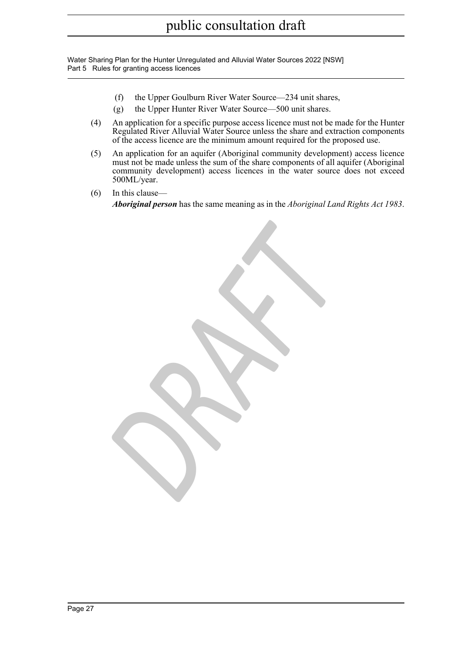Water Sharing Plan for the Hunter Unregulated and Alluvial Water Sources 2022 [NSW] Part 5 Rules for granting access licences

- (f) the Upper Goulburn River Water Source—234 unit shares,
- (g) the Upper Hunter River Water Source—500 unit shares.

*DRAFT*

- (4) An application for a specific purpose access licence must not be made for the Hunter Regulated River Alluvial Water Source unless the share and extraction components of the access licence are the minimum amount required for the proposed use.
- (5) An application for an aquifer (Aboriginal community development) access licence must not be made unless the sum of the share components of all aquifer (Aboriginal community development) access licences in the water source does not exceed 500ML/year.
- (6) In this clause— *Aboriginal person* has the same meaning as in the *Aboriginal Land Rights Act 1983* .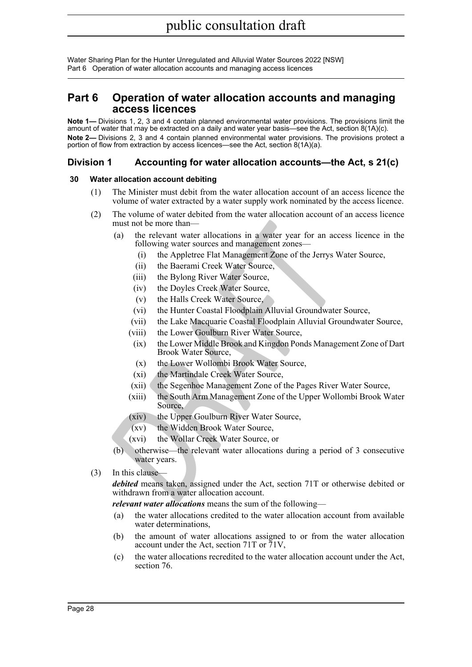## <span id="page-27-0"></span>**Part 6 Operation of water allocation accounts and managing access licences**

**Note 1—** Divisions 1, 2, 3 and 4 contain planned environmental water provisions. The provisions limit the amount of water that may be extracted on a daily and water year basis—see the Act, section 8(1A)(c). **Note 2—** Divisions 2, 3 and 4 contain planned environmental water provisions. The provisions protect a portion of flow from extraction by access licences—see the Act, section 8(1A)(a).

## <span id="page-27-1"></span>**Division 1 Accounting for water allocation accounts—the Act, s 21(c)**

#### <span id="page-27-2"></span>**30 Water allocation account debiting**

- (1) The Minister must debit from the water allocation account of an access licence the volume of water extracted by a water supply work nominated by the access licence.
- (2) The volume of water debited from the water allocation account of an access licence must not be more than—
	- (a) the relevant water allocations in a water year for an access licence in the following water sources and management zones—
		- (i) the Appletree Flat Management Zone of the Jerrys Water Source,
		- (ii) the Baerami Creek Water Source,
		- (iii) the Bylong River Water Source,
		- (iv) the Doyles Creek Water Source,
		- (v) the Halls Creek Water Source,
		- (vi) the Hunter Coastal Floodplain Alluvial Groundwater Source,
		- (vii) the Lake Macquarie Coastal Floodplain Alluvial Groundwater Source,
		- (viii) the Lower Goulburn River Water Source,
		- (ix) the Lower Middle Brook and Kingdon Ponds Management Zone of Dart Brook Water Source,
		- (x) the Lower Wollombi Brook Water Source,
		- (xi) the Martindale Creek Water Source,
		- (xii) the Segenhoe Management Zone of the Pages River Water Source,
		- (xiii) the South Arm Management Zone of the Upper Wollombi Brook Water Source,
		- (xiv) the Upper Goulburn River Water Source,
		- (xv) the Widden Brook Water Source,
		- (xvi) the Wollar Creek Water Source, or
	- (b) otherwise—the relevant water allocations during a period of 3 consecutive water years.
- (3) In this clause—

(a) the relevant vatar tyden transmission in a water year for an access following water sourcess and management zones—<br>
(i) the Appletree Flat Management Zone of the Jerrys Wa<br>
(ii) the Baerami Creek Water Source,<br>
(ii) th *debited* means taken, assigned under the Act, section 71T or otherwise debited or withdrawn from a water allocation account.

*relevant water allocations* means the sum of the following—

- (a) the water allocations credited to the water allocation account from available water determinations,
- (b) the amount of water allocations assigned to or from the water allocation account under the Act, section 71T or  $\overline{7}1V$ ,
- (c) the water allocations recredited to the water allocation account under the Act, section 76.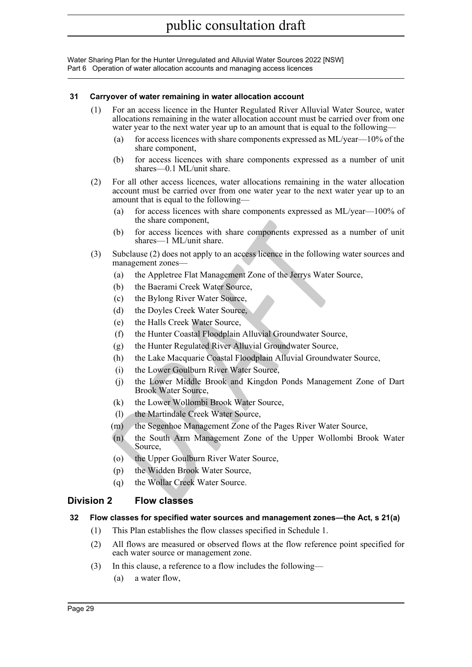#### <span id="page-28-0"></span>**31 Carryover of water remaining in water allocation account**

- (1) For an access licence in the Hunter Regulated River Alluvial Water Source, water allocations remaining in the water allocation account must be carried over from one water year to the next water year up to an amount that is equal to the following—
	- (a) for access licences with share components expressed as ML/year—10% of the share component,
	- (b) for access licences with share components expressed as a number of unit shares—0.1 ML/unit share.
- (2) For all other access licences, water allocations remaining in the water allocation account must be carried over from one water year to the next water year up to an amount that is equal to the following—
	- (a) for access licences with share components expressed as ML/year—100% of the share component,
	- (b) for access licences with share components expressed as a number of unit shares—1 ML/unit share.
- (3) Subclause (2) does not apply to an access licence in the following water sources and management zones—
	- (a) the Appletree Flat Management Zone of the Jerrys Water Source,
	- (b) the Baerami Creek Water Source,
	- (c) the Bylong River Water Source,
	- (d) the Doyles Creek Water Source,
	- (e) the Halls Creek Water Source,
	- (f) the Hunter Coastal Floodplain Alluvial Groundwater Source,
	- (g) the Hunter Regulated River Alluvial Groundwater Source,
	- (h) the Lake Macquarie Coastal Floodplain Alluvial Groundwater Source,
	- (i) the Lower Goulburn River Water Source,
	- (j) the Lower Middle Brook and Kingdon Ponds Management Zone of Dart Brook Water Source,
	- (k) the Lower Wollombi Brook Water Source,
	- (l) the Martindale Creek Water Source,
	- (m) the Segenhoe Management Zone of the Pages River Water Source,
- In state component,<br>
(b) for access licences with share components expressed as a<br>
shares—I ML/unit share.<br>
Subclause (2) does not apply to an access licence in the following w<br>
management zones—<br>
(a) the Applettee Flat Ma (n) the South Arm Management Zone of the Upper Wollombi Brook Water Source,
	- (o) the Upper Goulburn River Water Source,
	- (p) the Widden Brook Water Source,
	- (q) the Wollar Creek Water Source.

## <span id="page-28-1"></span>**Division 2 Flow classes**

### <span id="page-28-2"></span>**32 Flow classes for specified water sources and management zones—the Act, s 21(a)**

- (1) This Plan establishes the flow classes specified in Schedule 1.
- (2) All flows are measured or observed flows at the flow reference point specified for each water source or management zone.
- (3) In this clause, a reference to a flow includes the following—
	- (a) a water flow,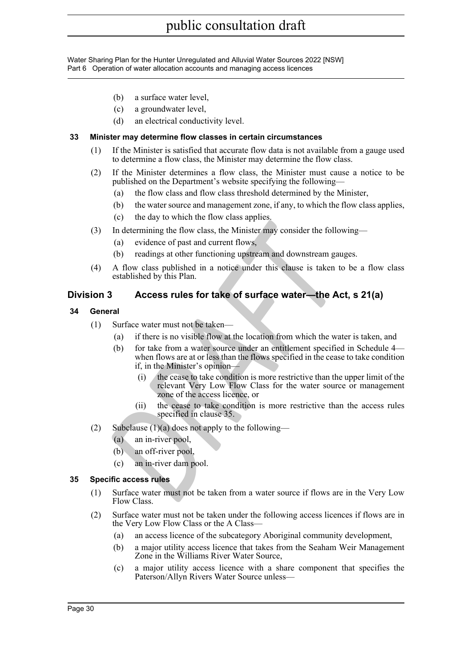- (b) a surface water level,
- (c) a groundwater level,
- (d) an electrical conductivity level.

#### <span id="page-29-0"></span>**33 Minister may determine flow classes in certain circumstances**

- (1) If the Minister is satisfied that accurate flow data is not available from a gauge used to determine a flow class, the Minister may determine the flow class.
- (2) If the Minister determines a flow class, the Minister must cause a notice to be published on the Department's website specifying the following—
	- (a) the flow class and flow class threshold determined by the Minister,
	- (b) the water source and management zone, if any, to which the flow class applies,
	- (c) the day to which the flow class applies.
- (3) In determining the flow class, the Minister may consider the following—
	- (a) evidence of past and current flows,
	- (b) readings at other functioning upstream and downstream gauges.
- (4) A flow class published in a notice under this clause is taken to be a flow class established by this Plan.

## <span id="page-29-1"></span>**Division 3 Access rules for take of surface water—the Act, s 21(a)**

- <span id="page-29-2"></span>**34 General**
	- (1) Surface water must not be taken—
		- (a) if there is no visible flow at the location from which the water is taken, and
- **Example 10**<br> **D** In determining the flow class, the Minister may consider the follow<br>
(a) evidence of past and current flows,<br>
(b) readings at other functioning upstream and downstream gauge<br>
A flow class published in a (b) for take from a water source under an entitlement specified in Schedule 4 when flows are at or less than the flows specified in the cease to take condition if, in the Minister's opinion—
	- (i) the cease to take condition is more restrictive than the upper limit of the relevant Very Low Flow Class for the water source or management zone of the access licence, or
	- (ii) the cease to take condition is more restrictive than the access rules specified in clause 35.
	- (2) Subclause  $(1)(a)$  does not apply to the following—
		- (a) an in-river pool,
		- (b) an off-river pool,
		- (c) an in-river dam pool.

#### <span id="page-29-3"></span>**35 Specific access rules**

- (1) Surface water must not be taken from a water source if flows are in the Very Low Flow Class.
- (2) Surface water must not be taken under the following access licences if flows are in the Very Low Flow Class or the A Class—
	- (a) an access licence of the subcategory Aboriginal community development,
	- (b) a major utility access licence that takes from the Seaham Weir Management Zone in the Williams River Water Source,
	- (c) a major utility access licence with a share component that specifies the Paterson/Allyn Rivers Water Source unless—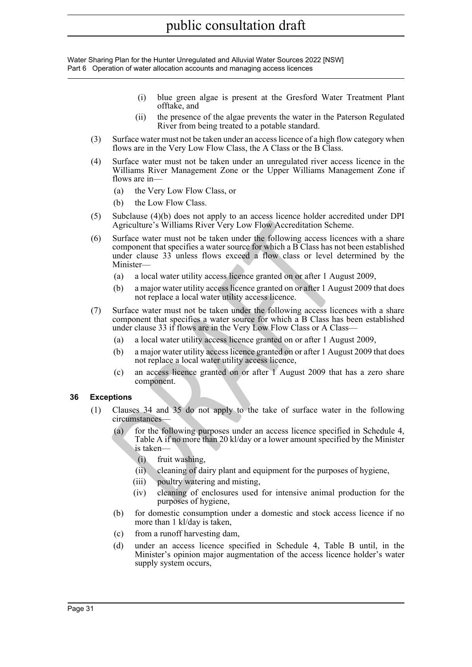- (i) blue green algae is present at the Gresford Water Treatment Plant offtake, and
- (ii) the presence of the algae prevents the water in the Paterson Regulated River from being treated to a potable standard.
- (3) Surface water must not be taken under an access licence of a high flow category when flows are in the Very Low Flow Class, the A Class or the B Class.
- (4) Surface water must not be taken under an unregulated river access licence in the Williams River Management Zone or the Upper Williams Management Zone if flows are in—
	- (a) the Very Low Flow Class, or
	- (b) the Low Flow Class.
- (5) Subclause (4)(b) does not apply to an access licence holder accredited under DPI Agriculture's Williams River Very Low Flow Accreditation Scheme.
- Agriculture's Williams River'Very Low Flow Accreditation Schen<br>
Surface water must not be taken under the following access licen<br>
component that specifies a water source for which a B Class has not<br>
under clause 33 unless (6) Surface water must not be taken under the following access licences with a share component that specifies a water source for which a B Class has not been established under clause 33 unless flows exceed a flow class or level determined by the Minister—
	- (a) a local water utility access licence granted on or after 1 August 2009,
	- (b) a major water utility access licence granted on or after 1 August 2009 that does not replace a local water utility access licence.
- (7) Surface water must not be taken under the following access licences with a share component that specifies a water source for which a B Class has been established under clause 33 if flows are in the Very Low Flow Class or A Class—
	- (a) a local water utility access licence granted on or after 1 August 2009,
	- (b) a major water utility access licence granted on or after 1 August 2009 that does not replace a local water utility access licence,
	- (c) an access licence granted on or after 1 August 2009 that has a zero share component.

#### <span id="page-30-0"></span>**36 Exceptions**

- (1) Clauses 34 and 35 do not apply to the take of surface water in the following circumstances—
	- (a) for the following purposes under an access licence specified in Schedule 4, Table A if no more than 20 kl/day or a lower amount specified by the Minister is taken—
		- (i) fruit washing,
		- (ii) cleaning of dairy plant and equipment for the purposes of hygiene,
		- (iii) poultry watering and misting,
		- (iv) cleaning of enclosures used for intensive animal production for the purposes of hygiene,
	- (b) for domestic consumption under a domestic and stock access licence if no more than 1 kl/day is taken,
	- (c) from a runoff harvesting dam,
	- (d) under an access licence specified in Schedule 4, Table B until, in the Minister's opinion major augmentation of the access licence holder's water supply system occurs,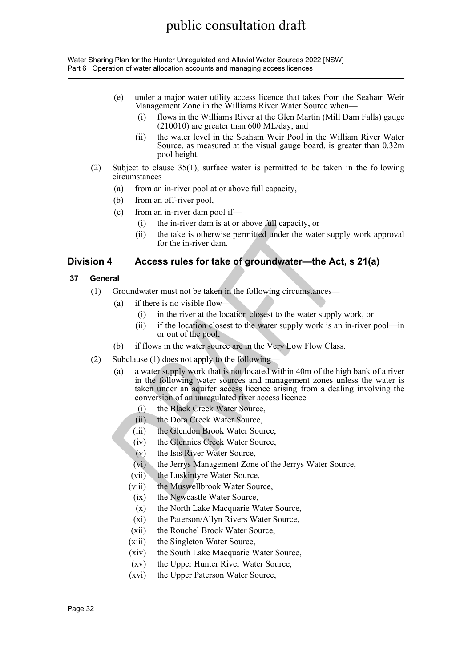- (e) under a major water utility access licence that takes from the Seaham Weir Management Zone in the Williams River Water Source when—
	- (i) flows in the Williams River at the Glen Martin (Mill Dam Falls) gauge (210010) are greater than 600 ML/day, and
	- (ii) the water level in the Seaham Weir Pool in the William River Water Source, as measured at the visual gauge board, is greater than 0.32m pool height.
- (2) Subject to clause 35(1), surface water is permitted to be taken in the following circumstances—
	- (a) from an in-river pool at or above full capacity,
	- (b) from an off-river pool,
	- (c) from an in-river dam pool if—
		- (i) the in-river dam is at or above full capacity, or
		- (ii) the take is otherwise permitted under the water supply work approval for the in-river dam.

### <span id="page-31-0"></span>**Division 4 Access rules for take of groundwater—the Act, s 21(a)**

- <span id="page-31-1"></span>**37 General**
	- (1) Groundwater must not be taken in the following circumstances
		- (a) if there is no visible flow—
			- (i) in the river at the location closest to the water supply work, or
			- (ii) if the location closest to the water supply work is an in-river pool—in or out of the pool,
		- (b) if flows in the water source are in the Very Low Flow Class.
	- (2) Subclause (1) does not apply to the following—
- (i) the in-river dam is at or above full capacity, or<br>
(ii) the take is otherwise permitted under the water suppl<br>
for the in-river dam.<br> **Access rules for take of groundwater—the Act,**<br> **PRAFT**<br> **Access rules for take of** (a) a water supply work that is not located within 40m of the high bank of a river in the following water sources and management zones unless the water is taken under an aquifer access licence arising from a dealing involving the conversion of an unregulated river access licence—
	- (i) the Black Creek Water Source,
	- (ii) the Dora Creek Water Source,
	- (iii) the Glendon Brook Water Source,
	- (iv) the Glennies Creek Water Source,
	- (v) the Isis River Water Source,
	- (vi) the Jerrys Management Zone of the Jerrys Water Source,
	- (vii) the Luskintyre Water Source,
	- (viii) the Muswellbrook Water Source,
	- (ix) the Newcastle Water Source,
	- (x) the North Lake Macquarie Water Source,
	- (xi) the Paterson/Allyn Rivers Water Source,
	- (xii) the Rouchel Brook Water Source,
	- (xiii) the Singleton Water Source,
	- (xiv) the South Lake Macquarie Water Source,
	- (xv) the Upper Hunter River Water Source,
	- (xvi) the Upper Paterson Water Source,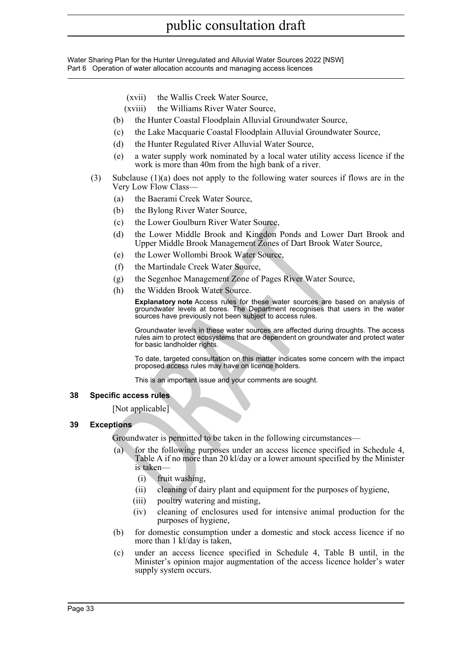- (xvii) the Wallis Creek Water Source,
- (xviii) the Williams River Water Source,
- (b) the Hunter Coastal Floodplain Alluvial Groundwater Source,
- (c) the Lake Macquarie Coastal Floodplain Alluvial Groundwater Source,
- (d) the Hunter Regulated River Alluvial Water Source,
- (e) a water supply work nominated by a local water utility access licence if the work is more than 40m from the high bank of a river.
- (3) Subclause (1)(a) does not apply to the following water sources if flows are in the Very Low Flow Class—
	- (a) the Baerami Creek Water Source,
	- (b) the Bylong River Water Source,
	- (c) the Lower Goulburn River Water Source,
	- (d) the Lower Middle Brook and Kingdon Ponds and Lower Dart Brook and Upper Middle Brook Management Zones of Dart Brook Water Source,
	- (e) the Lower Wollombi Brook Water Source,
	- (f) the Martindale Creek Water Source,
	- (g) the Segenhoe Management Zone of Pages River Water Source,
	- (h) the Widden Brook Water Source.

**Explanatory note** Access rules for these water sources are based on analysis of groundwater levels at bores. The Department recognises that users in the water sources have previously not been subject to access rules.

Groundwater levels in these water sources are affected during droughts. The access rules aim to protect ecosystems that are dependent on groundwater and protect water for basic landholder rights.

To date, targeted consultation on this matter indicates some concern with the impact proposed access rules may have on licence holders.

This is an important issue and your comments are sought.

#### <span id="page-32-0"></span>**38 Specific access rules**

#### [Not applicable]

#### <span id="page-32-1"></span>**39 Exceptions**

Groundwater is permitted to be taken in the following circumstances—

- (c) the Lower Goulburn River Water Source,<br>
(d) the Lower Middle Brook and Kingdom Ponds and Lower<br>
Upper Middle Brook Management Zones of Dart Brook Wat<br>
(e) the Nartimalale Creek Water Source.<br>
(f) the Martimalale Creek for the following purposes under an access licence specified in Schedule 4, Table A if no more than 20 kl/day or a lower amount specified by the Minister is taken—
	- (i) fruit washing,
	- (ii) cleaning of dairy plant and equipment for the purposes of hygiene,
	- (iii) poultry watering and misting,
	- (iv) cleaning of enclosures used for intensive animal production for the purposes of hygiene,
	- (b) for domestic consumption under a domestic and stock access licence if no more than 1 kl/day is taken,
	- (c) under an access licence specified in Schedule 4, Table B until, in the Minister's opinion major augmentation of the access licence holder's water supply system occurs.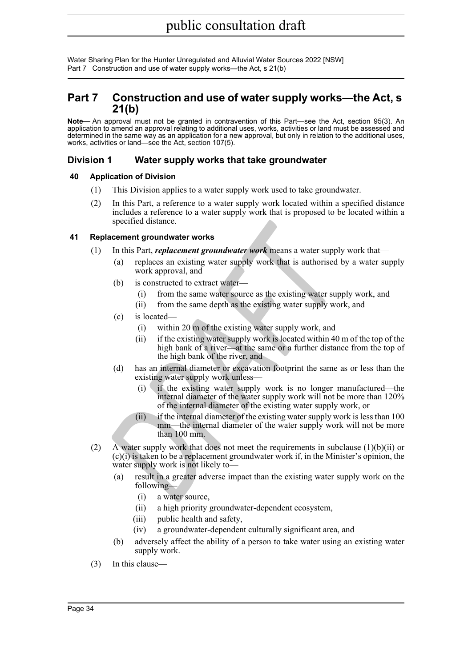Water Sharing Plan for the Hunter Unregulated and Alluvial Water Sources 2022 [NSW] Part 7 Construction and use of water supply works—the Act, s 21(b)

## <span id="page-33-0"></span>**Part 7 Construction and use of water supply works—the Act, s 21(b)**

**Note—** An approval must not be granted in contravention of this Part—see the Act, section 95(3). An application to amend an approval relating to additional uses, works, activities or land must be assessed and determined in the same way as an application for a new approval, but only in relation to the additional uses, works, activities or land—see the Act, section 107(5).

## <span id="page-33-1"></span>**Division 1 Water supply works that take groundwater**

#### <span id="page-33-2"></span>**40 Application of Division**

- (1) This Division applies to a water supply work used to take groundwater.
- (2) In this Part, a reference to a water supply work located within a specified distance includes a reference to a water supply work that is proposed to be located within a specified distance.

#### <span id="page-33-3"></span>**41 Replacement groundwater works**

- (1) In this Part, *replacement groundwater work* means a water supply work that—
	- (a) replaces an existing water supply work that is authorised by a water supply work approval, and
	- (b) is constructed to extract water-
		- (i) from the same water source as the existing water supply work, and
		- (ii) from the same depth as the existing water supply work, and
	- (c) is located—
		- (i) within 20 m of the existing water supply work, and
		- (ii) if the existing water supply work is located within 40 m of the top of the high bank of a river—at the same or a further distance from the top of the high bank of the river, and
	- (d) has an internal diameter or excavation footprint the same as or less than the existing water supply work unless—
		- (i) if the existing water supply work is no longer manufactured—the internal diameter of the water supply work will not be more than 120% of the internal diameter of the existing water supply work, or
		- (ii) if the internal diameter of the existing water supply work is less than 100 mm—the internal diameter of the water supply work will not be more than 100 mm.
- spectred distance.<br>
In this Part, *replacement groundwater work* means a water supply<br>
(a) replaces an existing water supply work that is authorised by<br>
work approval, and<br>
(b) is constructed to extract water—<br>
(i) from th (2) A water supply work that does not meet the requirements in subclause  $(1)(b)(ii)$  or (c)(i) is taken to be a replacement groundwater work if, in the Minister's opinion, the water supply work is not likely to—
	- (a) result in a greater adverse impact than the existing water supply work on the following—
		- (i) a water source,
		- (ii) a high priority groundwater-dependent ecosystem,
		- (iii) public health and safety,
		- (iv) a groundwater-dependent culturally significant area, and
	- (b) adversely affect the ability of a person to take water using an existing water supply work.
- (3) In this clause—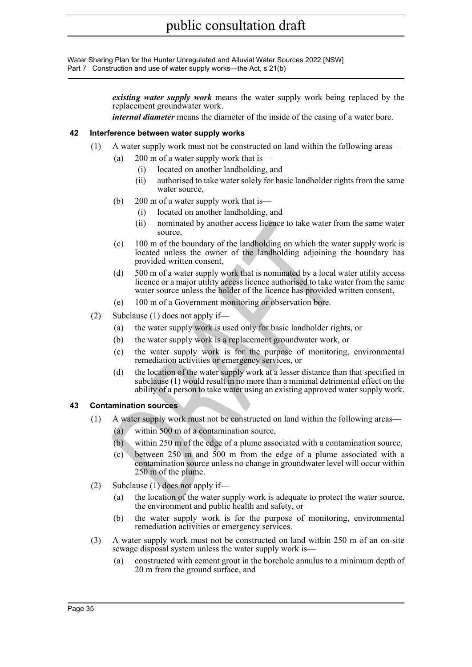Water Sharing Plan for the Hunter Unregulated and Alluvial Water Sources 2022 [NSW] Part 7 Construction and use of water supply works—the Act, s 21(b)

> *existing water supply work* means the water supply work being replaced by the replacement groundwater work.

*internal diameter* means the diameter of the inside of the casing of a water bore.

#### <span id="page-34-0"></span>**42 Interference between water supply works**

- (1) A water supply work must not be constructed on land within the following areas—
	- (a) 200 m of a water supply work that is—
		- (i) located on another landholding, and
		- (ii) authorised to take water solely for basic landholder rights from the same water source,
	- (b) 200 m of a water supply work that is—
		- (i) located on another landholding, and
		- (ii) nominated by another access licence to take water from the same water source,
	- (c) 100 m of the boundary of the landholding on which the water supply work is located unless the owner of the landholding adjoining the boundary has provided written consent,
	- (d) 500 m of a water supply work that is nominated by a local water utility access licence or a major utility access licence authorised to take water from the same water source unless the holder of the licence has provided written consent,
	- (e) 100 m of a Government monitoring or observation bore.
- (2) Subclause (1) does not apply if—
	- (a) the water supply work is used only for basic landholder rights, or
	- (b) the water supply work is a replacement groundwater work, or
	- (c) the water supply work is for the purpose of monitoring, environmental remediation activities or emergency services, or
	- (d) the location of the water supply work at a lesser distance than that specified in subclause (1) would result in no more than a minimal detrimental effect on the ability of a person to take water using an existing approved water supply work.

#### <span id="page-34-1"></span>**43 Contamination sources**

- (1) A water supply work must not be constructed on land within the following areas—
	- (a) within 500 m of a contamination source,
	- (b) within 250 m of the edge of a plume associated with a contamination source,
- (ii) nominated by another access licence to take water from<br>
source,<br>
(c) 100 m of the boundary of the landholding on which the wate<br>
located unless the owner of the landholding adjoining the<br>
provided written consent,<br>
(d (c) between 250 m and 500 m from the edge of a plume associated with a contamination source unless no change in groundwater level will occur within 250 m of the plume.
- (2) Subclause (1) does not apply if—
	- (a) the location of the water supply work is adequate to protect the water source, the environment and public health and safety, or
	- (b) the water supply work is for the purpose of monitoring, environmental remediation activities or emergency services.
- (3) A water supply work must not be constructed on land within 250 m of an on-site sewage disposal system unless the water supply work is—
	- (a) constructed with cement grout in the borehole annulus to a minimum depth of 20 m from the ground surface, and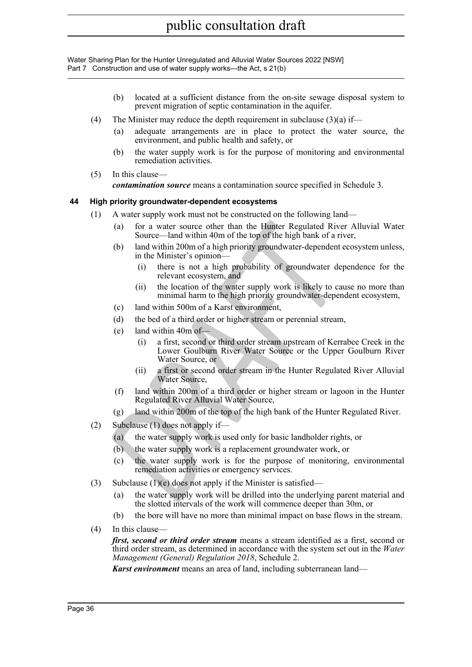Water Sharing Plan for the Hunter Unregulated and Alluvial Water Sources 2022 [NSW] Part 7 Construction and use of water supply works—the Act, s 21(b)

- (b) located at a sufficient distance from the on-site sewage disposal system to prevent migration of septic contamination in the aquifer.
- (4) The Minister may reduce the depth requirement in subclause  $(3)(a)$  if—
	- (a) adequate arrangements are in place to protect the water source, the environment, and public health and safety, or
	- (b) the water supply work is for the purpose of monitoring and environmental remediation activities.
- (5) In this clause—

*contamination source* means a contamination source specified in Schedule 3.

#### <span id="page-35-0"></span>**44 High priority groundwater-dependent ecosystems**

- (1) A water supply work must not be constructed on the following land—
	- (a) for a water source other than the Hunter Regulated River Alluvial Water Source—land within 40m of the top of the high bank of a river,
	- (b) land within 200m of a high priority groundwater-dependent ecosystem unless, in the Minister's opinion—
		- (i) there is not a high probability of groundwater dependence for the relevant ecosystem, and
		- (ii) the location of the water supply work is likely to cause no more than minimal harm to the high priority groundwater-dependent ecosystem,
	- (c) land within 500m of a Karst environment,
	- (d) the bed of a third order or higher stream or perennial stream,
	- (e) land within  $40m$  of-
	- (a) for a water source other than the Hunter Regulated River<br>
	(b) land within 200n of a high priority groundwater-dependent e<br>
	(b) land within 200n of a high priority groundwater-dependent e<br>
	in the Minister's opinion—<br>
	(i (i) a first, second or third order stream upstream of Kerrabee Creek in the Lower Goulburn River Water Source or the Upper Goulburn River Water Source, or
		- (ii) a first or second order stream in the Hunter Regulated River Alluvial Water Source,
		- (f) land within 200m of a third order or higher stream or lagoon in the Hunter Regulated River Alluvial Water Source,
		- (g) land within 200m of the top of the high bank of the Hunter Regulated River.
- (2) Subclause (1) does not apply if—
	- (a) the water supply work is used only for basic landholder rights, or
	- (b) the water supply work is a replacement groundwater work, or
	- (c) the water supply work is for the purpose of monitoring, environmental remediation activities or emergency services.
- (3) Subclause  $(1)(e)$  does not apply if the Minister is satisfied—
	- (a) the water supply work will be drilled into the underlying parent material and the slotted intervals of the work will commence deeper than 30m, or
	- (b) the bore will have no more than minimal impact on base flows in the stream.
- (4) In this clause—

*first, second or third order stream* means a stream identified as a first, second or third order stream, as determined in accordance with the system set out in the *Water Management (General) Regulation 2018*, Schedule 2.

*Karst environment* means an area of land, including subterranean land—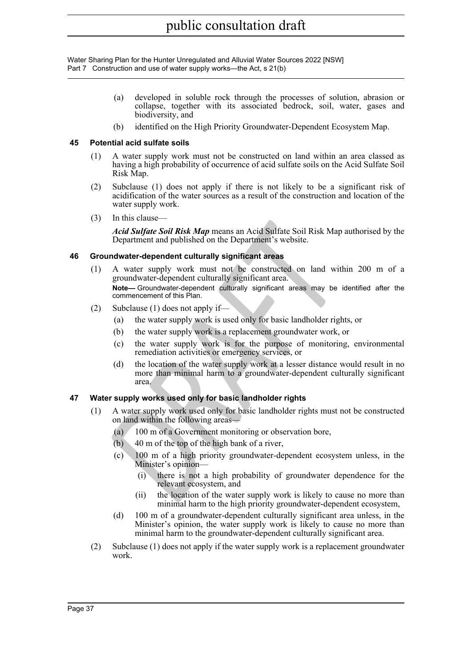Water Sharing Plan for the Hunter Unregulated and Alluvial Water Sources 2022 [NSW] Part 7 Construction and use of water supply works—the Act, s 21(b)

- (a) developed in soluble rock through the processes of solution, abrasion or collapse, together with its associated bedrock, soil, water, gases and biodiversity, and
- (b) identified on the High Priority Groundwater-Dependent Ecosystem Map.

### **45 Potential acid sulfate soils**

- (1) A water supply work must not be constructed on land within an area classed as having a high probability of occurrence of acid sulfate soils on the Acid Sulfate Soil Risk Map.
- (2) Subclause (1) does not apply if there is not likely to be a significant risk of acidification of the water sources as a result of the construction and location of the water supply work.
- (3) In this clause—

*Acid Sulfate Soil Risk Map* means an Acid Sulfate Soil Risk Map authorised by the Department and published on the Department's website.

### **46 Groundwater-dependent culturally significant areas**

- *DRAFT* (1) A water supply work must not be constructed on land within 200 m of a groundwater-dependent culturally significant area. **Note—** Groundwater-dependent culturally significant areas may be identified after the commencement of this Plan.
- (2) Subclause (1) does not apply if—
	- (a) the water supply work is used only for basic landholder rights, or
	- (b) the water supply work is a replacement groundwater work, or
	- (c) the water supply work is for the purpose of monitoring, environmental remediation activities or emergency services, or
	- (d) the location of the water supply work at a lesser distance would result in no more than minimal harm to a groundwater-dependent culturally significant area.

### **47 Water supply works used only for basic landholder rights**

- (1) A water supply work used only for basic landholder rights must not be constructed on land within the following areas—
	- (a) 100 m of a Government monitoring or observation bore,
	- $(b)$  40 m of the top of the high bank of a river,
	- (c) 100 m of a high priority groundwater-dependent ecosystem unless, in the Minister's opinion—
		- (i) there is not a high probability of groundwater dependence for the relevant ecosystem, and
		- (ii) the location of the water supply work is likely to cause no more than minimal harm to the high priority groundwater-dependent ecosystem,
	- (d) 100 m of a groundwater-dependent culturally significant area unless, in the Minister's opinion, the water supply work is likely to cause no more than minimal harm to the groundwater-dependent culturally significant area.
- (2) Subclause (1) does not apply if the water supply work is a replacement groundwater work.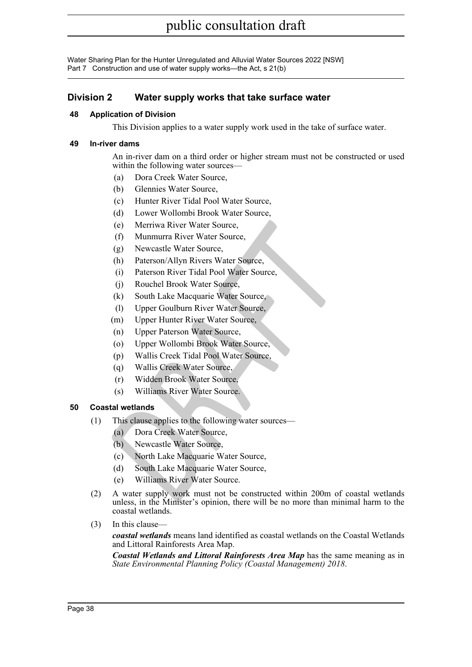Water Sharing Plan for the Hunter Unregulated and Alluvial Water Sources 2022 [NSW] Part 7 Construction and use of water supply works—the Act, s 21(b)

## **Division 2 Water supply works that take surface water**

### **48 Application of Division**

This Division applies to a water supply work used in the take of surface water.

### **49 In-river dams**

An in-river dam on a third order or higher stream must not be constructed or used within the following water sources—

- (a) Dora Creek Water Source,
- (b) Glennies Water Source,
- (c) Hunter River Tidal Pool Water Source,
- (d) Lower Wollombi Brook Water Source,
- (e) Merriwa River Water Source,
- (f) Munmurra River Water Source,
- (g) Newcastle Water Source,
- (h) Paterson/Allyn Rivers Water Source,
- (i) Paterson River Tidal Pool Water Source,
- (j) Rouchel Brook Water Source,
- (k) South Lake Macquarie Water Source,
- (l) Upper Goulburn River Water Source,
- (m) Upper Hunter River Water Source,
- (n) Upper Paterson Water Source,
- (o) Upper Wollombi Brook Water Source,
- (p) Wallis Creek Tidal Pool Water Source,
- (q) Wallis Creek Water Source,
- (r) Widden Brook Water Source,
- (s) Williams River Water Source.

### **50 Coastal wetlands**

- (1) This clause applies to the following water sources—
	- (a) Dora Creek Water Source,
	- (b) Newcastle Water Source,
	- (c) North Lake Macquarie Water Source,
	- (d) South Lake Macquarie Water Source,
	- (e) Williams River Water Source.
- (e) Merriwa River Water Source,<br>
(f) Munmurra River Water Source,<br>
(g) Newcastle Water Source,<br>
(h) Paterson Allyn Rivers Water Source,<br>
(i) Paterson River Tidal Pool Water Source,<br>
(j) Rouchel Brook Water Source,<br>
(g) Dep (2) A water supply work must not be constructed within 200m of coastal wetlands unless, in the Minister's opinion, there will be no more than minimal harm to the coastal wetlands.
- (3) In this clause—

*coastal wetlands* means land identified as coastal wetlands on the Coastal Wetlands and Littoral Rainforests Area Map.

*Coastal Wetlands and Littoral Rainforests Area Map* has the same meaning as in *State Environmental Planning Policy (Coastal Management) 2018* .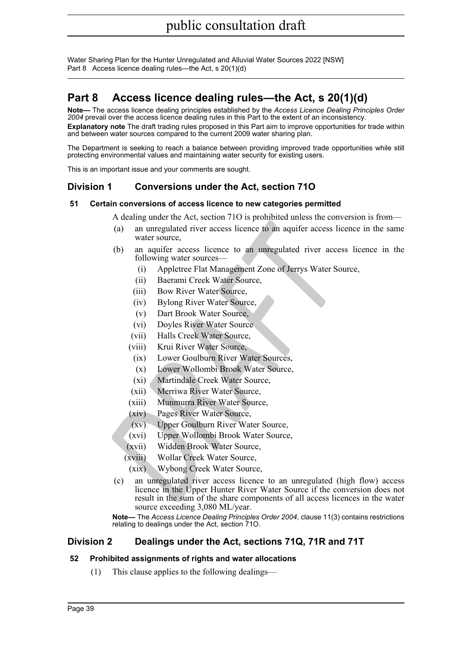## **Part 8 Access licence dealing rules—the Act, s 20(1)(d)**

**Note—** The access licence dealing principles established by the *Access Licence Dealing Principles Order 2004* prevail over the access licence dealing rules in this Part to the extent of an inconsistency. **Explanatory note** The draft trading rules proposed in this Part aim to improve opportunities for trade within and between water sources compared to the current 2009 water sharing plan.

The Department is seeking to reach a balance between providing improved trade opportunities while still protecting environmental values and maintaining water security for existing users.

This is an important issue and your comments are sought.

## **Division 1 Conversions under the Act, section 71O**

### **51 Certain conversions of access licence to new categories permitted**

A dealing under the Act, section 71O is prohibited unless the conversion is from—

- (a) an unregulated river access licence to an aquifer access licence in the same water source,
- (b) an aquifer access licence to an unregulated river access licence in the following water sources—
	- (i) Appletree Flat Management Zone of Jerrys Water Source,
	- (ii) Baerami Creek Water Source,
	- (iii) Bow River Water Source,
	- (iv) Bylong River Water Source,
	- (v) Dart Brook Water Source,
	- (vi) Doyles River Water Source
	- (vii) Halls Creek Water Source,
	- (viii) Krui River Water Source,
		- (ix) Lower Goulburn River Water Sources,
		- (x) Lower Wollombi Brook Water Source,
		- (xi) Martindale Creek Water Source,
	- (xii) Merriwa River Water Source,
	- (xiii) Munmurra River Water Source,
	- (xiv) Pages River Water Source,
	- (xv) Upper Goulburn River Water Source,
	- (xvi) Upper Wollombi Brook Water Source,
	- (xvii) Widden Brook Water Source,
	- (xviii) Wollar Creek Water Source,
	- (xix) Wybong Creek Water Source,
- **Communistant Constrainer Constrainer Constrainer (a)**<br> **ARRAFT SCILL AND AND THEORY AND SCILL AND SCILLAGE CONSTRATE CONSTRATE SCILLAGE (ii)** Barami Creek Water Source,<br>
(ii) Barami Creek Water Source,<br>
(ii) Bow River Wat (c) an unregulated river access licence to an unregulated (high flow) access licence in the Upper Hunter River Water Source if the conversion does not result in the sum of the share components of all access licences in the water source exceeding 3,080 ML/year.

**Note—** The *Access Licence Dealing Principles Order 2004*, clause 11(3) contains restrictions relating to dealings under the Act, section 71O.

### **Division 2 Dealings under the Act, sections 71Q, 71R and 71T**

### **52 Prohibited assignments of rights and water allocations**

(1) This clause applies to the following dealings—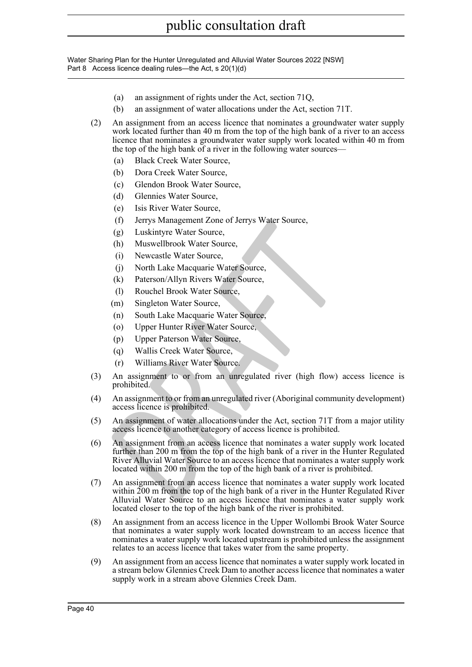- (a) an assignment of rights under the Act, section 71Q,
- (b) an assignment of water allocations under the Act, section 71T.
- (2) An assignment from an access licence that nominates a groundwater water supply work located further than 40 m from the top of the high bank of a river to an access licence that nominates a groundwater water supply work located within 40 m from the top of the high bank of a river in the following water sources—
	- (a) Black Creek Water Source,
	- (b) Dora Creek Water Source,
	- (c) Glendon Brook Water Source,
	- (d) Glennies Water Source,
	- (e) Isis River Water Source,
	- (f) Jerrys Management Zone of Jerrys Water Source,
	- (g) Luskintyre Water Source,
	- (h) Muswellbrook Water Source,
	- (i) Newcastle Water Source,
	- (j) North Lake Macquarie Water Source,
	- (k) Paterson/Allyn Rivers Water Source,
	- (l) Rouchel Brook Water Source,
	- (m) Singleton Water Source,
	- (n) South Lake Macquarie Water Source,
	- (o) Upper Hunter River Water Source,
	- (p) Upper Paterson Water Source,
	- (q) Wallis Creek Water Source,
	- (r) Williams River Water Source.
- (3) An assignment to or from an unregulated river (high flow) access licence is prohibited.
- (4) An assignment to or from an unregulated river (Aboriginal community development) access licence is prohibited.
- (5) An assignment of water allocations under the Act, section 71T from a major utility access licence to another category of access licence is prohibited.
- (1) Jerrys Management Zone of Jerrys water source,<br>
(g) Luskintyre Water Source,<br>
(h) Muswellbrook Water Source,<br>
(i) Newcastle Water Source,<br>
(i) Newcastle Water Source,<br>
(i) Rouchel Brook Water Source,<br>
(i) Rouchel Brook (6) An assignment from an access licence that nominates a water supply work located further than 200 m from the top of the high bank of a river in the Hunter Regulated River Alluvial Water Source to an access licence that nominates a water supply work located within 200 m from the top of the high bank of a river is prohibited.
- (7) An assignment from an access licence that nominates a water supply work located within 200 m from the top of the high bank of a river in the Hunter Regulated River Alluvial Water Source to an access licence that nominates a water supply work located closer to the top of the high bank of the river is prohibited.
- (8) An assignment from an access licence in the Upper Wollombi Brook Water Source that nominates a water supply work located downstream to an access licence that nominates a water supply work located upstream is prohibited unless the assignment relates to an access licence that takes water from the same property.
- (9) An assignment from an access licence that nominates a water supply work located in a stream below Glennies Creek Dam to another access licence that nominates a water supply work in a stream above Glennies Creek Dam.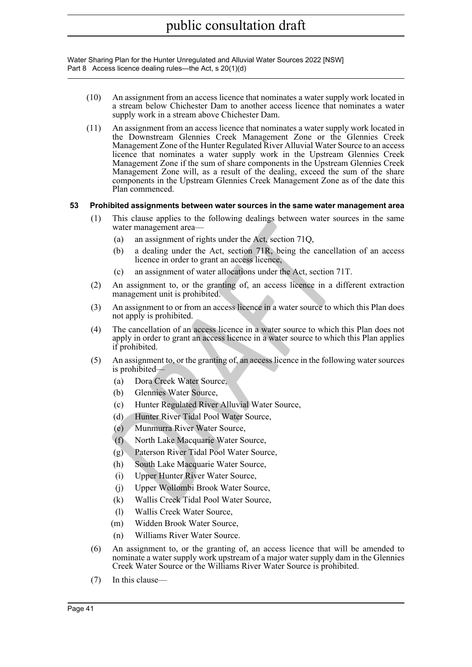- (10) An assignment from an access licence that nominates a water supply work located in a stream below Chichester Dam to another access licence that nominates a water supply work in a stream above Chichester Dam.
- (11) An assignment from an access licence that nominates a water supply work located in the Downstream Glennies Creek Management Zone or the Glennies Creek Management Zone of the Hunter Regulated River Alluvial Water Source to an access licence that nominates a water supply work in the Upstream Glennies Creek Management Zone if the sum of share components in the Upstream Glennies Creek Management Zone will, as a result of the dealing, exceed the sum of the share components in the Upstream Glennies Creek Management Zone as of the date this Plan commenced.

### **53 Prohibited assignments between water sources in the same water management area**

- (1) This clause applies to the following dealings between water sources in the same water management area—
	- (a) an assignment of rights under the Act, section 71Q,
	- (b) a dealing under the Act, section 71R, being the cancellation of an access licence in order to grant an access licence,
	- (c) an assignment of water allocations under the Act, section 71T.
- (2) An assignment to, or the granting of, an access licence in a different extraction management unit is prohibited.
- (3) An assignment to or from an access licence in a water source to which this Plan does not apply is prohibited.
- Final change and change and change of the Act, section 71Q,<br> **ORET management area**—<br>
(a) an assignment of rights under the Act, section 71Q,<br>
(b) a dealing under the Act, section 71R, being the cancellati<br>
(c) an assignme (4) The cancellation of an access licence in a water source to which this Plan does not apply in order to grant an access licence in a water source to which this Plan applies if prohibited.
- (5) An assignment to, or the granting of, an access licence in the following water sources is prohibited—
	- (a) Dora Creek Water Source,
	- (b) Glennies Water Source,
	- (c) Hunter Regulated River Alluvial Water Source,
	- (d) Hunter River Tidal Pool Water Source,
	- (e) Munmurra River Water Source,
	- (f) North Lake Macquarie Water Source,
	- (g) Paterson River Tidal Pool Water Source,
	- (h) South Lake Macquarie Water Source,
	- (i) Upper Hunter River Water Source,
	- (j) Upper Wollombi Brook Water Source,
	- (k) Wallis Creek Tidal Pool Water Source,
	- (l) Wallis Creek Water Source,
	- (m) Widden Brook Water Source,
	- (n) Williams River Water Source.
- (6) An assignment to, or the granting of, an access licence that will be amended to nominate a water supply work upstream of a major water supply dam in the Glennies Creek Water Source or the Williams River Water Source is prohibited.
- (7) In this clause—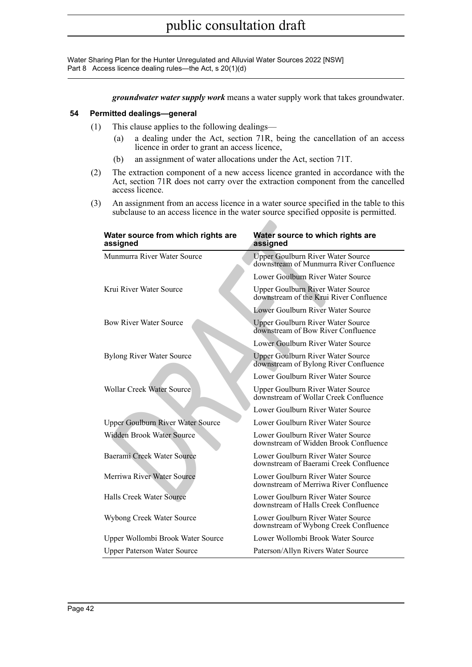*groundwater water supply work* means a water supply work that takes groundwater.

### **54 Permitted dealings—general**

- (1) This clause applies to the following dealings—
	- (a) a dealing under the Act, section 71R, being the cancellation of an access licence in order to grant an access licence,
	- (b) an assignment of water allocations under the Act, section 71T.
- (2) The extraction component of a new access licence granted in accordance with the Act, section 71R does not carry over the extraction component from the cancelled access licence.
- (3) An assignment from an access licence in a water source specified in the table to this subclause to an access licence in the water source specified opposite is permitted.

| Water source from which rights are<br>assigned | Water source to which rights are<br>assigned                                        |
|------------------------------------------------|-------------------------------------------------------------------------------------|
| Munmurra River Water Source                    | <b>Upper Goulburn River Water Source</b><br>downstream of Munmurra River Confluence |
|                                                | Lower Goulburn River Water Source                                                   |
| Krui River Water Source                        | Upper Goulburn River Water Source<br>downstream of the Krui River Confluence        |
|                                                | Lower Goulburn River Water Source                                                   |
| <b>Bow River Water Source</b>                  | <b>Upper Goulburn River Water Source</b><br>downstream of Bow River Confluence      |
|                                                | Lower Goulburn River Water Source                                                   |
| <b>Bylong River Water Source</b>               | Upper Goulburn River Water Source<br>downstream of Bylong River Confluence          |
|                                                | Lower Goulburn River Water Source                                                   |
| <b>Wollar Creek Water Source</b>               | Upper Goulburn River Water Source<br>downstream of Wollar Creek Confluence          |
|                                                | Lower Goulburn River Water Source                                                   |
| Upper Goulburn River Water Source              | Lower Goulburn River Water Source                                                   |
| Widden Brook Water Source                      | Lower Goulburn River Water Source<br>downstream of Widden Brook Confluence          |
| Baerami Creek Water Source                     | Lower Goulburn River Water Source<br>downstream of Baerami Creek Confluence         |
| Merriwa River Water Source                     | Lower Goulburn River Water Source<br>downstream of Merriwa River Confluence         |
| Halls Creek Water Source                       | Lower Goulburn River Water Source<br>downstream of Halls Creek Confluence           |
| Wybong Creek Water Source                      | Lower Goulburn River Water Source<br>downstream of Wybong Creek Confluence          |
| Upper Wollombi Brook Water Source              | Lower Wollombi Brook Water Source                                                   |
| <b>Upper Paterson Water Source</b>             | Paterson/Allyn Rivers Water Source                                                  |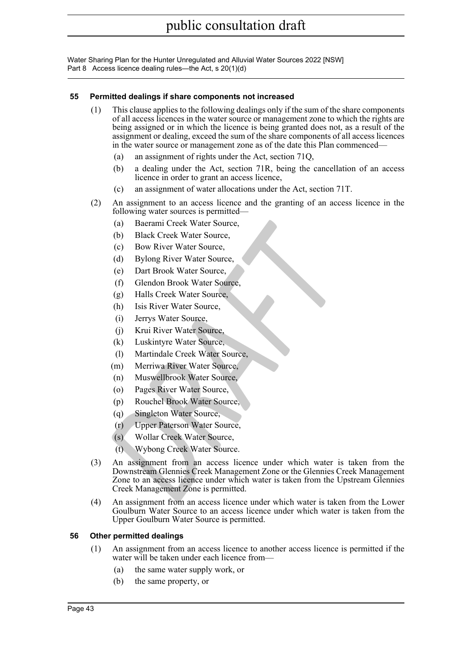### **55 Permitted dealings if share components not increased**

- (1) This clause applies to the following dealings only if the sum of the share components of all access licences in the water source or management zone to which the rights are being assigned or in which the licence is being granted does not, as a result of the assignment or dealing, exceed the sum of the share components of all access licences in the water source or management zone as of the date this Plan commenced—
	- (a) an assignment of rights under the Act, section 71Q,
	- (b) a dealing under the Act, section 71R, being the cancellation of an access licence in order to grant an access licence,
	- (c) an assignment of water allocations under the Act, section 71T.
- (2) An assignment to an access licence and the granting of an access licence in the following water sources is permitted—
	- (a) Baerami Creek Water Source,
	- (b) Black Creek Water Source,
	- (c) Bow River Water Source,
	- (d) Bylong River Water Source,
	- (e) Dart Brook Water Source,
	- (f) Glendon Brook Water Source,
	- (g) Halls Creek Water Source,
	- (h) Isis River Water Source,
	- (i) Jerrys Water Source,
	- (j) Krui River Water Source,
	- (k) Luskintyre Water Source,
	- (l) Martindale Creek Water Source,
	- (m) Merriwa River Water Source,
	- (n) Muswellbrook Water Source,
	- (o) Pages River Water Source,
	- (p) Rouchel Brook Water Source,
	- (q) Singleton Water Source,
	- (r) Upper Paterson Water Source,
	- (s) Wollar Creek Water Source,
	- (t) Wybong Creek Water Source.
- (a) Back Creek Water Source,<br>
(b) Black Creek Water Source,<br>
(c) Bylong River Water Source,<br>
(e) Bylong River Water Source,<br>
(e) Dart Brook Water Source,<br>
(f) Glendon Brook Water Source,<br>
(j) Jerrys Water Source,<br>
(j) Jerr (3) An assignment from an access licence under which water is taken from the Downstream Glennies Creek Management Zone or the Glennies Creek Management Zone to an access licence under which water is taken from the Upstream Glennies Creek Management Zone is permitted.
- (4) An assignment from an access licence under which water is taken from the Lower Goulburn Water Source to an access licence under which water is taken from the Upper Goulburn Water Source is permitted.

### **56 Other permitted dealings**

- (1) An assignment from an access licence to another access licence is permitted if the water will be taken under each licence from—
	- (a) the same water supply work, or
	- (b) the same property, or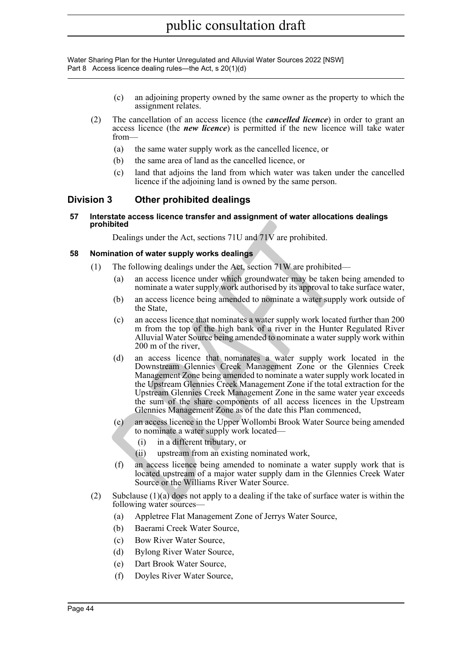- (c) an adjoining property owned by the same owner as the property to which the assignment relates.
- (2) The cancellation of an access licence (the *cancelled licence*) in order to grant an access licence (the *new licence*) is permitted if the new licence will take water from—
	- (a) the same water supply work as the cancelled licence, or
	- (b) the same area of land as the cancelled licence, or
	- (c) land that adjoins the land from which water was taken under the cancelled licence if the adjoining land is owned by the same person.

### **Division 3 Other prohibited dealings**

**57 Interstate access licence transfer and assignment of water allocations dealings prohibited**

Dealings under the Act, sections 71U and 71V are prohibited.

### **58 Nomination of water supply works dealings**

- (1) The following dealings under the Act, section 71W are prohibited—
	- (a) an access licence under which groundwater may be taken being amended to nominate a water supply work authorised by its approval to take surface water,
	- (b) an access licence being amended to nominate a water supply work outside of the State,
	- (c) an access licence that nominates a water supply work located further than 200 m from the top of the high bank of a river in the Hunter Regulated River Alluvial Water Source being amended to nominate a water supply work within 200 m of the river,
- **hibited**<br>
Dealings under the Act, sections 71U and 71V are prohibited.<br> **hination of water supply works dealings**<br>
The following dealings under the Act, section 71W are prohibited-<br>
(a) an access licence under which groun (d) an access licence that nominates a water supply work located in the Downstream Glennies Creek Management Zone or the Glennies Creek Management Zone being amended to nominate a water supply work located in the Upstream Glennies Creek Management Zone if the total extraction for the Upstream Glennies Creek Management Zone in the same water year exceeds the sum of the share components of all access licences in the Upstream Glennies Management Zone as of the date this Plan commenced,
	- (e) an access licence in the Upper Wollombi Brook Water Source being amended to nominate a water supply work located—
		- (i) in a different tributary, or
		- (ii) upstream from an existing nominated work,
	- (f) an access licence being amended to nominate a water supply work that is located upstream of a major water supply dam in the Glennies Creek Water Source or the Williams River Water Source.
- (2) Subclause (1)(a) does not apply to a dealing if the take of surface water is within the following water sources—
	- (a) Appletree Flat Management Zone of Jerrys Water Source,
	- (b) Baerami Creek Water Source,
	- (c) Bow River Water Source,
	- (d) Bylong River Water Source,
	- (e) Dart Brook Water Source,
	- (f) Doyles River Water Source,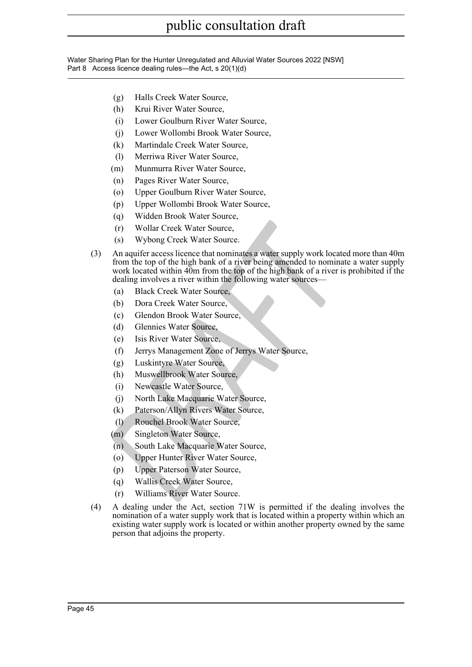- (g) Halls Creek Water Source,
- (h) Krui River Water Source,
- (i) Lower Goulburn River Water Source,
- (j) Lower Wollombi Brook Water Source,
- (k) Martindale Creek Water Source,
- (l) Merriwa River Water Source,
- (m) Munmurra River Water Source,
- (n) Pages River Water Source,
- (o) Upper Goulburn River Water Source,
- (p) Upper Wollombi Brook Water Source,
- (q) Widden Brook Water Source,
- (r) Wollar Creek Water Source,
- (s) Wybong Creek Water Source.
- (r) Wollar Creek Water Source,<br>
(s) Wybong Creek Water Source,<br>
An aquifer access licence that nominates a water supply work located<br>
from the top of the high bank of a river being amended to nominate<br>
work located within (3) An aquifer access licence that nominates a water supply work located more than 40m from the top of the high bank of a river being amended to nominate a water supply work located within 40m from the top of the high bank of a river is prohibited if the dealing involves a river within the following water sources—
	- (a) Black Creek Water Source,
	- (b) Dora Creek Water Source,
	- (c) Glendon Brook Water Source,
	- (d) Glennies Water Source,
	- (e) Isis River Water Source,
	- (f) Jerrys Management Zone of Jerrys Water Source,
	- (g) Luskintyre Water Source,
	- (h) Muswellbrook Water Source,
	- (i) Newcastle Water Source,
	- (j) North Lake Macquarie Water Source,
	- (k) Paterson/Allyn Rivers Water Source,
	- (l) Rouchel Brook Water Source,
	- (m) Singleton Water Source,
	- (n) South Lake Macquarie Water Source,
	- (o) Upper Hunter River Water Source,
	- (p) Upper Paterson Water Source,
	- (q) Wallis Creek Water Source,
	- (r) Williams River Water Source.
- (4) A dealing under the Act, section 71W is permitted if the dealing involves the nomination of a water supply work that is located within a property within which an existing water supply work is located or within another property owned by the same person that adjoins the property.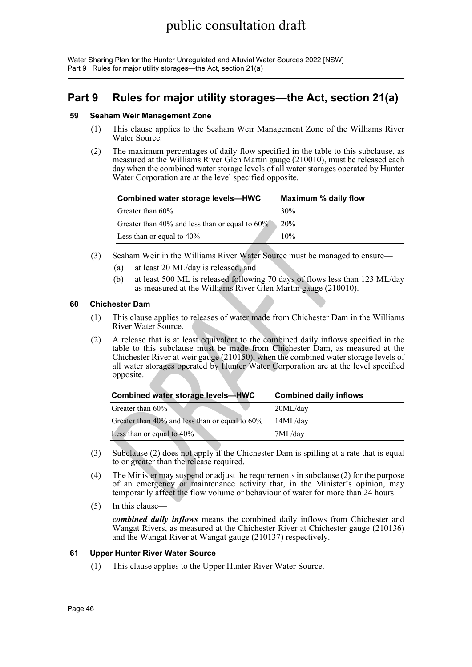Water Sharing Plan for the Hunter Unregulated and Alluvial Water Sources 2022 [NSW] Part 9 Rules for major utility storages—the Act, section 21(a)

## **Part 9 Rules for major utility storages—the Act, section 21(a)**

### **59 Seaham Weir Management Zone**

- (1) This clause applies to the Seaham Weir Management Zone of the Williams River Water Source.
- (2) The maximum percentages of daily flow specified in the table to this subclause, as measured at the Williams River Glen Martin gauge (210010), must be released each day when the combined water storage levels of all water storages operated by Hunter Water Corporation are at the level specified opposite.

| Combined water storage levels-HWC                    | Maximum % daily flow |
|------------------------------------------------------|----------------------|
| Greater than 60%                                     | 30%                  |
| Greater than $40\%$ and less than or equal to $60\%$ | 20%                  |
| Less than or equal to $40\%$                         | 10%                  |

- (3) Seaham Weir in the Williams River Water Source must be managed to ensure—
	- (a) at least 20 ML/day is released, and
	- (b) at least 500 ML is released following 70 days of flows less than 123 ML/day as measured at the Williams River Glen Martin gauge (210010).

### **60 Chichester Dam**

- (1) This clause applies to releases of water made from Chichester Dam in the Williams River Water Source.
- (2) A release that is at least equivalent to the combined daily inflows specified in the table to this subclause must be made from Chichester Dam, as measured at the Chichester River at weir gauge (210150), when the combined water storage levels of all water storages operated by Hunter Water Corporation are at the level specified opposite.

|                                                                                                                                                                                                                                                                                                                                                                  | Greater than 40% and less than or equal to 60%                                                                                                                                                                                                           | 20%                           |  |  |  |  |
|------------------------------------------------------------------------------------------------------------------------------------------------------------------------------------------------------------------------------------------------------------------------------------------------------------------------------------------------------------------|----------------------------------------------------------------------------------------------------------------------------------------------------------------------------------------------------------------------------------------------------------|-------------------------------|--|--|--|--|
|                                                                                                                                                                                                                                                                                                                                                                  | Less than or equal to 40%                                                                                                                                                                                                                                | 10%                           |  |  |  |  |
|                                                                                                                                                                                                                                                                                                                                                                  | Seaham Weir in the Williams River Water Source must be managed to ensure—                                                                                                                                                                                |                               |  |  |  |  |
| (a)                                                                                                                                                                                                                                                                                                                                                              | at least 20 ML/day is released, and                                                                                                                                                                                                                      |                               |  |  |  |  |
| (b)                                                                                                                                                                                                                                                                                                                                                              | at least 500 ML is released following 70 days of flows less than 123 ML/day<br>as measured at the Williams River Glen Martin gauge (210010).                                                                                                             |                               |  |  |  |  |
| chester Dam                                                                                                                                                                                                                                                                                                                                                      |                                                                                                                                                                                                                                                          |                               |  |  |  |  |
|                                                                                                                                                                                                                                                                                                                                                                  | This clause applies to releases of water made from Chichester Dam in the Williams<br>River Water Source.                                                                                                                                                 |                               |  |  |  |  |
| A release that is at least equivalent to the combined daily inflows specified in the<br>table to this subclause must be made from Chichester Dam, as measured at the<br>Chichester River at weir gauge $(210150)$ , when the combined water storage levels of<br>all water storages operated by Hunter Water Corporation are at the level specified<br>opposite. |                                                                                                                                                                                                                                                          |                               |  |  |  |  |
|                                                                                                                                                                                                                                                                                                                                                                  | <b>Combined water storage levels-HWC</b>                                                                                                                                                                                                                 | <b>Combined daily inflows</b> |  |  |  |  |
|                                                                                                                                                                                                                                                                                                                                                                  | Greater than 60%                                                                                                                                                                                                                                         | 20ML/day                      |  |  |  |  |
|                                                                                                                                                                                                                                                                                                                                                                  | Greater than 40% and less than or equal to 60%                                                                                                                                                                                                           | 14ML/day                      |  |  |  |  |
|                                                                                                                                                                                                                                                                                                                                                                  | Less than or equal to $40\%$                                                                                                                                                                                                                             | 7ML/day                       |  |  |  |  |
|                                                                                                                                                                                                                                                                                                                                                                  | Subclause (2) does not apply if the Chichester Dam is spilling at a rate that is equal<br>to or greater than the release required.                                                                                                                       |                               |  |  |  |  |
|                                                                                                                                                                                                                                                                                                                                                                  | The Minister may suspend or adjust the requirements in subclause (2) for the purpose<br>of an emergency or maintenance activity that, in the Minister's opinion, may<br>temporarily affect the flow volume or behaviour of water for more than 24 hours. |                               |  |  |  |  |
|                                                                                                                                                                                                                                                                                                                                                                  |                                                                                                                                                                                                                                                          |                               |  |  |  |  |

- (3) Subclause (2) does not apply if the Chichester Dam is spilling at a rate that is equal to or greater than the release required.
- (4) The Minister may suspend or adjust the requirements in subclause (2) for the purpose of an emergency or maintenance activity that, in the Minister's opinion, may temporarily affect the flow volume or behaviour of water for more than 24 hours.
- (5) In this clause—

*combined daily inflows* means the combined daily inflows from Chichester and Wangat Rivers, as measured at the Chichester River at Chichester gauge (210136) and the Wangat River at Wangat gauge (210137) respectively.

### **61 Upper Hunter River Water Source**

(1) This clause applies to the Upper Hunter River Water Source.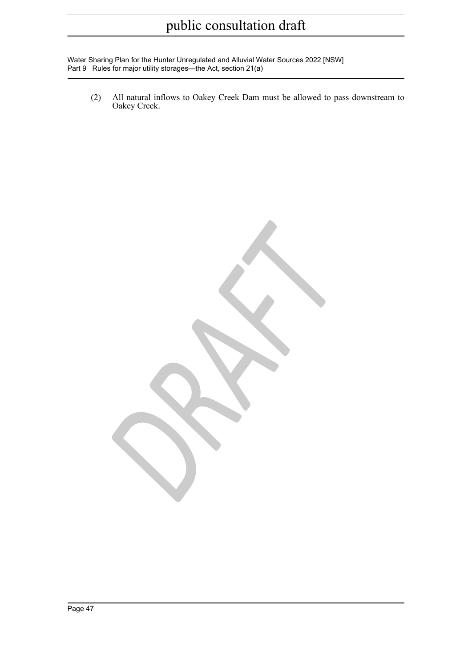Water Sharing Plan for the Hunter Unregulated and Alluvial Water Sources 2022 [NSW] Part 9 Rules for major utility storages—the Act, section 21(a)

(2) All natural inflows to Oakey Creek Dam must be allowed to pass downstream to Oakey Creek.

*DRAFT*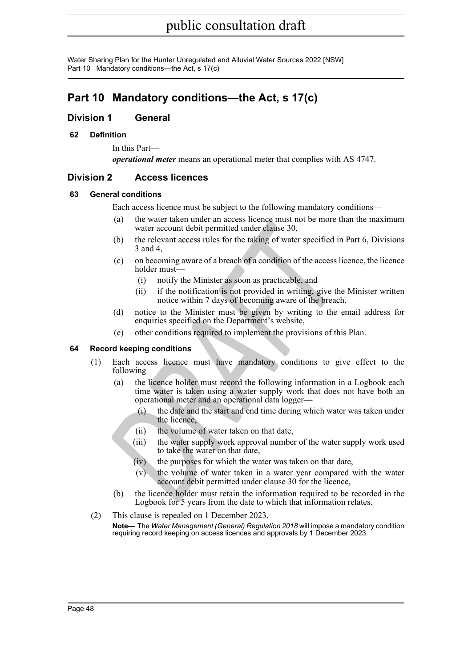## **Part 10 Mandatory conditions—the Act, s 17(c)**

### **Division 1 General**

### **62 Definition**

In this Part *operational meter* means an operational meter that complies with AS 4747.

## **Division 2 Access licences**

### **63 General conditions**

Each access licence must be subject to the following mandatory conditions—

- (a) the water taken under an access licence must not be more than the maximum water account debit permitted under clause 30,
- (b) the relevant access rules for the taking of water specified in [Part 6](#page-27-1), Divisions 3 and 4,
- (c) on becoming aware of a breach of a condition of the access licence, the licence holder must—
	- (i) notify the Minister as soon as practicable, and
	- (ii) if the notification is not provided in writing, give the Minister written notice within 7 days of becoming aware of the breach,
- (d) notice to the Minister must be given by writing to the email address for enquiries specified on the Department's website,
- (e) other conditions required to implement the provisions of this Plan.

### **64 Record keeping conditions**

- (1) Each access licence must have mandatory conditions to give effect to the following—
- (a) the water account debit permitted under classe 30,<br>
(b) the relevant access rules for the taking of water specified in<br>
3 and 4,<br>
(c) one becoming aware of a breach of a condition of the access lic<br>
holder must—<br>
(i) n (a) the licence holder must record the following information in a Logbook each time water is taken using a water supply work that does not have both an operational meter and an operational data logger—
	- (i) the date and the start and end time during which water was taken under the licence,
	- (ii) the volume of water taken on that date,
	- (iii) the water supply work approval number of the water supply work used to take the water on that date,
	- (iv) the purposes for which the water was taken on that date,
	- (v) the volume of water taken in a water year compared with the water account debit permitted under clause 30 for the licence,
	- (b) the licence holder must retain the information required to be recorded in the Logbook for 5 years from the date to which that information relates.
- (2) This clause is repealed on 1 December 2023. **Note—** The *Water Management (General) Regulation 2018* will impose a mandatory condition requiring record keeping on access licences and approvals by 1 December 2023.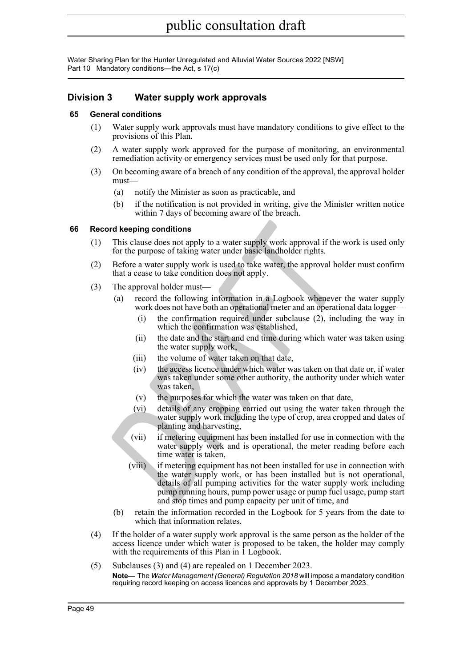## **Division 3 Water supply work approvals**

### **65 General conditions**

- (1) Water supply work approvals must have mandatory conditions to give effect to the provisions of this Plan.
- (2) A water supply work approved for the purpose of monitoring, an environmental remediation activity or emergency services must be used only for that purpose.
- (3) On becoming aware of a breach of any condition of the approval, the approval holder must—
	- (a) notify the Minister as soon as practicable, and
	- (b) if the notification is not provided in writing, give the Minister written notice within 7 days of becoming aware of the breach.

### **66 Record keeping conditions**

- (1) This clause does not apply to a water supply work approval if the work is used only for the purpose of taking water under basic landholder rights.
- (2) Before a water supply work is used to take water, the approval holder must confirm that a cease to take condition does not apply.
- (3) The approval holder must—
	- (a) record the following information in a Logbook whenever the water supply work does not have both an operational meter and an operational data logger—
		- (i) the confirmation required under subclause (2), including the way in which the confirmation was established,
		- (ii) the date and the start and end time during which water was taken using the water supply work,
		- (iii) the volume of water taken on that date,
		- (iv) the access licence under which water was taken on that date or, if water was taken under some other authority, the authority under which water was taken,
		- (v) the purposes for which the water was taken on that date,
		- (vi) details of any cropping carried out using the water taken through the water supply work including the type of crop, area cropped and dates of planting and harvesting,
		- (vii) if metering equipment has been installed for use in connection with the water supply work and is operational, the meter reading before each time water is taken,
- **Cond keeping conditions**<br>
This clause does not apply to a water supply work approval if the v<br>
for the purpose of taking water under basic landholder rights.<br>
Before a water supply work is used to take water, the approval (viii) if metering equipment has not been installed for use in connection with the water supply work, or has been installed but is not operational, details of all pumping activities for the water supply work including pump running hours, pump power usage or pump fuel usage, pump start and stop times and pump capacity per unit of time, and
	- (b) retain the information recorded in the Logbook for 5 years from the date to which that information relates.
- (4) If the holder of a water supply work approval is the same person as the holder of the access licence under which water is proposed to be taken, the holder may comply with the requirements of this Plan in 1 Logbook.
- (5) Subclauses (3) and (4) are repealed on 1 December 2023. **Note—** The *Water Management (General) Regulation 2018* will impose a mandatory condition requiring record keeping on access licences and approvals by 1 December 2023.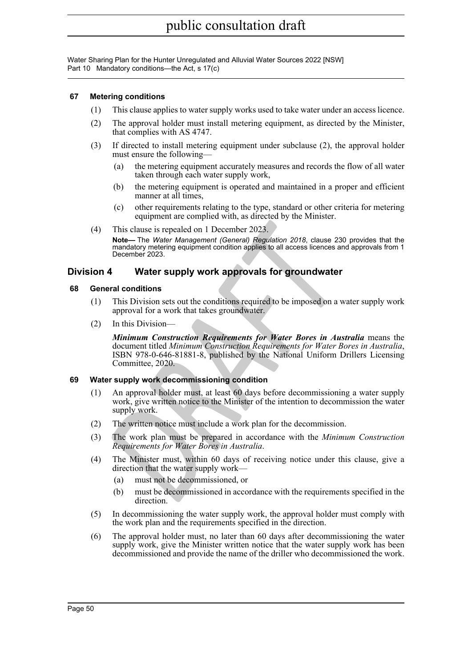### **67 Metering conditions**

- (1) This clause applies to water supply works used to take water under an access licence.
- (2) The approval holder must install metering equipment, as directed by the Minister, that complies with AS 4747.
- (3) If directed to install metering equipment under subclause (2), the approval holder must ensure the following—
	- (a) the metering equipment accurately measures and records the flow of all water taken through each water supply work,
	- (b) the metering equipment is operated and maintained in a proper and efficient manner at all times,
	- (c) other requirements relating to the type, standard or other criteria for metering equipment are complied with, as directed by the Minister.
- (4) This clause is repealed on 1 December 2023.

**Note—** The *Water Management (General) Regulation 2018*, clause 230 provides that the mandatory metering equipment condition applies to all access licences and approvals from 1 December 2023.

### **Division 4 Water supply work approvals for groundwater**

### **68 General conditions**

- (1) This Division sets out the conditions required to be imposed on a water supply work approval for a work that takes groundwater.
- (2) In this Division—

This clause is repealed on 1 December 2023.<br> **Note—** The *Weter Management (General) Regulation 2018*, clause 230<br>
mandatory metering equipment condition applies to all access licences an<br>
mandatory metering equipment cond *Minimum Construction Requirements for Water Bores in Australia* means the document titled *Minimum Construction Requirements for Water Bores in Australia* , ISBN 978-0-646-81881-8, published by the National Uniform Drillers Licensing Committee, 2020.

### **69 Water supply work decommissioning condition**

- (1) An approval holder must, at least 60 days before decommissioning a water supply work, give written notice to the Minister of the intention to decommission the water supply work.
- (2) The written notice must include a work plan for the decommission.
- (3) The work plan must be prepared in accordance with the *Minimum Construction Requirements for Water Bores in Australia* .
- (4) The Minister must, within 60 days of receiving notice under this clause, give a direction that the water supply work—
	- (a) must not be decommissioned, or
	- (b) must be decommissioned in accordance with the requirements specified in the direction.
- (5) In decommissioning the water supply work, the approval holder must comply with the work plan and the requirements specified in the direction.
- (6) The approval holder must, no later than 60 days after decommissioning the water supply work, give the Minister written notice that the water supply work has been decommissioned and provide the name of the driller who decommissioned the work.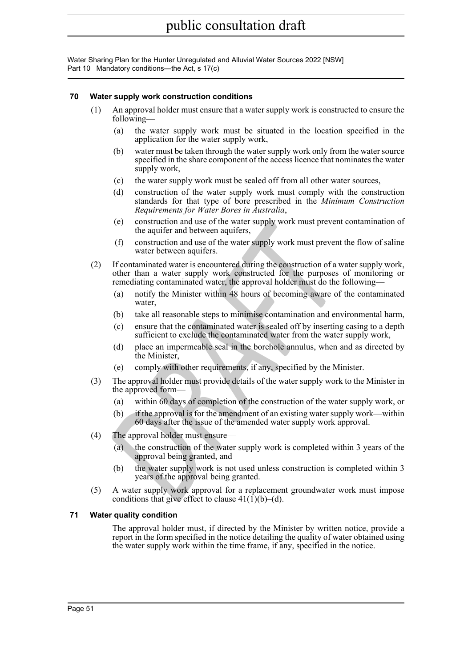### **70 Water supply work construction conditions**

- (1) An approval holder must ensure that a water supply work is constructed to ensure the following—
	- (a) the water supply work must be situated in the location specified in the application for the water supply work,
	- (b) water must be taken through the water supply work only from the water source specified in the share component of the access licence that nominates the water supply work,
	- (c) the water supply work must be sealed off from all other water sources,
	- (d) construction of the water supply work must comply with the construction standards for that type of bore prescribed in the *Minimum Construction Requirements for Water Bores in Australia* ,
	- (e) construction and use of the water supply work must prevent contamination of the aquifer and between aquifers,
	- (f) construction and use of the water supply work must prevent the flow of saline water between aquifers.
- (e) construction and use of the water supply work must prevent<br>
(f) construction and between aquifers,<br>
(f) construction and use of the water supply work must prevent<br>
were between aquifers.<br>
If construction and use of the (2) If contaminated water is encountered during the construction of a water supply work, other than a water supply work constructed for the purposes of monitoring or remediating contaminated water, the approval holder must do the following—
	- (a) notify the Minister within 48 hours of becoming aware of the contaminated water,
	- (b) take all reasonable steps to minimise contamination and environmental harm,
	- (c) ensure that the contaminated water is sealed off by inserting casing to a depth sufficient to exclude the contaminated water from the water supply work,
	- (d) place an impermeable seal in the borehole annulus, when and as directed by the Minister,
	- (e) comply with other requirements, if any, specified by the Minister.
- (3) The approval holder must provide details of the water supply work to the Minister in the approved form-
	- (a) within 60 days of completion of the construction of the water supply work, or
	- (b) if the approval is for the amendment of an existing water supply work—within 60 days after the issue of the amended water supply work approval.
- (4) The approval holder must ensure—
	- (a) the construction of the water supply work is completed within 3 years of the approval being granted, and
	- (b) the water supply work is not used unless construction is completed within 3 years of the approval being granted.
- (5) A water supply work approval for a replacement groundwater work must impose conditions that give effect to clause  $41(1)(b)$ –(d).

### **71 Water quality condition**

The approval holder must, if directed by the Minister by written notice, provide a report in the form specified in the notice detailing the quality of water obtained using the water supply work within the time frame, if any, specified in the notice.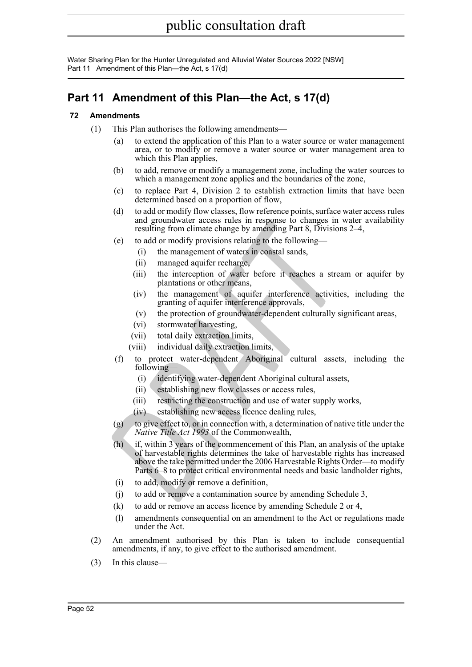Water Sharing Plan for the Hunter Unregulated and Alluvial Water Sources 2022 [NSW] Part 11 Amendment of this Plan—the Act, s 17(d)

## **Part 11 Amendment of this Plan—the Act, s 17(d)**

### **72 Amendments**

- (1) This Plan authorises the following amendments—
	- (a) to extend the application of this Plan to a water source or water management area, or to modify or remove a water source or water management area to which this Plan applies,
	- (b) to add, remove or modify a management zone, including the water sources to which a management zone applies and the boundaries of the zone,
	- (c) to replace Part 4, Division 2 to establish extraction limits that have been determined based on a proportion of flow,
	- (d) to add or modify flow classes, flow reference points, surface water access rules and groundwater access rules in response to changes in water availability resulting from climate change by amending Part 8, Divisions 2–4,
	- (e) to add or modify provisions relating to the following—
		- (i) the management of waters in coastal sands,
		- (ii) managed aquifer recharge,
		- (iii) the interception of water before it reaches a stream or aquifer by plantations or other means,
		- (iv) the management of aquifer interference activities, including the granting of aquifer interference approvals,
		- (v) the protection of groundwater-dependent culturally significant areas,
		- (vi) stormwater harvesting,
		- (vii) total daily extraction limits,
		- (viii) individual daily extraction limits,
	- (f) to protect water-dependent Aboriginal cultural assets, including the following-
		- (i) identifying water-dependent Aboriginal cultural assets,
		- (ii) establishing new flow classes or access rules,
		- (iii) restricting the construction and use of water supply works,
		- (iv) establishing new access licence dealing rules,
	- (g) to give effect to, or in connection with, a determination of native title under the *Native Title Act 1993* of the Commonwealth,
	- and groundwate access tues in response to changes in<br>resulting from climate change by amending Part 8, Divisions<br>(e) to add or modify provisions relating to the following—<br>(i) the management of waters in coastal sands,<br>(ii (h) if, within 3 years of the commencement of this Plan, an analysis of the uptake of harvestable rights determines the take of harvestable rights has increased above the take permitted under the 2006 Harvestable Rights Order—to modify Parts 6–8 to protect critical environmental needs and basic landholder rights,
		- (i) to add, modify or remove a definition,
		- (j) to add or remove a contamination source by amending Schedule 3,
		- (k) to add or remove an access licence by amending Schedule 2 or 4,
		- (l) amendments consequential on an amendment to the Act or regulations made under the Act.
- (2) An amendment authorised by this Plan is taken to include consequential amendments, if any, to give effect to the authorised amendment.
- (3) In this clause—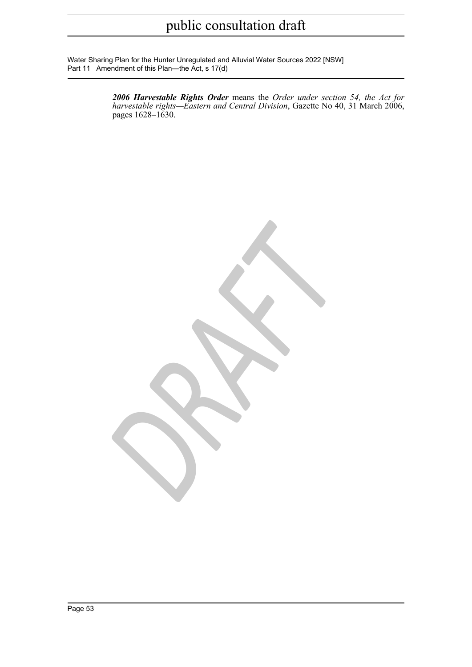Water Sharing Plan for the Hunter Unregulated and Alluvial Water Sources 2022 [NSW] Part 11 Amendment of this Plan—the Act, s 17(d)

> *2006 Harvestable Rights Order* means the *Order under section 54, the Act for harvestable rights—Eastern and Central Division*, Gazette No 40, 31 March 2006, pages 1628–1630.

*DRAFT*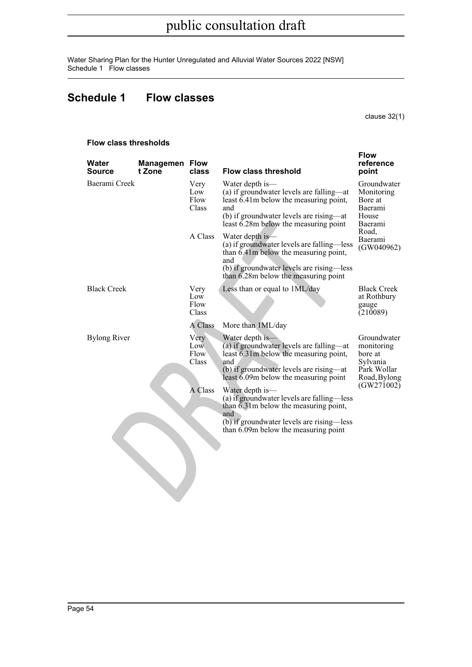Water Sharing Plan for the Hunter Unregulated and Alluvial Water Sources 2022 [NSW] Schedule 1 Flow classes

## **Schedule 1 Flow classes**

clause 32(1)

| Water<br><b>Source</b> | <b>Managemen Flow</b><br>t Zone | class                        | <b>Flow class threshold</b>                                                                                                                                                                        | <b>Flow</b><br>reference<br>point                                               |
|------------------------|---------------------------------|------------------------------|----------------------------------------------------------------------------------------------------------------------------------------------------------------------------------------------------|---------------------------------------------------------------------------------|
| Baerami Creek          |                                 | Very<br>Low<br>Flow<br>Class | Water depth is—<br>(a) if groundwater levels are falling—at<br>least 6.41m below the measuring point,<br>and<br>(b) if groundwater levels are rising—at<br>least 6.28m below the measuring point   | Groundwater<br>Monitoring<br>Bore at<br>Baerami<br>House<br>Baerami             |
|                        |                                 | A Class                      | Water depth is—<br>(a) if groundwater levels are falling—less<br>than 6.41m below the measuring point,<br>and<br>(b) if groundwater levels are rising—less<br>than 6.28m below the measuring point | Road,<br>Baerami<br>(GW040962)                                                  |
| <b>Black Creek</b>     |                                 | Very<br>Low<br>Flow<br>Class | Less than or equal to 1ML/day                                                                                                                                                                      | <b>Black Creek</b><br>at Rothbury<br>gauge<br>(210089)                          |
|                        |                                 | A Class                      | More than 1ML/day                                                                                                                                                                                  |                                                                                 |
| <b>Bylong River</b>    |                                 | Very<br>Low<br>Flow<br>Class | Water depth is-<br>(a) if groundwater levels are falling—at<br>least 6.31m below the measuring point,<br>and<br>(b) if groundwater levels are rising—at<br>least 6.09m below the measuring point   | Groundwater<br>monitoring<br>bore at<br>Sylvania<br>Park Wollar<br>Road, Bylong |
|                        |                                 | A Class                      | Water depth is—<br>(a) if groundwater levels are falling—less<br>than 6.31m below the measuring point,<br>and<br>(b) if groundwater levels are rising—less<br>than 6.09m below the measuring point | (GW271002)                                                                      |
|                        |                                 |                              |                                                                                                                                                                                                    |                                                                                 |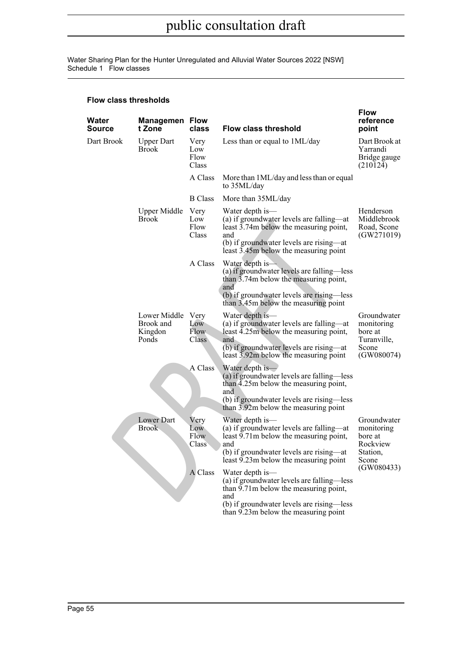Water Sharing Plan for the Hunter Unregulated and Alluvial Water Sources 2022 [NSW] Schedule 1 Flow classes

| Water<br>Source | <b>Managemen Flow</b><br>t Zone                    | class                        | <b>Flow class threshold</b>                                                                                                                                                                        | <b>Flow</b><br>reference<br>point                                                   |
|-----------------|----------------------------------------------------|------------------------------|----------------------------------------------------------------------------------------------------------------------------------------------------------------------------------------------------|-------------------------------------------------------------------------------------|
| Dart Brook      | <b>Upper Dart</b><br><b>Brook</b>                  | Very<br>Low<br>Flow<br>Class | Less than or equal to 1ML/day                                                                                                                                                                      | Dart Brook at<br>Yarrandi<br>Bridge gauge<br>(210124)                               |
|                 |                                                    | A Class                      | More than 1ML/day and less than or equal<br>to 35ML/day                                                                                                                                            |                                                                                     |
|                 |                                                    | <b>B</b> Class               | More than 35ML/day                                                                                                                                                                                 |                                                                                     |
|                 | Upper Middle<br>Brook                              | Very<br>Low<br>Flow<br>Class | Water depth is—<br>(a) if groundwater levels are falling—at<br>least 3.74m below the measuring point,<br>and<br>(b) if groundwater levels are rising—at<br>least 3.45m below the measuring point   | Henderson<br>Middlebrook<br>Road, Scone<br>(GW271019)                               |
|                 |                                                    | A Class                      | Water depth is-<br>(a) if groundwater levels are falling—less<br>than 3.74m below the measuring point,<br>and<br>(b) if groundwater levels are rising—less<br>than 3.45m below the measuring point |                                                                                     |
|                 | Lower Middle Very<br>Brook and<br>Kingdon<br>Ponds | Low<br>Flow<br>Class         | Water depth is-<br>(a) if groundwater levels are falling—at<br>least 4.25m below the measuring point,<br>and<br>(b) if groundwater levels are rising—at<br>least 3.92m below the measuring point   | Groundwater<br>monitoring<br>bore at<br>Turanville,<br>Scone<br>(GW080074)          |
|                 |                                                    | A Class                      | Water depth is-<br>(a) if groundwater levels are falling—less<br>than 4.25m below the measuring point,<br>and<br>(b) if groundwater levels are rising—less<br>than 3.92m below the measuring point |                                                                                     |
|                 | Lower Dart<br>Brook                                | Very<br>Low<br>Flow<br>Class | Water depth is-<br>(a) if groundwater levels are falling—at<br>least 9.71m below the measuring point,<br>and<br>(b) if groundwater levels are rising—at<br>least 9.23m below the measuring point   | Groundwater<br>monitoring<br>bore at<br>Rockview<br>Station,<br>Scone<br>(GW080433) |
|                 |                                                    | A Class                      | Water depth is—<br>(a) if groundwater levels are falling—less<br>than 9.71m below the measuring point,<br>and<br>(b) if groundwater levels are rising—less<br>than 9.23m below the measuring point |                                                                                     |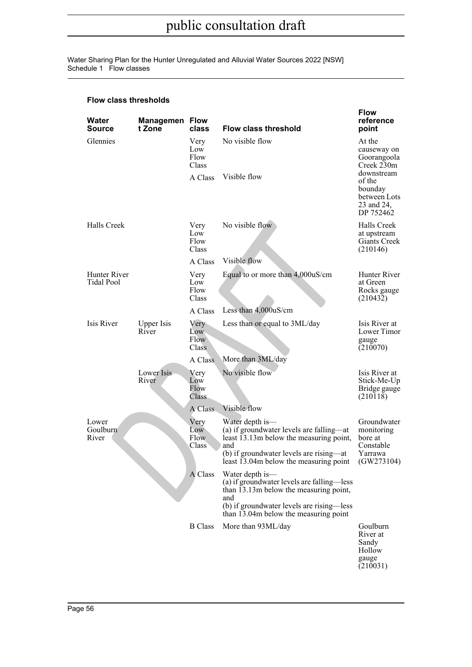Water Sharing Plan for the Hunter Unregulated and Alluvial Water Sources 2022 [NSW] Schedule 1 Flow classes

| Water<br>Source                   | <b>Managemen Flow</b><br>t Zone | class                        | <b>Flow class threshold</b>                                                                                                                                                                                   | <b>Flow</b><br>reference<br>point                                          |
|-----------------------------------|---------------------------------|------------------------------|---------------------------------------------------------------------------------------------------------------------------------------------------------------------------------------------------------------|----------------------------------------------------------------------------|
| Glennies                          |                                 | Very<br>Low<br>Flow<br>Class | No visible flow                                                                                                                                                                                               | At the<br>causeway on<br>Goorangoola<br>Creek 230m                         |
|                                   |                                 | A Class                      | Visible flow                                                                                                                                                                                                  | downstream<br>of the<br>bounday<br>between Lots<br>23 and 24,<br>DP 752462 |
| Halls Creek                       |                                 | Very<br>Low<br>Flow<br>Class | No visible flow                                                                                                                                                                                               | Halls Creek<br>at upstream<br>Giants Creek<br>(210146)                     |
|                                   |                                 | A Class                      | Visible flow                                                                                                                                                                                                  |                                                                            |
| <b>Hunter River</b><br>Tidal Pool |                                 | Very<br>Low<br>Flow<br>Class | Equal to or more than 4,000uS/cm                                                                                                                                                                              | Hunter River<br>at Green<br>Rocks gauge<br>(210432)                        |
|                                   |                                 | A Class                      | Less than 4,000uS/cm                                                                                                                                                                                          |                                                                            |
| Isis River                        | <b>Upper Isis</b><br>River      | Very<br>Low<br>Flow<br>Class | Less than or equal to 3ML/day                                                                                                                                                                                 | Isis River at<br>Lower Timor<br>gauge<br>(210070)                          |
|                                   |                                 | A Class                      | More than 3ML/day                                                                                                                                                                                             |                                                                            |
|                                   | Lower Isis<br>River             | Very<br>Low<br>Flow<br>Class | No visible flow                                                                                                                                                                                               | Isis River at<br>Stick-Me-Up<br>Bridge gauge<br>(210118)                   |
|                                   |                                 | A Class                      | Visible flow                                                                                                                                                                                                  |                                                                            |
| Lower<br>Goulburn<br>River        |                                 | Very<br>Low<br>Flow<br>Class | Water depth is-<br>(a) if groundwater levels are falling—at<br>least 13.13m below the measuring point,<br>and<br>(b) if groundwater levels are rising—at<br>least 13.04m below the measuring point (GW273104) | Groundwater<br>monitoring<br>bore at<br>Constable<br>Yarrawa               |
|                                   |                                 | A Class                      | Water depth is—<br>(a) if groundwater levels are falling—less<br>than 13.13m below the measuring point,<br>and<br>(b) if groundwater levels are rising-less<br>than 13.04m below the measuring point          |                                                                            |
|                                   |                                 | <b>B</b> Class               | More than 93ML/day                                                                                                                                                                                            | Goulburn<br>River at<br>Sandy<br>Hollow<br>gauge<br>(210031)               |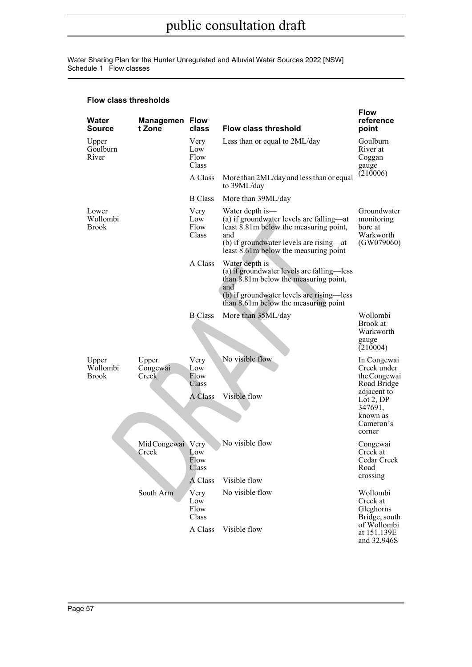Water Sharing Plan for the Hunter Unregulated and Alluvial Water Sources 2022 [NSW] Schedule 1 Flow classes

| Water<br><b>Source</b>            | <b>Managemen Flow</b><br>t Zone | class                        | <b>Flow class threshold</b>                                                                                                                                                                        | <b>Flow</b><br>reference<br>point                                       |
|-----------------------------------|---------------------------------|------------------------------|----------------------------------------------------------------------------------------------------------------------------------------------------------------------------------------------------|-------------------------------------------------------------------------|
| Upper<br>Goulburn<br>River        |                                 | Very<br>Low<br>Flow<br>Class | Less than or equal to 2ML/day                                                                                                                                                                      | Goulburn<br>River at<br>Coggan<br>gauge                                 |
|                                   |                                 | A Class                      | More than 2ML/day and less than or equal<br>to 39ML/day                                                                                                                                            | (210006)                                                                |
|                                   |                                 | <b>B</b> Class               | More than 39ML/day                                                                                                                                                                                 |                                                                         |
| Lower<br>Wollombi<br><b>Brook</b> |                                 | Very<br>Low<br>Flow<br>Class | Water depth is—<br>(a) if groundwater levels are falling-at<br>least 8.81m below the measuring point,<br>and<br>(b) if groundwater levels are rising—at<br>least 8.61m below the measuring point   | Groundwater<br>monitoring<br>bore at<br>Warkworth<br>(GW079060)         |
|                                   |                                 | A Class                      | Water depth is-<br>(a) if groundwater levels are falling—less<br>than 8.81m below the measuring point,<br>and<br>(b) if groundwater levels are rising—less<br>than 8.61m below the measuring point |                                                                         |
|                                   |                                 | <b>B</b> Class               | More than 35ML/day                                                                                                                                                                                 | Wollombi<br>Brook at<br>Warkworth<br>gauge<br>(210004)                  |
| Upper<br>Wollombi<br><b>Brook</b> | Upper<br>Congewai<br>Creek      | Very<br>Low<br>Flow<br>Class | No visible flow                                                                                                                                                                                    | In Congewai<br>Creek under<br>the Congewai<br>Road Bridge               |
|                                   |                                 | A Class                      | Visible flow                                                                                                                                                                                       | adjacent to<br>Lot $2,DP$<br>347691,<br>known as<br>Cameron's<br>corner |
|                                   | Mid Congewai Very<br>Creek      | Low<br>Flow<br>Class         | No visible flow                                                                                                                                                                                    | Congewai<br>Creek at<br>Cedar Creek<br>Road                             |
|                                   |                                 | A Class                      | Visible flow                                                                                                                                                                                       | crossing                                                                |
|                                   | South Arm                       | Very<br>Low<br>Flow<br>Class | No visible flow                                                                                                                                                                                    | Wollombi<br>Creek at<br>Gleghorns<br>Bridge, south<br>of Wollombi       |
|                                   |                                 | A Class                      | Visible flow                                                                                                                                                                                       | at 151.139E<br>and 32.946S                                              |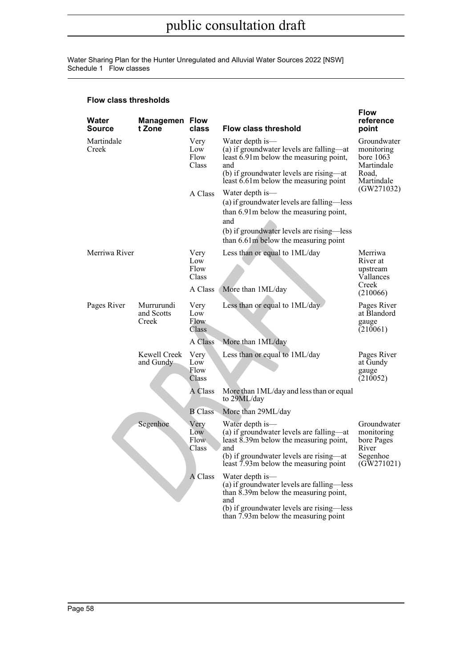Water Sharing Plan for the Hunter Unregulated and Alluvial Water Sources 2022 [NSW] Schedule 1 Flow classes

| Water<br><b>Source</b> | <b>Managemen Flow</b><br>t Zone   | class                               | <b>Flow class threshold</b>                                                                                                                                                                        | <b>Flow</b><br>reference<br>point                                             |
|------------------------|-----------------------------------|-------------------------------------|----------------------------------------------------------------------------------------------------------------------------------------------------------------------------------------------------|-------------------------------------------------------------------------------|
| Martindale<br>Creek    |                                   | Very<br>Low<br>Flow<br>Class        | Water depth is—<br>(a) if groundwater levels are falling—at<br>least 6.91 m below the measuring point,<br>and<br>(b) if groundwater levels are rising—at<br>least 6.61 m below the measuring point | Groundwater<br>monitoring<br>bore $1063$<br>Martindale<br>Road,<br>Martindale |
|                        |                                   | A Class                             | Water depth is—<br>(a) if groundwater levels are falling—less<br>than 6.91m below the measuring point,<br>and<br>(b) if groundwater levels are rising—less<br>than 6.61m below the measuring point | (GW271032)                                                                    |
| Merriwa River          |                                   | Very<br>Low<br>Flow<br>Class        | Less than or equal to 1ML/day                                                                                                                                                                      | Merriwa<br>River at<br>upstream<br>Vallances                                  |
|                        |                                   | A Class                             | More than 1ML/day                                                                                                                                                                                  | Creek<br>(210066)                                                             |
| Pages River            | Murrurundi<br>and Scotts<br>Creek | Very<br>Low<br>Flow<br>Class        | Less than or equal to 1ML/day                                                                                                                                                                      | Pages River<br>at Blandord<br>gauge<br>(210061)                               |
|                        |                                   | A Class                             | More than 1ML/day                                                                                                                                                                                  |                                                                               |
|                        | Kewell Creek<br>and Gundy         | Very<br>Low<br>Flow<br>Class        | Less than or equal to 1ML/day                                                                                                                                                                      | Pages River<br>at Gundy<br>gauge<br>(210052)                                  |
|                        |                                   | A Class                             | More than 1ML/day and less than or equal<br>to 29ML/day                                                                                                                                            |                                                                               |
|                        |                                   | <b>B</b> Class                      | More than 29ML/day                                                                                                                                                                                 |                                                                               |
|                        | Segenhoe                          | Very<br>Low<br><b>Flow</b><br>Class | Water depth is—<br>(a) if groundwater levels are falling—at<br>least 8.39m below the measuring point,<br>and<br>(b) if groundwater levels are rising—at<br>least 7.93m below the measuring point   | Groundwater<br>monitoring<br>bore Pages<br>River<br>Segenhoe<br>(GW271021)    |
|                        |                                   | A Class                             | Water depth is—<br>(a) if groundwater levels are falling—less<br>than 8.39m below the measuring point,<br>and<br>(b) if groundwater levels are rising—less<br>than 7.93m below the measuring point |                                                                               |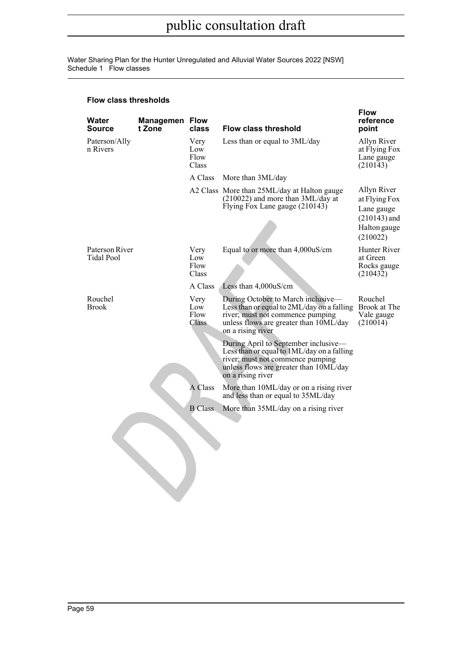Water Sharing Plan for the Hunter Unregulated and Alluvial Water Sources 2022 [NSW] Schedule 1 Flow classes

| Water<br>Source              | Managemen<br>t Zone | <b>Flow</b><br>class         | <b>Flow class threshold</b>                                                                                                                                                           | <b>Flow</b><br>reference<br>point                                                        |
|------------------------------|---------------------|------------------------------|---------------------------------------------------------------------------------------------------------------------------------------------------------------------------------------|------------------------------------------------------------------------------------------|
| Paterson/Ally<br>n Rivers    |                     | Very<br>Low<br>Flow<br>Class | Less than or equal to 3ML/day                                                                                                                                                         | Allyn River<br>at Flying Fox<br>Lane gauge<br>(210143)                                   |
|                              |                     | A Class                      | More than 3ML/day                                                                                                                                                                     |                                                                                          |
|                              |                     |                              | A2 Class More than 25ML/day at Halton gauge<br>$(210022)$ and more than $3ML/day$ at<br>Flying Fox Lane gauge (210143)                                                                | Allyn River<br>at Flying Fox<br>Lane gauge<br>$(210143)$ and<br>Halton gauge<br>(210022) |
| Paterson River<br>Tidal Pool |                     | Very<br>Low<br>Flow<br>Class | Equal to or more than 4,000uS/cm                                                                                                                                                      | Hunter River<br>at Green<br>Rocks gauge<br>(210432)                                      |
|                              |                     | A Class                      | Less than 4,000uS/cm                                                                                                                                                                  |                                                                                          |
| Rouchel<br>Brook             |                     | Very<br>Low<br>Flow<br>Class | During October to March inclusive-<br>Less than or equal to 2ML/day on a falling<br>river; must not commence pumping<br>unless flows are greater than 10ML/day<br>on a rising river   | Rouchel<br>Brook at The<br>Vale gauge<br>(210014)                                        |
|                              |                     |                              | During April to September inclusive—<br>Less than or equal to 1ML/day on a falling<br>river; must not commence pumping<br>unless flows are greater than 10ML/day<br>on a rising river |                                                                                          |
|                              |                     | A Class                      | More than 10ML/day or on a rising river<br>and less than or equal to 35ML/day                                                                                                         |                                                                                          |
|                              |                     | <b>B</b> Class               | More than 35ML/day on a rising river                                                                                                                                                  |                                                                                          |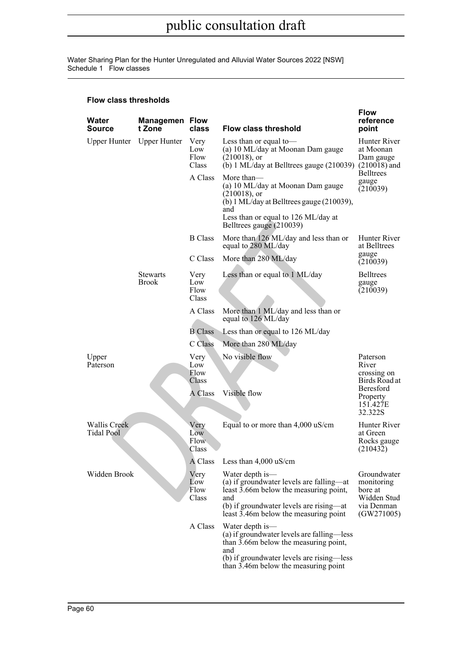Water Sharing Plan for the Hunter Unregulated and Alluvial Water Sources 2022 [NSW] Schedule 1 Flow classes

| Water<br>Source                          | <b>Managemen Flow</b><br>t Zone | class                         | <b>Flow class threshold</b>                                                                                                                                                                        | <b>Flow</b><br>reference<br>point                                               |
|------------------------------------------|---------------------------------|-------------------------------|----------------------------------------------------------------------------------------------------------------------------------------------------------------------------------------------------|---------------------------------------------------------------------------------|
|                                          | Upper Hunter Upper Hunter       | Very<br>Low<br>Flow<br>Class  | Less than or equal to-<br>(a) 10 ML/day at Moonan Dam gauge<br>$(210018)$ , or<br>(b) $1$ ML/day at Belltrees gauge (210039) (210018) and                                                          | Hunter River<br>at Moonan<br>Dam gauge                                          |
|                                          |                                 | A Class                       | More than-<br>(a) 10 ML/day at Moonan Dam gauge<br>$(210018)$ , or<br>(b) 1 ML/day at Belltrees gauge (210039),<br>and<br>Less than or equal to 126 ML/day at<br>Belltrees gauge (210039)          | <b>Belltrees</b><br>gauge<br>(210039)                                           |
|                                          |                                 | <b>B</b> Class                | More than 126 ML/day and less than or<br>equal to 280 ML/day                                                                                                                                       | Hunter River<br>at Belltrees                                                    |
|                                          |                                 | C Class                       | More than 280 ML/day                                                                                                                                                                               | gauge<br>(210039)                                                               |
|                                          | <b>Stewarts</b><br><b>Brook</b> | Very<br>Low<br>Flow<br>Class  | Less than or equal to 1 ML/day                                                                                                                                                                     | <b>Belltrees</b><br>gauge<br>(210039)                                           |
|                                          |                                 | A Class                       | More than 1 ML/day and less than or<br>equal to 126 ML/day                                                                                                                                         |                                                                                 |
|                                          |                                 | <b>B</b> Class                | Less than or equal to 126 ML/day                                                                                                                                                                   |                                                                                 |
|                                          |                                 | C Class                       | More than 280 ML/day                                                                                                                                                                               |                                                                                 |
| Upper<br>Paterson                        |                                 | Very<br>Low<br>Flow<br>Class  | No visible flow                                                                                                                                                                                    | Paterson<br>River<br>crossing on<br>Birds Road at                               |
|                                          |                                 | A Class                       | Visible flow                                                                                                                                                                                       | Beresford<br>Property<br>151.427E<br>32.322S                                    |
| <b>Wallis Creek</b><br><b>Tidal Pool</b> |                                 | Very<br>Low<br>Flow.<br>Class | Equal to or more than 4,000 uS/cm                                                                                                                                                                  | Hunter River<br>at Green<br>Rocks gauge<br>(210432)                             |
|                                          |                                 |                               | A Class Less than 4,000 uS/cm                                                                                                                                                                      |                                                                                 |
| Widden Brook                             |                                 | Very<br>Low<br>Flow<br>Class  | Water depth is—<br>(a) if groundwater levels are falling—at<br>least 3.66m below the measuring point,<br>and<br>(b) if groundwater levels are rising—at<br>least 3.46m below the measuring point   | Groundwater<br>monitoring<br>bore at<br>Widden Stud<br>via Denman<br>(GW271005) |
|                                          |                                 | A Class                       | Water depth is—<br>(a) if groundwater levels are falling—less<br>than 3.66m below the measuring point,<br>and<br>(b) if groundwater levels are rising—less<br>than 3.46m below the measuring point |                                                                                 |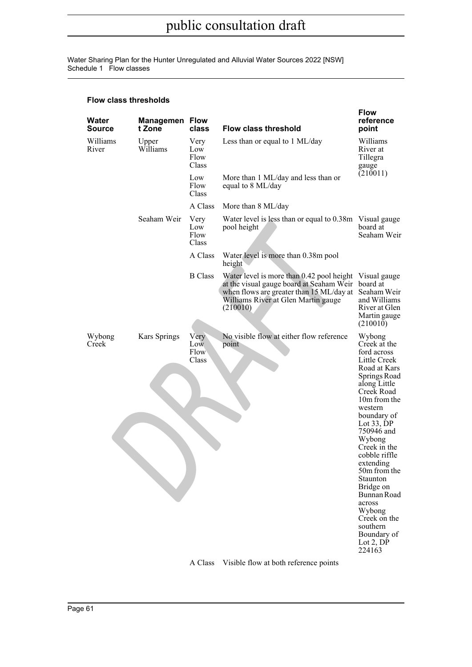Water Sharing Plan for the Hunter Unregulated and Alluvial Water Sources 2022 [NSW] Schedule 1 Flow classes

| Water<br><b>Source</b> | <b>Managemen Flow</b><br>t Zone | class                        | <b>Flow class threshold</b>                                                                                                                                                          | <b>Flow</b><br>reference<br>point                                                                                                                                                                                                                                                                                                                                                                       |
|------------------------|---------------------------------|------------------------------|--------------------------------------------------------------------------------------------------------------------------------------------------------------------------------------|---------------------------------------------------------------------------------------------------------------------------------------------------------------------------------------------------------------------------------------------------------------------------------------------------------------------------------------------------------------------------------------------------------|
| Williams<br>River      | Upper<br>Williams               | Very<br>Low<br>Flow<br>Class | Less than or equal to 1 ML/day                                                                                                                                                       | Williams<br>River at<br>Tillegra<br>gauge                                                                                                                                                                                                                                                                                                                                                               |
|                        |                                 | Low<br>Flow<br>Class         | More than 1 ML/day and less than or<br>equal to 8 ML/day                                                                                                                             | (210011)                                                                                                                                                                                                                                                                                                                                                                                                |
|                        |                                 | A Class                      | More than 8 ML/day                                                                                                                                                                   |                                                                                                                                                                                                                                                                                                                                                                                                         |
|                        | Seaham Weir                     | Very<br>Low<br>Flow<br>Class | Water level is less than or equal to 0.38m Visual gauge<br>pool height                                                                                                               | board at<br>Seaham Weir                                                                                                                                                                                                                                                                                                                                                                                 |
|                        |                                 | A Class                      | Water level is more than 0.38m pool<br>height                                                                                                                                        |                                                                                                                                                                                                                                                                                                                                                                                                         |
|                        |                                 | <b>B</b> Class               | Water level is more than 0.42 pool height<br>at the visual gauge board at Seaham Weir<br>when flows are greater than 15 ML/day at<br>Williams River at Glen Martin gauge<br>(210010) | Visual gauge<br>board at<br>Seaham Weir<br>and Williams<br>River at Glen<br>Martin gauge                                                                                                                                                                                                                                                                                                                |
|                        |                                 |                              |                                                                                                                                                                                      | (210010)                                                                                                                                                                                                                                                                                                                                                                                                |
| Wybong<br>Creek        | Kars Springs                    | Very<br>Low<br>Flow<br>Class | No visible flow at either flow reference<br>point                                                                                                                                    | Wybong<br>Creek at the<br>ford across<br>Little Creek<br>Road at Kars<br>Springs Road<br>along Little<br>Creek Road<br>10m from the<br>western<br>boundary of<br>Lot $33$ , DP<br>750946 and<br>Wybong<br>Creek in the<br>cobble riffle<br>extending<br>50m from the<br>Staunton<br>Bridge on<br>Bunnan Road<br>across<br>Wybong<br>Creek on the<br>southern<br>Boundary of<br>Lot $2$ , $DP$<br>224163 |
|                        |                                 | A Class                      | Visible flow at both reference points                                                                                                                                                |                                                                                                                                                                                                                                                                                                                                                                                                         |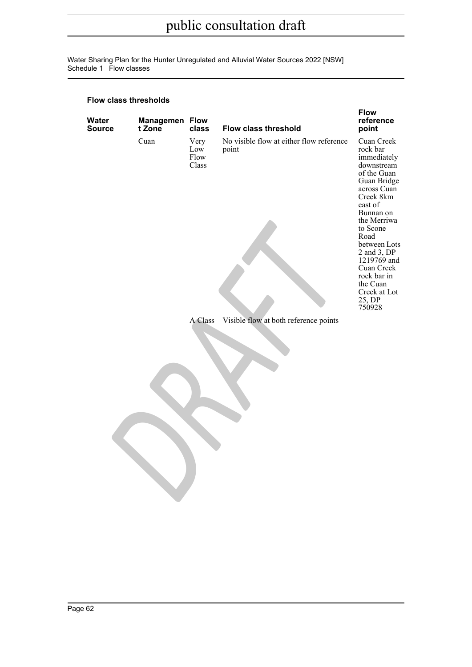Water Sharing Plan for the Hunter Unregulated and Alluvial Water Sources 2022 [NSW] Schedule 1 Flow classes

| Water<br><b>Source</b> | <b>Managemen Flow</b><br>t Zone | class                        | <b>Flow class threshold</b>                       | <b>Flow</b><br>reference<br>point                                                                                                                                                                                                                                                                   |
|------------------------|---------------------------------|------------------------------|---------------------------------------------------|-----------------------------------------------------------------------------------------------------------------------------------------------------------------------------------------------------------------------------------------------------------------------------------------------------|
|                        | Cuan                            | Very<br>Low<br>Flow<br>Class | No visible flow at either flow reference<br>point | Cuan Creek<br>rock bar<br>immediately<br>downstream<br>of the Guan<br>Guan Bridge<br>across Cuan<br>Creek 8km<br>east of<br>Bunnan on<br>the Merriwa<br>to Scone<br>Road<br>between Lots<br>2 and 3, DP<br>1219769 and<br>Cuan Creek<br>rock bar in<br>the Cuan<br>Creek at Lot<br>25, DP<br>750928 |
|                        |                                 | A Class                      | Visible flow at both reference points             |                                                                                                                                                                                                                                                                                                     |
|                        |                                 |                              |                                                   |                                                                                                                                                                                                                                                                                                     |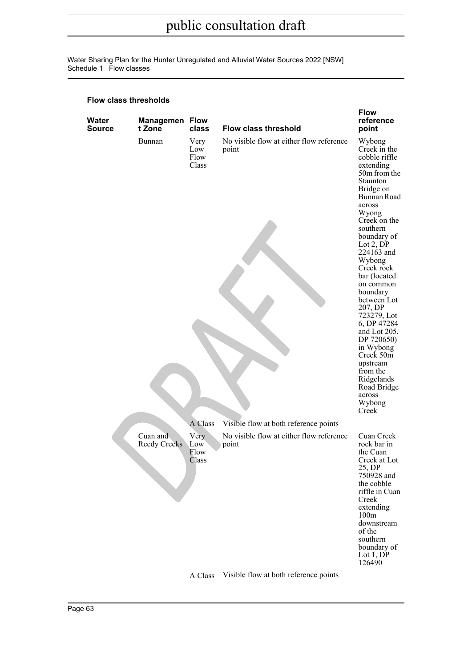Water Sharing Plan for the Hunter Unregulated and Alluvial Water Sources 2022 [NSW] Schedule 1 Flow classes

| Water<br><b>Source</b> | <b>Managemen Flow</b><br>t Zone | class                        | <b>Flow class threshold</b>                       | <b>Flow</b><br>reference<br>point                                                                                                                                                                                                                                                                                                                                                                                                                                             |
|------------------------|---------------------------------|------------------------------|---------------------------------------------------|-------------------------------------------------------------------------------------------------------------------------------------------------------------------------------------------------------------------------------------------------------------------------------------------------------------------------------------------------------------------------------------------------------------------------------------------------------------------------------|
|                        | Bunnan                          | Very<br>Low<br>Flow<br>Class | No visible flow at either flow reference<br>point | Wybong<br>Creek in the<br>cobble riffle<br>extending<br>50m from the<br>Staunton<br>Bridge on<br>Bunnan Road<br>across<br>Wyong<br>Creek on the<br>southern<br>boundary of<br>Lot $2$ , $DP$<br>224163 and<br>Wybong<br>Creek rock<br>bar (located<br>on common<br>boundary<br>between Lot<br>207, DP<br>723279, Lot<br>6, DP 47284<br>and Lot 205,<br>DP 720650)<br>in Wybong<br>Creek 50m<br>upstream<br>from the<br>Ridgelands<br>Road Bridge<br>across<br>Wybong<br>Creek |
|                        |                                 | A Class                      | Visible flow at both reference points             |                                                                                                                                                                                                                                                                                                                                                                                                                                                                               |
|                        | Cuan and<br>Reedy Creeks        | Very<br>Low<br>Flow<br>Class | No visible flow at either flow reference<br>point | Cuan Creek<br>rock bar in<br>the Cuan<br>Creek at Lot<br>25, DP<br>750928 and<br>the cobble<br>riffle in Cuan<br>Creek<br>extending<br>100m<br>downstream<br>of the<br>southern<br>boundary of<br>Lot $1,DP$<br>126490                                                                                                                                                                                                                                                        |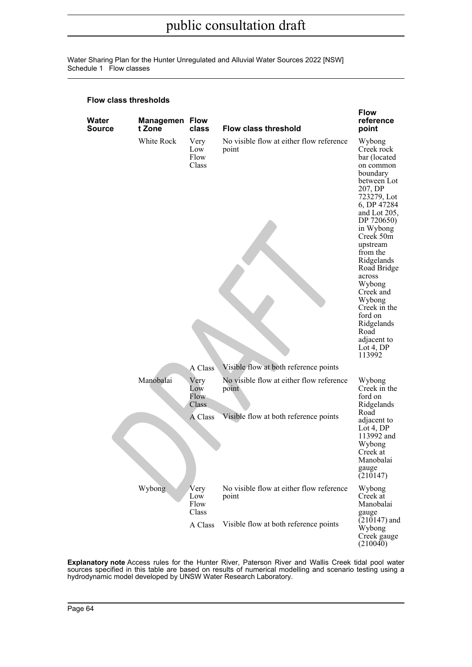Water Sharing Plan for the Hunter Unregulated and Alluvial Water Sources 2022 [NSW] Schedule 1 Flow classes

#### **Flow class thresholds**

| Water<br><b>Source</b> | <b>Managemen Flow</b><br>t Zone | class                               | <b>Flow class threshold</b>                       | <b>Flow</b><br>reference<br>point                                                                                                                                                                                                                                                                                                                                       |
|------------------------|---------------------------------|-------------------------------------|---------------------------------------------------|-------------------------------------------------------------------------------------------------------------------------------------------------------------------------------------------------------------------------------------------------------------------------------------------------------------------------------------------------------------------------|
|                        | White Rock                      | Very<br>Low<br>Flow<br>Class        | No visible flow at either flow reference<br>point | Wybong<br>Creek rock<br>bar (located<br>on common<br>boundary<br>between Lot<br>207, DP<br>723279, Lot<br>6, DP 47284<br>and Lot 205,<br>DP 720650)<br>in Wybong<br>Creek 50m<br>upstream<br>from the<br>Ridgelands<br>Road Bridge<br>across<br>Wybong<br>Creek and<br>Wybong<br>Creek in the<br>ford on<br>Ridgelands<br>Road<br>adjacent to<br>$Lot 4$ , DP<br>113992 |
|                        |                                 | A Class                             | Visible flow at both reference points             |                                                                                                                                                                                                                                                                                                                                                                         |
|                        | Manobalai                       | Very<br>Low<br><b>Flow</b><br>Class | No visible flow at either flow reference<br>point | Wybong<br>Creek in the<br>ford on<br>Ridgelands                                                                                                                                                                                                                                                                                                                         |
|                        |                                 | A Class                             | Visible flow at both reference points             | Road<br>adjacent to<br>Lot 4, DP<br>113992 and<br>Wybong<br>Creek at<br>Manobalai<br>gauge<br>(210147)                                                                                                                                                                                                                                                                  |
|                        | Wybong                          | Very<br>Low<br>Flow<br>Class        | No visible flow at either flow reference<br>point | Wybong<br>Creek at<br>Manobalai<br>gauge                                                                                                                                                                                                                                                                                                                                |
|                        |                                 | A Class                             | Visible flow at both reference points             | $(210147)$ and<br>Wybong<br>Creek gauge<br>(210040)                                                                                                                                                                                                                                                                                                                     |

**Explanatory note** Access rules for the Hunter River, Paterson River and Wallis Creek tidal pool water sources specified in this table are based on results of numerical modelling and scenario testing using a hydrodynamic model developed by UNSW Water Research Laboratory.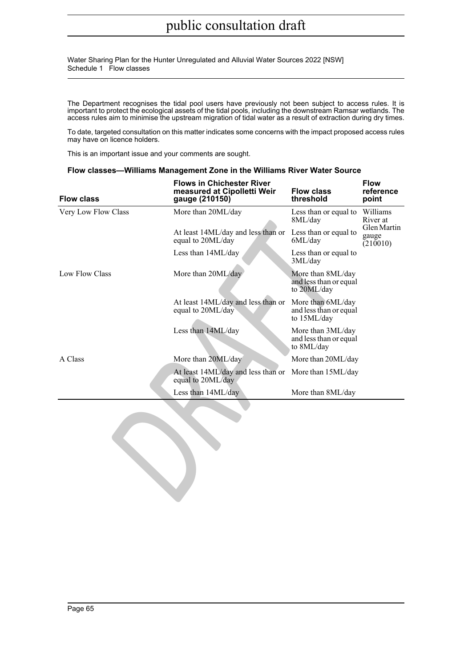Water Sharing Plan for the Hunter Unregulated and Alluvial Water Sources 2022 [NSW] Schedule 1 Flow classes

The Department recognises the tidal pool users have previously not been subject to access rules. It is important to protect the ecological assets of the tidal pools, including the downstream Ramsar wetlands. The access rules aim to minimise the upstream migration of tidal water as a result of extraction during dry times.

To date, targeted consultation on this matter indicates some concerns with the impact proposed access rules may have on licence holders.

This is an important issue and your comments are sought.

#### **Flow classes—Williams Management Zone in the Williams River Water Source**

| <b>Flow class</b>   | <b>Flows in Chichester River</b><br>measured at Cipolletti Weir<br>gauge (210150) | <b>Flow class</b><br>threshold                             | <b>Flow</b><br>reference<br>point |
|---------------------|-----------------------------------------------------------------------------------|------------------------------------------------------------|-----------------------------------|
| Very Low Flow Class | More than 20ML/day                                                                | Less than or equal to<br>8ML/day                           | Williams<br>River at              |
|                     | At least 14ML/day and less than or<br>equal to 20ML/day                           | Less than or equal to<br>6ML/day                           | Glen Martin<br>gauge<br>(210010)  |
|                     | Less than 14ML/day                                                                | Less than or equal to<br>3ML/day                           |                                   |
| Low Flow Class      | More than 20ML/day                                                                | More than 8ML/day<br>and less than or equal<br>to 20ML/day |                                   |
|                     | At least 14ML/day and less than or<br>equal to 20ML/day                           | More than 6ML/day<br>and less than or equal<br>to 15ML/day |                                   |
|                     | Less than 14ML/day                                                                | More than 3ML/day<br>and less than or equal<br>to 8ML/day  |                                   |
| A Class             | More than 20ML/day                                                                | More than 20ML/day                                         |                                   |
|                     | At least 14ML/day and less than or More than 15ML/day<br>equal to 20ML/day        |                                                            |                                   |
|                     | Less than 14ML/day                                                                | More than 8ML/day                                          |                                   |
|                     |                                                                                   |                                                            |                                   |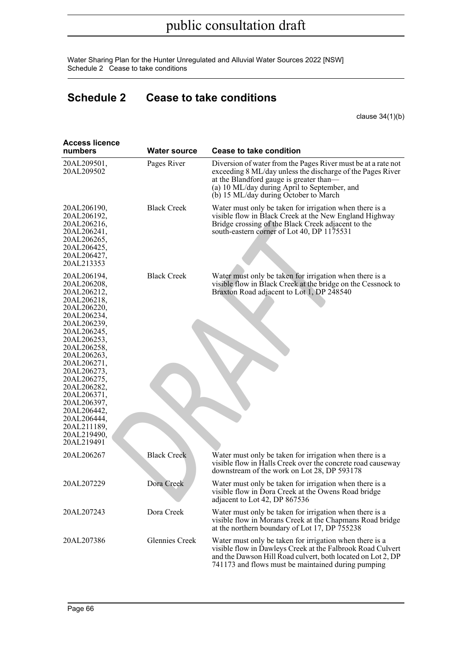Water Sharing Plan for the Hunter Unregulated and Alluvial Water Sources 2022 [NSW] Schedule 2 Cease to take conditions

## **Schedule 2 Cease to take conditions**

clause 34(1)(b)

| <b>Access licence</b><br>numbers                                                                                                                                                                                                                                                                                                      | Water source       | <b>Cease to take condition</b>                                                                                                                                                                                                                                  |
|---------------------------------------------------------------------------------------------------------------------------------------------------------------------------------------------------------------------------------------------------------------------------------------------------------------------------------------|--------------------|-----------------------------------------------------------------------------------------------------------------------------------------------------------------------------------------------------------------------------------------------------------------|
| 20AL209501,<br>20AL209502                                                                                                                                                                                                                                                                                                             | Pages River        | Diversion of water from the Pages River must be at a rate not<br>exceeding 8 ML/day unless the discharge of the Pages River<br>at the Blandford gauge is greater than—<br>(a) 10 ML/day during April to September, and<br>(b) 15 ML/day during October to March |
| 20AL206190,<br>20AL206192,<br>20AL206216,<br>20AL206241,<br>20AL206265,<br>20AL206425,<br>20AL206427,<br>20AL213353                                                                                                                                                                                                                   | <b>Black Creek</b> | Water must only be taken for irrigation when there is a<br>visible flow in Black Creek at the New England Highway<br>Bridge crossing of the Black Creek adjacent to the<br>south-eastern corner of Lot 40, DP 1175531                                           |
| 20AL206194,<br>20AL206208,<br>20AL206212,<br>20AL206218,<br>20AL206220,<br>20AL206234,<br>20AL206239,<br>20AL206245,<br>20AL206253,<br>20AL206258,<br>20AL206263,<br>20AL206271,<br>20AL206273,<br>20AL206275,<br>20AL206282,<br>20AL206371,<br>20AL206397,<br>20AL206442,<br>20AL206444,<br>20AL211189,<br>20AL219490,<br>20AL219491 | <b>Black Creek</b> | Water must only be taken for irrigation when there is a<br>visible flow in Black Creek at the bridge on the Cessnock to<br>Braxton Road adjacent to Lot 1, DP 248540                                                                                            |
| 20AL206267                                                                                                                                                                                                                                                                                                                            | <b>Black Creek</b> | Water must only be taken for irrigation when there is a<br>visible flow in Halls Creek over the concrete road causeway<br>downstream of the work on Lot 28, DP 593178                                                                                           |
| 20AL207229                                                                                                                                                                                                                                                                                                                            | Dora Creek         | Water must only be taken for irrigation when there is a<br>visible flow in Dora Creek at the Owens Road bridge<br>adjacent to Lot 42, DP 867536                                                                                                                 |
| 20AL207243                                                                                                                                                                                                                                                                                                                            | Dora Creek         | Water must only be taken for irrigation when there is a<br>visible flow in Morans Creek at the Chapmans Road bridge<br>at the northern boundary of Lot 17, DP 755238                                                                                            |
| 20AL207386                                                                                                                                                                                                                                                                                                                            | Glennies Creek     | Water must only be taken for irrigation when there is a<br>visible flow in Dawleys Creek at the Falbrook Road Culvert<br>and the Dawson Hill Road culvert, both located on Lot 2, DP<br>741173 and flows must be maintained during pumping                      |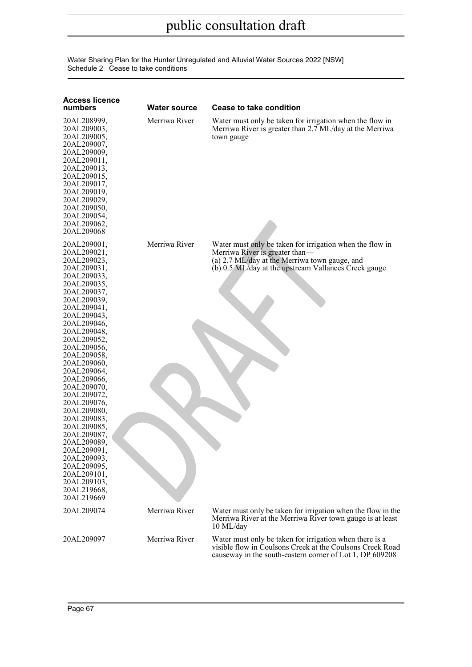| Water Sharing Plan for the Hunter Unregulated and Alluvial Water Sources 2022 [NSW] |  |
|-------------------------------------------------------------------------------------|--|
| Schedule 2 Cease to take conditions                                                 |  |

| <b>Access licence</b><br>numbers                                                                                                                                                                                                                                                                                                                                                                                                                                                                           | <b>Water source</b> | <b>Cease to take condition</b>                                                                                                                                                                      |
|------------------------------------------------------------------------------------------------------------------------------------------------------------------------------------------------------------------------------------------------------------------------------------------------------------------------------------------------------------------------------------------------------------------------------------------------------------------------------------------------------------|---------------------|-----------------------------------------------------------------------------------------------------------------------------------------------------------------------------------------------------|
| 20AL208999,<br>20AL209003,<br>20AL209005,<br>20AL209007,<br>20AL209009,<br>20AL209011,<br>20AL209013,<br>20AL209015,<br>20AL209017,<br>20AL209019,<br>20AL209029,<br>20AL209050,<br>20AL209054,<br>20AL209062,<br>20AL209068                                                                                                                                                                                                                                                                               | Merriwa River       | Water must only be taken for irrigation when the flow in<br>Merriwa River is greater than 2.7 ML/day at the Merriwa<br>town gauge                                                                   |
| 20AL209001,<br>20AL209021,<br>20AL209023,<br>20AL209031,<br>20AL209033,<br>20AL209035,<br>20AL209037,<br>20AL209039,<br>20AL209041,<br>20AL209043,<br>20AL209046,<br>20AL209048,<br>20AL209052,<br>20AL209056,<br>20AL209058,<br>20AL209060,<br>20AL209064,<br>20AL209066,<br>20AL209070,<br>20AL209072,<br>20AL209076,<br>20AL209080,<br>20AL209083,<br>20AL209085,<br>20AL209087,<br>20AL209089,<br>20AL209091,<br>20AL209093,<br>20AL209095,<br>20AL209101,<br>20AL209103,<br>20AL219668,<br>20AL219669 | Merriwa River       | Water must only be taken for irrigation when the flow in<br>Merriwa River is greater than—<br>(a) 2.7 ML/day at the Merriwa town gauge, and<br>(b) 0.5 ML/day at the upstream Vallances Creek gauge |
| 20AL209074                                                                                                                                                                                                                                                                                                                                                                                                                                                                                                 | Merriwa River       | Water must only be taken for irrigation when the flow in the<br>Merriwa River at the Merriwa River town gauge is at least<br>10 ML/day                                                              |
| 20AL209097                                                                                                                                                                                                                                                                                                                                                                                                                                                                                                 | Merriwa River       | Water must only be taken for irrigation when there is a<br>visible flow in Coulsons Creek at the Coulsons Creek Road<br>causeway in the south-eastern corner of Lot 1, DP 609208                    |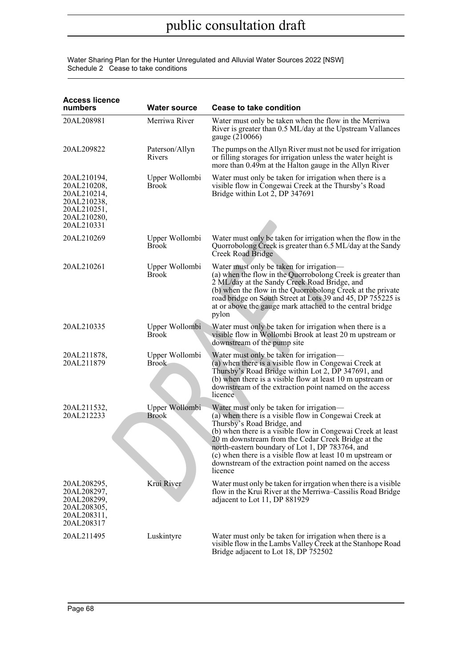Water Sharing Plan for the Hunter Unregulated and Alluvial Water Sources 2022 [NSW] Schedule 2 Cease to take conditions

| <b>Access licence</b><br>numbers                                                                     | <b>Water source</b>            | <b>Cease to take condition</b>                                                                                                                                                                                                                                                                                                                                                                                                               |
|------------------------------------------------------------------------------------------------------|--------------------------------|----------------------------------------------------------------------------------------------------------------------------------------------------------------------------------------------------------------------------------------------------------------------------------------------------------------------------------------------------------------------------------------------------------------------------------------------|
| 20AL208981                                                                                           | Merriwa River                  | Water must only be taken when the flow in the Merriwa<br>River is greater than 0.5 ML/day at the Upstream Vallances<br>gauge (210066)                                                                                                                                                                                                                                                                                                        |
| 20AL209822                                                                                           | Paterson/Allyn<br>Rivers       | The pumps on the Allyn River must not be used for irrigation<br>or filling storages for irrigation unless the water height is<br>more than 0.49m at the Halton gauge in the Allyn River                                                                                                                                                                                                                                                      |
| 20AL210194,<br>20AL210208,<br>20AL210214,<br>20AL210238,<br>20AL210251,<br>20AL210280,<br>20AL210331 | Upper Wollombi<br><b>Brook</b> | Water must only be taken for irrigation when there is a<br>visible flow in Congewai Creek at the Thursby's Road<br>Bridge within Lot 2, DP 347691                                                                                                                                                                                                                                                                                            |
| 20AL210269                                                                                           | Upper Wollombi<br><b>Brook</b> | Water must only be taken for irrigation when the flow in the<br>Quorrobolong Creek is greater than 6.5 ML/day at the Sandy<br>Creek Road Bridge                                                                                                                                                                                                                                                                                              |
| 20AL210261                                                                                           | Upper Wollombi<br><b>Brook</b> | Water must only be taken for irrigation-<br>(a) when the flow in the Quorrobolong Creek is greater than<br>2 ML/day at the Sandy Creek Road Bridge, and<br>(b) when the flow in the Quorrobolong Creek at the private<br>road bridge on South Street at Lots 39 and 45, DP 755225 is<br>at or above the gauge mark attached to the central bridge<br>pylon                                                                                   |
| 20AL210335                                                                                           | Upper Wollombi<br><b>Brook</b> | Water must only be taken for irrigation when there is a<br>visible flow in Wollombi Brook at least 20 m upstream or<br>downstream of the pump site                                                                                                                                                                                                                                                                                           |
| 20AL211878,<br>20AL211879                                                                            | Upper Wollombi<br><b>Brook</b> | Water must only be taken for irrigation-<br>(a) when there is a visible flow in Congewai Creek at<br>Thursby's Road Bridge within Lot 2, DP 347691, and<br>(b) when there is a visible flow at least 10 m upstream or<br>downstream of the extraction point named on the access<br>licence                                                                                                                                                   |
| 20AL211532,<br>20AL212233                                                                            | Upper Wollombi<br><b>Brook</b> | Water must only be taken for irrigation-<br>(a) when there is a visible flow in Congewai Creek at<br>Thursby's Road Bridge, and<br>(b) when there is a visible flow in Congewai Creek at least<br>20 m downstream from the Cedar Creek Bridge at the<br>north-eastern boundary of Lot 1, DP 783764, and<br>$(c)$ when there is a visible flow at least 10 m upstream or<br>downstream of the extraction point named on the access<br>licence |
| 20AL208295,<br>20AL208297,<br>20AL208299,<br>20AL208305,<br>20AL208311,<br>20AL208317                | Krui River                     | Water must only be taken for irrgation when there is a visible<br>flow in the Krui River at the Merriwa–Cassilis Road Bridge<br>adjacent to Lot 11, DP 881929                                                                                                                                                                                                                                                                                |
| 20AL211495                                                                                           | Luskintyre                     | Water must only be taken for irrigation when there is a<br>visible flow in the Lambs Valley Creek at the Stanhope Road<br>Bridge adjacent to Lot 18, DP 752502                                                                                                                                                                                                                                                                               |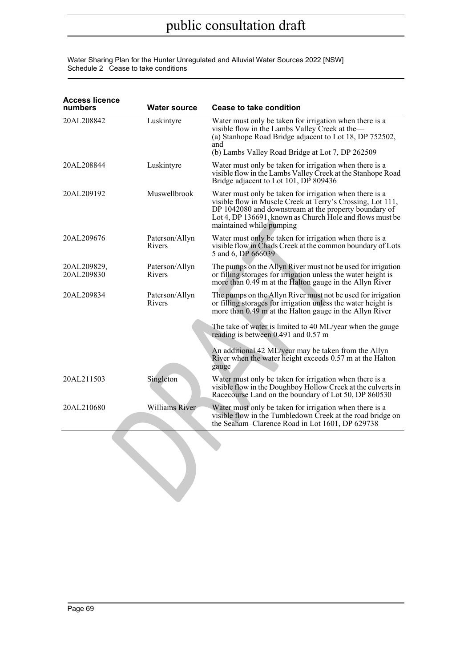Water Sharing Plan for the Hunter Unregulated and Alluvial Water Sources 2022 [NSW] Schedule 2 Cease to take conditions

| <b>Access licence</b><br>numbers | <b>Water source</b>      | Cease to take condition                                                                                                                                                                                                                                                |
|----------------------------------|--------------------------|------------------------------------------------------------------------------------------------------------------------------------------------------------------------------------------------------------------------------------------------------------------------|
| 20AL208842                       | Luskintyre               | Water must only be taken for irrigation when there is a<br>visible flow in the Lambs Valley Creek at the-<br>(a) Stanhope Road Bridge adjacent to Lot 18, DP 752502,<br>and                                                                                            |
|                                  |                          | (b) Lambs Valley Road Bridge at Lot 7, DP 262509                                                                                                                                                                                                                       |
| 20AL208844                       | Luskintyre               | Water must only be taken for irrigation when there is a<br>visible flow in the Lambs Valley Creek at the Stanhope Road<br>Bridge adjacent to Lot 101, DP 809436                                                                                                        |
| 20AL209192                       | Muswellbrook             | Water must only be taken for irrigation when there is a<br>visible flow in Muscle Creek at Terry's Crossing, Lot 111,<br>DP 1042080 and downstream at the property boundary of<br>Lot 4, DP 136691, known as Church Hole and flows must be<br>maintained while pumping |
| 20AL209676                       | Paterson/Allyn<br>Rivers | Water must only be taken for irrigation when there is a<br>visible flow in Chads Creek at the common boundary of Lots<br>5 and 6, DP 666039                                                                                                                            |
| 20AL209829,<br>20AL209830        | Paterson/Allyn<br>Rivers | The pumps on the Allyn River must not be used for irrigation<br>or filling storages for irrigation unless the water height is<br>more than 0.49 m at the Halton gauge in the Allyn River                                                                               |
| 20AL209834                       | Paterson/Allyn<br>Rivers | The pumps on the Allyn River must not be used for irrigation<br>or filling storages for irrigation unless the water height is<br>more than 0.49 m at the Halton gauge in the Allyn River                                                                               |
|                                  |                          | The take of water is limited to 40 ML/year when the gauge<br>reading is between 0.491 and 0.57 m                                                                                                                                                                       |
|                                  |                          | An additional 42 ML/year may be taken from the Allyn<br>River when the water height exceeds 0.57 m at the Halton<br>gauge                                                                                                                                              |
| 20AL211503                       | Singleton                | Water must only be taken for irrigation when there is a<br>visible flow in the Doughboy Hollow Creek at the culverts in<br>Racecourse Land on the boundary of Lot 50, DP 860530                                                                                        |
| 20AL210680                       | Williams River           | Water must only be taken for irrigation when there is a<br>visible flow in the Tumbledown Creek at the road bridge on<br>the Seaham-Clarence Road in Lot 1601, DP 629738                                                                                               |
|                                  |                          |                                                                                                                                                                                                                                                                        |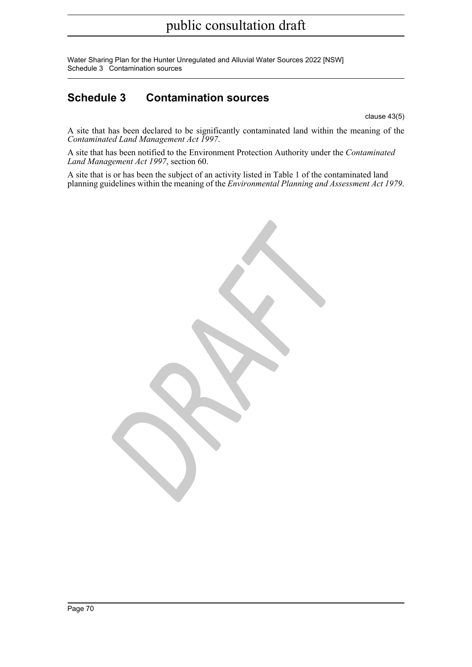Water Sharing Plan for the Hunter Unregulated and Alluvial Water Sources 2022 [NSW] Schedule 3 Contamination sources

## **Schedule 3 Contamination sources**

clause 43(5)

A site that has been declared to be significantly contaminated land within the meaning of the *Contaminated Land Management Act 1997* .

A site that has been notified to the Environment Protection Authority under the *Contaminated Land Management Act 1997*, section 60.

A site that is or has been the subject of an activity listed in Table 1 of the contaminated land planning guidelines within the meaning of the *Environmental Planning and Assessment Act 1979* .

*DRAFT*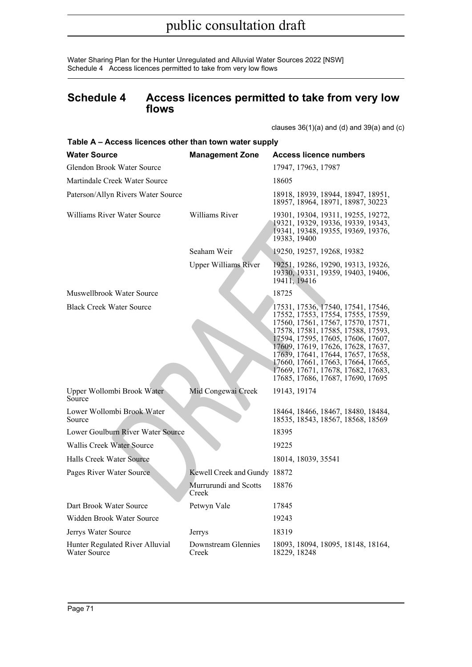Water Sharing Plan for the Hunter Unregulated and Alluvial Water Sources 2022 [NSW] Schedule 4 Access licences permitted to take from very low flows

## **Schedule 4 Access licences permitted to take from very low flows**

clauses  $36(1)(a)$  and  $(d)$  and  $39(a)$  and  $(c)$ 

| Table A – Access licences other than town water supply |                                |                                                                                                                                                                                                                                                                                                                                                                                         |
|--------------------------------------------------------|--------------------------------|-----------------------------------------------------------------------------------------------------------------------------------------------------------------------------------------------------------------------------------------------------------------------------------------------------------------------------------------------------------------------------------------|
| <b>Water Source</b>                                    | <b>Management Zone</b>         | <b>Access licence numbers</b>                                                                                                                                                                                                                                                                                                                                                           |
| Glendon Brook Water Source                             |                                | 17947, 17963, 17987                                                                                                                                                                                                                                                                                                                                                                     |
| Martindale Creek Water Source                          |                                | 18605                                                                                                                                                                                                                                                                                                                                                                                   |
| Paterson/Allyn Rivers Water Source                     |                                | 18918, 18939, 18944, 18947, 18951,<br>18957, 18964, 18971, 18987, 30223                                                                                                                                                                                                                                                                                                                 |
| Williams River Water Source                            | Williams River                 | 19301, 19304, 19311, 19255, 19272,<br>19321, 19329, 19336, 19339, 19343,<br>19341, 19348, 19355, 19369, 19376,<br>19383, 19400                                                                                                                                                                                                                                                          |
|                                                        | Seaham Weir                    | 19250, 19257, 19268, 19382                                                                                                                                                                                                                                                                                                                                                              |
|                                                        | <b>Upper Williams River</b>    | 19251, 19286, 19290, 19313, 19326,<br>19330, 19331, 19359, 19403, 19406,<br>19411, 19416                                                                                                                                                                                                                                                                                                |
| Muswellbrook Water Source                              |                                | 18725                                                                                                                                                                                                                                                                                                                                                                                   |
| <b>Black Creek Water Source</b>                        |                                | 17531, 17536, 17540, 17541, 17546,<br>17552, 17553, 17554, 17555, 17559,<br>17560, 17561, 17567, 17570, 17571,<br>17578, 17581, 17585, 17588, 17593,<br>17594, 17595, 17605, 17606, 17607,<br>17609, 17619, 17626, 17628, 17637,<br>17639, 17641, 17644, 17657, 17658,<br>17660, 17661, 17663, 17664, 17665,<br>17669, 17671, 17678, 17682, 17683,<br>17685, 17686, 17687, 17690, 17695 |
| Upper Wollombi Brook Water<br>Source                   | Mid Congewai Creek             | 19143, 19174                                                                                                                                                                                                                                                                                                                                                                            |
| Lower Wollombi Brook Water<br>Source                   |                                | 18464, 18466, 18467, 18480, 18484,<br>18535, 18543, 18567, 18568, 18569                                                                                                                                                                                                                                                                                                                 |
| Lower Goulburn River Water Source                      |                                | 18395                                                                                                                                                                                                                                                                                                                                                                                   |
| <b>Wallis Creek Water Source</b>                       |                                | 19225                                                                                                                                                                                                                                                                                                                                                                                   |
| Halls Creek Water Source                               |                                | 18014, 18039, 35541                                                                                                                                                                                                                                                                                                                                                                     |
| Pages River Water Source                               | Kewell Creek and Gundy 18872   |                                                                                                                                                                                                                                                                                                                                                                                         |
|                                                        | Murrurundi and Scotts<br>Creek | 18876                                                                                                                                                                                                                                                                                                                                                                                   |
| Dart Brook Water Source                                | Petwyn Vale                    | 17845                                                                                                                                                                                                                                                                                                                                                                                   |
| Widden Brook Water Source                              |                                | 19243                                                                                                                                                                                                                                                                                                                                                                                   |
| Jerrys Water Source                                    | Jerrys                         | 18319                                                                                                                                                                                                                                                                                                                                                                                   |
| Hunter Regulated River Alluvial<br><b>Water Source</b> | Downstream Glennies<br>Creek   | 18093, 18094, 18095, 18148, 18164,<br>18229, 18248                                                                                                                                                                                                                                                                                                                                      |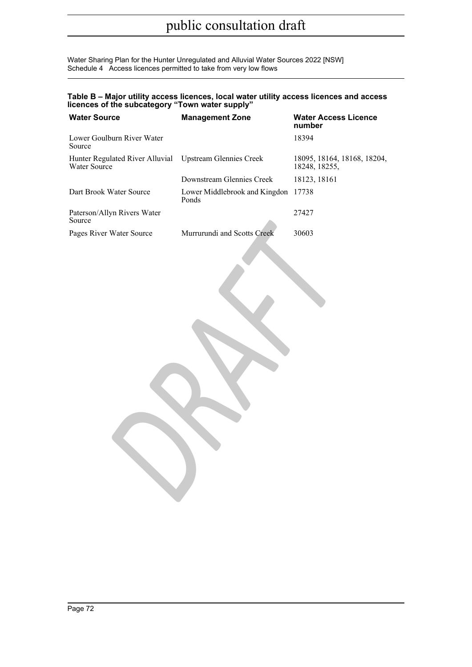Water Sharing Plan for the Hunter Unregulated and Alluvial Water Sources 2022 [NSW] Schedule 4 Access licences permitted to take from very low flows

### **Table B – Major utility access licences, local water utility access licences and access licences of the subcategory "Town water supply"**

| <b>Water Source</b>                             | <b>Management Zone</b>                 | <b>Water Access Licence</b><br>number        |  |  |
|-------------------------------------------------|----------------------------------------|----------------------------------------------|--|--|
| Lower Goulburn River Water<br>Source            |                                        | 18394                                        |  |  |
| Hunter Regulated River Alluvial<br>Water Source | <b>Upstream Glennies Creek</b>         | 18095, 18164, 18168, 18204,<br>18248, 18255, |  |  |
|                                                 | Downstream Glennies Creek              | 18123, 18161                                 |  |  |
| Dart Brook Water Source                         | Lower Middlebrook and Kingdon<br>Ponds | 17738                                        |  |  |
| Paterson/Allyn Rivers Water<br>Source           |                                        | 27427                                        |  |  |
| Pages River Water Source                        | Murrurundi and Scotts Creek            | 30603                                        |  |  |
|                                                 |                                        |                                              |  |  |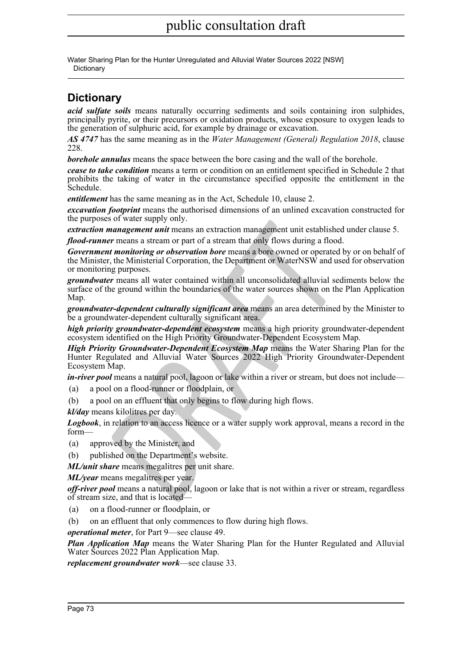## public consultation draft

Water Sharing Plan for the Hunter Unregulated and Alluvial Water Sources 2022 [NSW] **Dictionary** 

## **Dictionary**

*acid sulfate soils* means naturally occurring sediments and soils containing iron sulphides, principally pyrite, or their precursors or oxidation products, whose exposure to oxygen leads to the generation of sulphuric acid, for example by drainage or excavation.

*AS 4747* has the same meaning as in the *Water Management (General) Regulation 2018*, clause 228.

*borehole annulus* means the space between the bore casing and the wall of the borehole.

*cease to take condition* means a term or condition on an entitlement specified in Schedule 2 that prohibits the taking of water in the circumstance specified opposite the entitlement in the Schedule.

*entitlement* has the same meaning as in the Act, Schedule 10, clause 2.

*excavation footprint* means the authorised dimensions of an unlined excavation constructed for the purposes of water supply only.

*extraction management unit* means an extraction management unit established under clause 5.

*flood-runner* means a stream or part of a stream that only flows during a flood.

*Government monitoring or observation bore* means a bore owned or operated by or on behalf of the Minister, the Ministerial Corporation, the Department or WaterNSW and used for observation or monitoring purposes.

**Example 10 Example 10 Example 10 Examplement** unit established the management unit means an extraction management unit established ther means a stream or part of a stream that only flows during a flood.<br> *DRAFT IN t groundwater* means all water contained within all unconsolidated alluvial sediments below the surface of the ground within the boundaries of the water sources shown on the Plan Application Map.

*groundwater-dependent culturally significant area* means an area determined by the Minister to be a groundwater-dependent culturally significant area.

*high priority groundwater-dependent ecosystem* means a high priority groundwater-dependent ecosystem identified on the High Priority Groundwater-Dependent Ecosystem Map.

*High Priority Groundwater-Dependent Ecosystem Map* means the Water Sharing Plan for the Hunter Regulated and Alluvial Water Sources 2022 High Priority Groundwater-Dependent Ecosystem Map.

*in-river pool* means a natural pool, lagoon or lake within a river or stream, but does not include—

- (a) a pool on a flood-runner or floodplain, or
- (b) a pool on an effluent that only begins to flow during high flows.

*kl/day* means kilolitres per day.

*Logbook*, in relation to an access licence or a water supply work approval, means a record in the form—

- (a) approved by the Minister, and
- (b) published on the Department's website.

*ML/unit share* means megalitres per unit share.

*ML/year* means megalitres per year.

*off-river pool* means a natural pool, lagoon or lake that is not within a river or stream, regardless of stream size, and that is located—

(a) on a flood-runner or floodplain, or

(b) on an effluent that only commences to flow during high flows.

*operational meter*, for Part 9—see clause 49.

*Plan Application Map* means the Water Sharing Plan for the Hunter Regulated and Alluvial Water Sources 2022 Plan Application Map.

*replacement groundwater work*—see clause 33.